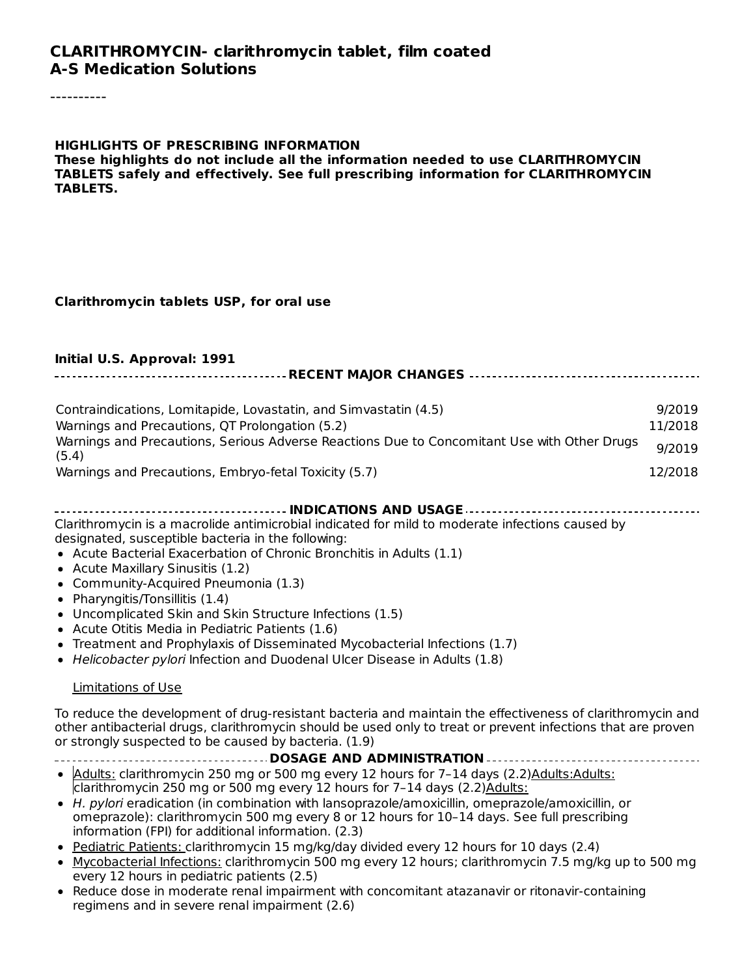#### **CLARITHROMYCIN- clarithromycin tablet, film coated A-S Medication Solutions**

#### **HIGHLIGHTS OF PRESCRIBING INFORMATION**

**These highlights do not include all the information needed to use CLARITHROMYCIN TABLETS safely and effectively. See full prescribing information for CLARITHROMYCIN TABLETS.**

#### **Clarithromycin tablets USP, for oral use**

| Initial U.S. Approval: 1991                                                                          |         |  |  |
|------------------------------------------------------------------------------------------------------|---------|--|--|
|                                                                                                      |         |  |  |
| Contraindications, Lomitapide, Lovastatin, and Simvastatin (4.5)                                     | 9/2019  |  |  |
| Warnings and Precautions, QT Prolongation (5.2)                                                      | 11/2018 |  |  |
| Warnings and Precautions, Serious Adverse Reactions Due to Concomitant Use with Other Drugs<br>(5.4) | 9/2019  |  |  |
| Warnings and Precautions, Embryo-fetal Toxicity (5.7)                                                | 12/2018 |  |  |
|                                                                                                      |         |  |  |

Clarithromycin is a macrolide antimicrobial indicated for mild to moderate infections caused by designated, susceptible bacteria in the following:

- Acute Bacterial Exacerbation of Chronic Bronchitis in Adults (1.1)
- Acute Maxillary Sinusitis (1.2)
- Community-Acquired Pneumonia (1.3)
- Pharyngitis/Tonsillitis (1.4)
- Uncomplicated Skin and Skin Structure Infections (1.5)
- Acute Otitis Media in Pediatric Patients (1.6)
- Treatment and Prophylaxis of Disseminated Mycobacterial Infections (1.7)
- Helicobacter pylori Infection and Duodenal Ulcer Disease in Adults (1.8)

#### Limitations of Use

To reduce the development of drug-resistant bacteria and maintain the effectiveness of clarithromycin and other antibacterial drugs, clarithromycin should be used only to treat or prevent infections that are proven or strongly suspected to be caused by bacteria. (1.9)

# **DOSAGE AND ADMINISTRATION**

- Adults: clarithromycin 250 mg or 500 mg every 12 hours for 7-14 days (2.2) Adults: Adults:  $\overline{\text{clairhromycin 250}}$  mg or 500 mg every 12 hours for 7-14 days (2.2) Adults:
- H. pylori eradication (in combination with lansoprazole/amoxicillin, omeprazole/amoxicillin, or omeprazole): clarithromycin 500 mg every 8 or 12 hours for 10–14 days. See full prescribing information (FPI) for additional information. (2.3)
- Pediatric Patients: clarithromycin 15 mg/kg/day divided every 12 hours for 10 days (2.4)
- Mycobacterial Infections: clarithromycin 500 mg every 12 hours; clarithromycin 7.5 mg/kg up to 500 mg every 12 hours in pediatric patients (2.5)
- Reduce dose in moderate renal impairment with concomitant atazanavir or ritonavir-containing regimens and in severe renal impairment (2.6)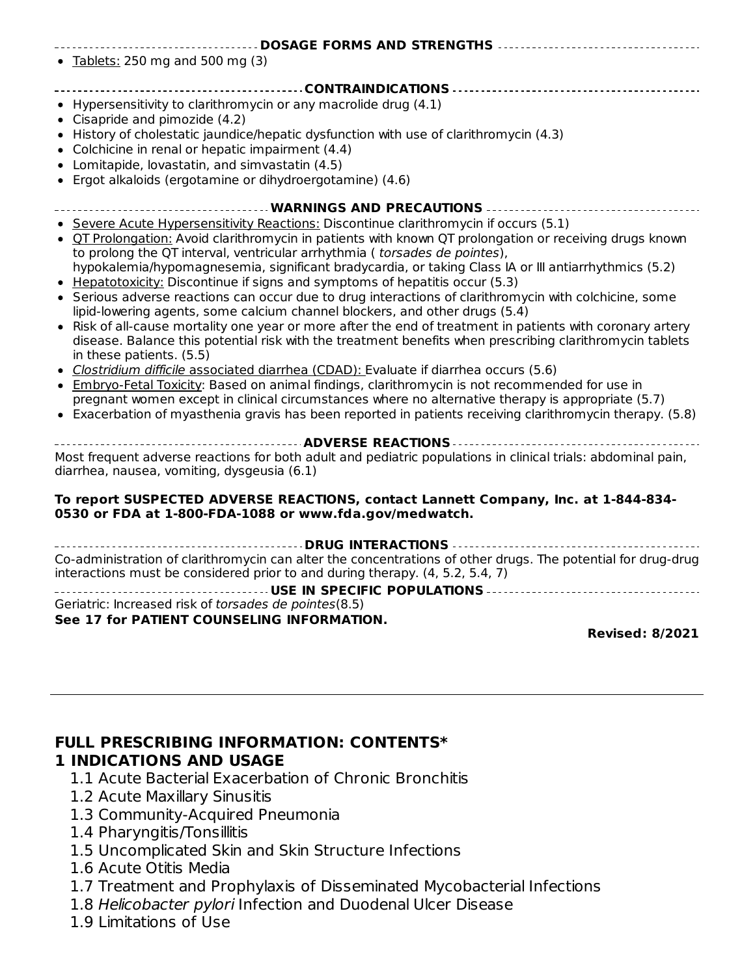| ------------------------- DOSAGE FORMS AND STRENGTHS -----------------------------------                                                                                                                                                                                                                                                                                                                                                                                                                                                                                                                                                                                                                                                                                                                                                                                                                                                                                                                                                                                                                                                                                                                                                                                                                                         |
|----------------------------------------------------------------------------------------------------------------------------------------------------------------------------------------------------------------------------------------------------------------------------------------------------------------------------------------------------------------------------------------------------------------------------------------------------------------------------------------------------------------------------------------------------------------------------------------------------------------------------------------------------------------------------------------------------------------------------------------------------------------------------------------------------------------------------------------------------------------------------------------------------------------------------------------------------------------------------------------------------------------------------------------------------------------------------------------------------------------------------------------------------------------------------------------------------------------------------------------------------------------------------------------------------------------------------------|
| • Tablets: 250 mg and 500 mg $(3)$                                                                                                                                                                                                                                                                                                                                                                                                                                                                                                                                                                                                                                                                                                                                                                                                                                                                                                                                                                                                                                                                                                                                                                                                                                                                                               |
| • Hypersensitivity to clarithromycin or any macrolide drug $(4.1)$<br>Cisapride and pimozide (4.2)<br>• History of cholestatic jaundice/hepatic dysfunction with use of clarithromycin (4.3)<br>• Colchicine in renal or hepatic impairment (4.4)<br>• Lomitapide, lovastatin, and simvastatin (4.5)<br>• Ergot alkaloids (ergotamine or dihydroergotamine) (4.6)                                                                                                                                                                                                                                                                                                                                                                                                                                                                                                                                                                                                                                                                                                                                                                                                                                                                                                                                                                |
| ------------------------------------- WARNINGS AND PRECAUTIONS -----------------------------                                                                                                                                                                                                                                                                                                                                                                                                                                                                                                                                                                                                                                                                                                                                                                                                                                                                                                                                                                                                                                                                                                                                                                                                                                     |
| • Severe Acute Hypersensitivity Reactions: Discontinue clarithromycin if occurs (5.1)<br>• OT Prolongation: Avoid clarithromycin in patients with known QT prolongation or receiving drugs known<br>to prolong the QT interval, ventricular arrhythmia (torsades de pointes),<br>hypokalemia/hypomagnesemia, significant bradycardia, or taking Class IA or III antiarrhythmics (5.2)<br>Hepatotoxicity: Discontinue if signs and symptoms of hepatitis occur (5.3)<br>• Serious adverse reactions can occur due to drug interactions of clarithromycin with colchicine, some<br>lipid-lowering agents, some calcium channel blockers, and other drugs (5.4)<br>• Risk of all-cause mortality one year or more after the end of treatment in patients with coronary artery<br>disease. Balance this potential risk with the treatment benefits when prescribing clarithromycin tablets<br>in these patients. (5.5)<br>· Clostridium difficile associated diarrhea (CDAD): Evaluate if diarrhea occurs (5.6)<br>• Embryo-Fetal Toxicity: Based on animal findings, clarithromycin is not recommended for use in<br>pregnant women except in clinical circumstances where no alternative therapy is appropriate (5.7)<br>• Exacerbation of myasthenia gravis has been reported in patients receiving clarithromycin therapy. (5.8) |
| Most frequent adverse reactions for both adult and pediatric populations in clinical trials: abdominal pain,<br>diarrhea, nausea, vomiting, dysgeusia (6.1)                                                                                                                                                                                                                                                                                                                                                                                                                                                                                                                                                                                                                                                                                                                                                                                                                                                                                                                                                                                                                                                                                                                                                                      |
| To report SUSPECTED ADVERSE REACTIONS, contact Lannett Company, Inc. at 1-844-834-<br>0530 or FDA at 1-800-FDA-1088 or www.fda.gov/medwatch.                                                                                                                                                                                                                                                                                                                                                                                                                                                                                                                                                                                                                                                                                                                                                                                                                                                                                                                                                                                                                                                                                                                                                                                     |
| ----------------------------------- DRUG INTERACTIONS --------------------------------                                                                                                                                                                                                                                                                                                                                                                                                                                                                                                                                                                                                                                                                                                                                                                                                                                                                                                                                                                                                                                                                                                                                                                                                                                           |
| Co-administration of clarithromycin can alter the concentrations of other drugs. The potential for drug-drug                                                                                                                                                                                                                                                                                                                                                                                                                                                                                                                                                                                                                                                                                                                                                                                                                                                                                                                                                                                                                                                                                                                                                                                                                     |

interactions must be considered prior to and during therapy. (4, 5.2, 5.4, 7)

**USE IN SPECIFIC POPULATIONS** Geriatric: Increased risk of torsades de pointes(8.5) **See 17 for PATIENT COUNSELING INFORMATION.**

**Revised: 8/2021**

#### **FULL PRESCRIBING INFORMATION: CONTENTS\* 1 INDICATIONS AND USAGE**

- 1.1 Acute Bacterial Exacerbation of Chronic Bronchitis
- 1.2 Acute Maxillary Sinusitis
- 1.3 Community-Acquired Pneumonia
- 1.4 Pharyngitis/Tonsillitis
- 1.5 Uncomplicated Skin and Skin Structure Infections
- 1.6 Acute Otitis Media
- 1.7 Treatment and Prophylaxis of Disseminated Mycobacterial Infections
- 1.8 Helicobacter pylori Infection and Duodenal Ulcer Disease
- 1.9 Limitations of Use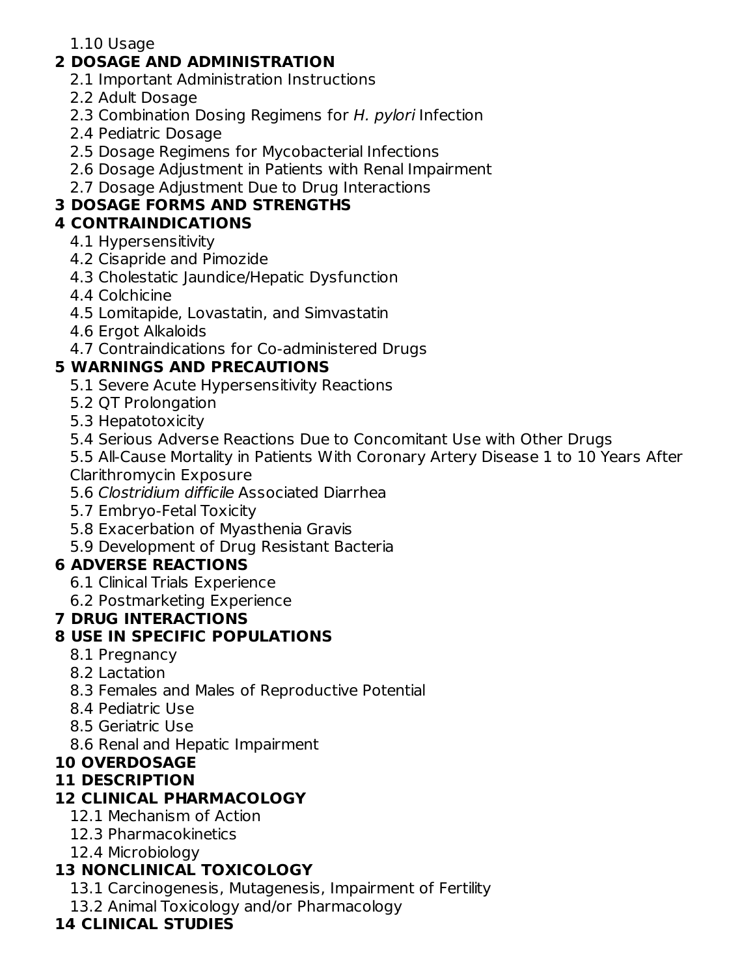### 1.10 Usage

# **2 DOSAGE AND ADMINISTRATION**

- 2.1 Important Administration Instructions
- 2.2 Adult Dosage
- 2.3 Combination Dosing Regimens for H. pylori Infection
- 2.4 Pediatric Dosage
- 2.5 Dosage Regimens for Mycobacterial Infections
- 2.6 Dosage Adjustment in Patients with Renal Impairment
- 2.7 Dosage Adjustment Due to Drug Interactions

# **3 DOSAGE FORMS AND STRENGTHS**

# **4 CONTRAINDICATIONS**

- 4.1 Hypersensitivity
- 4.2 Cisapride and Pimozide
- 4.3 Cholestatic Jaundice/Hepatic Dysfunction
- 4.4 Colchicine
- 4.5 Lomitapide, Lovastatin, and Simvastatin
- 4.6 Ergot Alkaloids
- 4.7 Contraindications for Co-administered Drugs

# **5 WARNINGS AND PRECAUTIONS**

- 5.1 Severe Acute Hypersensitivity Reactions
- 5.2 QT Prolongation
- 5.3 Hepatotoxicity
- 5.4 Serious Adverse Reactions Due to Concomitant Use with Other Drugs

5.5 All-Cause Mortality in Patients With Coronary Artery Disease 1 to 10 Years After Clarithromycin Exposure

- 5.6 Clostridium difficile Associated Diarrhea
- 5.7 Embryo-Fetal Toxicity
- 5.8 Exacerbation of Myasthenia Gravis
- 5.9 Development of Drug Resistant Bacteria

# **6 ADVERSE REACTIONS**

- 6.1 Clinical Trials Experience
- 6.2 Postmarketing Experience

# **7 DRUG INTERACTIONS**

# **8 USE IN SPECIFIC POPULATIONS**

- 8.1 Pregnancy
- 8.2 Lactation
- 8.3 Females and Males of Reproductive Potential
- 8.4 Pediatric Use
- 8.5 Geriatric Use
- 8.6 Renal and Hepatic Impairment

# **10 OVERDOSAGE**

# **11 DESCRIPTION**

# **12 CLINICAL PHARMACOLOGY**

- 12.1 Mechanism of Action
- 12.3 Pharmacokinetics
- 12.4 Microbiology

# **13 NONCLINICAL TOXICOLOGY**

- 13.1 Carcinogenesis, Mutagenesis, Impairment of Fertility
- 13.2 Animal Toxicology and/or Pharmacology

# **14 CLINICAL STUDIES**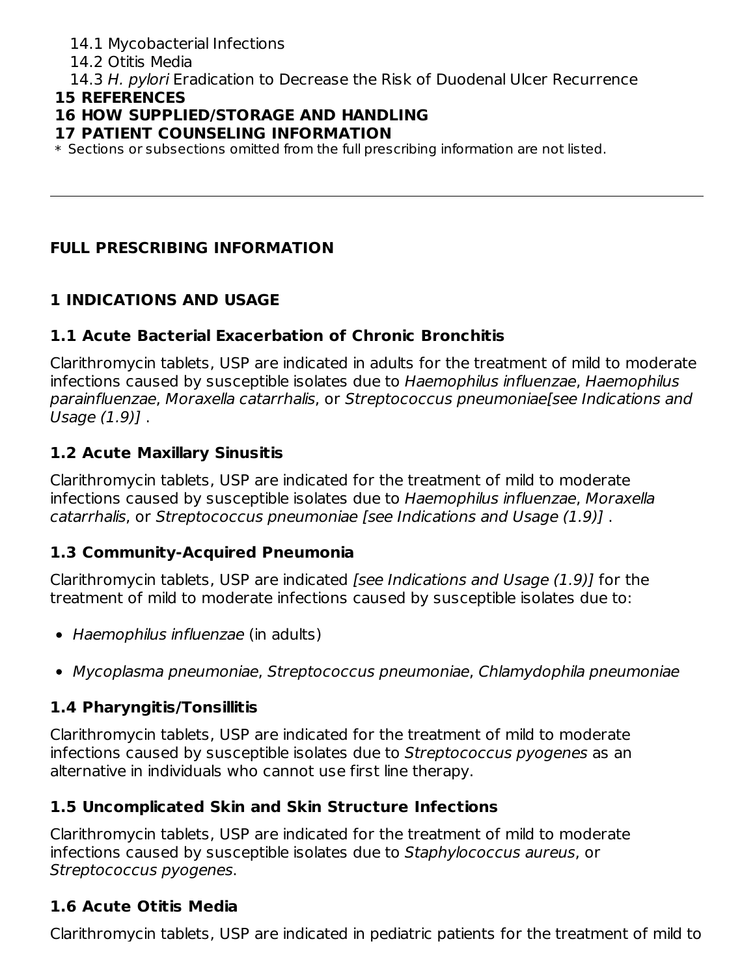### 14.1 Mycobacterial Infections

14.2 Otitis Media

14.3 H. pylori Eradication to Decrease the Risk of Duodenal Ulcer Recurrence

### **15 REFERENCES**

# **16 HOW SUPPLIED/STORAGE AND HANDLING**

### **17 PATIENT COUNSELING INFORMATION**

 $\ast$  Sections or subsections omitted from the full prescribing information are not listed.

# **FULL PRESCRIBING INFORMATION**

# **1 INDICATIONS AND USAGE**

# **1.1 Acute Bacterial Exacerbation of Chronic Bronchitis**

Clarithromycin tablets, USP are indicated in adults for the treatment of mild to moderate infections caused by susceptible isolates due to Haemophilus influenzae, Haemophilus parainfluenzae, Moraxella catarrhalis, or Streptococcus pneumoniae[see Indications and Usage (1.9)] .

# **1.2 Acute Maxillary Sinusitis**

Clarithromycin tablets, USP are indicated for the treatment of mild to moderate infections caused by susceptible isolates due to Haemophilus influenzae, Moraxella catarrhalis, or Streptococcus pneumoniae [see Indications and Usage (1.9)] .

# **1.3 Community-Acquired Pneumonia**

Clarithromycin tablets, USP are indicated [see Indications and Usage (1.9)] for the treatment of mild to moderate infections caused by susceptible isolates due to:

- Haemophilus influenzae (in adults)
- Mycoplasma pneumoniae, Streptococcus pneumoniae, Chlamydophila pneumoniae

# **1.4 Pharyngitis/Tonsillitis**

Clarithromycin tablets, USP are indicated for the treatment of mild to moderate infections caused by susceptible isolates due to Streptococcus pyogenes as an alternative in individuals who cannot use first line therapy.

# **1.5 Uncomplicated Skin and Skin Structure Infections**

Clarithromycin tablets, USP are indicated for the treatment of mild to moderate infections caused by susceptible isolates due to Staphylococcus aureus, or Streptococcus pyogenes.

# **1.6 Acute Otitis Media**

Clarithromycin tablets, USP are indicated in pediatric patients for the treatment of mild to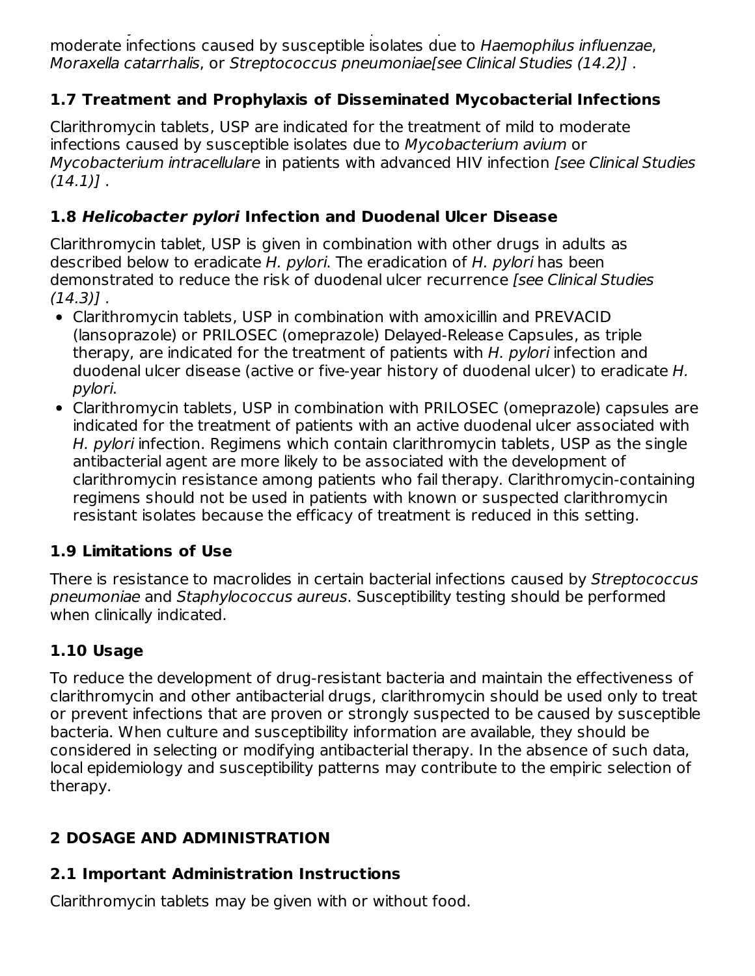Clarithromycin tablets, USP are indicated in pediatric patients for the treatment of mild to moderate infections caused by susceptible isolates due to Haemophilus influenzae, Moraxella catarrhalis, or Streptococcus pneumoniae[see Clinical Studies (14.2)] .

# **1.7 Treatment and Prophylaxis of Disseminated Mycobacterial Infections**

Clarithromycin tablets, USP are indicated for the treatment of mild to moderate infections caused by susceptible isolates due to Mycobacterium avium or Mycobacterium intracellulare in patients with advanced HIV infection [see Clinical Studies  $(14.1)$ .

# **1.8 Helicobacter pylori Infection and Duodenal Ulcer Disease**

Clarithromycin tablet, USP is given in combination with other drugs in adults as described below to eradicate H. pylori. The eradication of H. pylori has been demonstrated to reduce the risk of duodenal ulcer recurrence *[see Clinical Studies*  $(14.3)$ ].

- Clarithromycin tablets, USP in combination with amoxicillin and PREVACID (lansoprazole) or PRILOSEC (omeprazole) Delayed-Release Capsules, as triple therapy, are indicated for the treatment of patients with H, pylori infection and duodenal ulcer disease (active or five-year history of duodenal ulcer) to eradicate H. pylori.
- Clarithromycin tablets, USP in combination with PRILOSEC (omeprazole) capsules are indicated for the treatment of patients with an active duodenal ulcer associated with H. *pylori* infection. Regimens which contain clarithromycin tablets, USP as the single antibacterial agent are more likely to be associated with the development of clarithromycin resistance among patients who fail therapy. Clarithromycin-containing regimens should not be used in patients with known or suspected clarithromycin resistant isolates because the efficacy of treatment is reduced in this setting.

# **1.9 Limitations of Use**

There is resistance to macrolides in certain bacterial infections caused by Streptococcus pneumoniae and Staphylococcus aureus. Susceptibility testing should be performed when clinically indicated.

# **1.10 Usage**

To reduce the development of drug-resistant bacteria and maintain the effectiveness of clarithromycin and other antibacterial drugs, clarithromycin should be used only to treat or prevent infections that are proven or strongly suspected to be caused by susceptible bacteria. When culture and susceptibility information are available, they should be considered in selecting or modifying antibacterial therapy. In the absence of such data, local epidemiology and susceptibility patterns may contribute to the empiric selection of therapy.

# **2 DOSAGE AND ADMINISTRATION**

# **2.1 Important Administration Instructions**

Clarithromycin tablets may be given with or without food.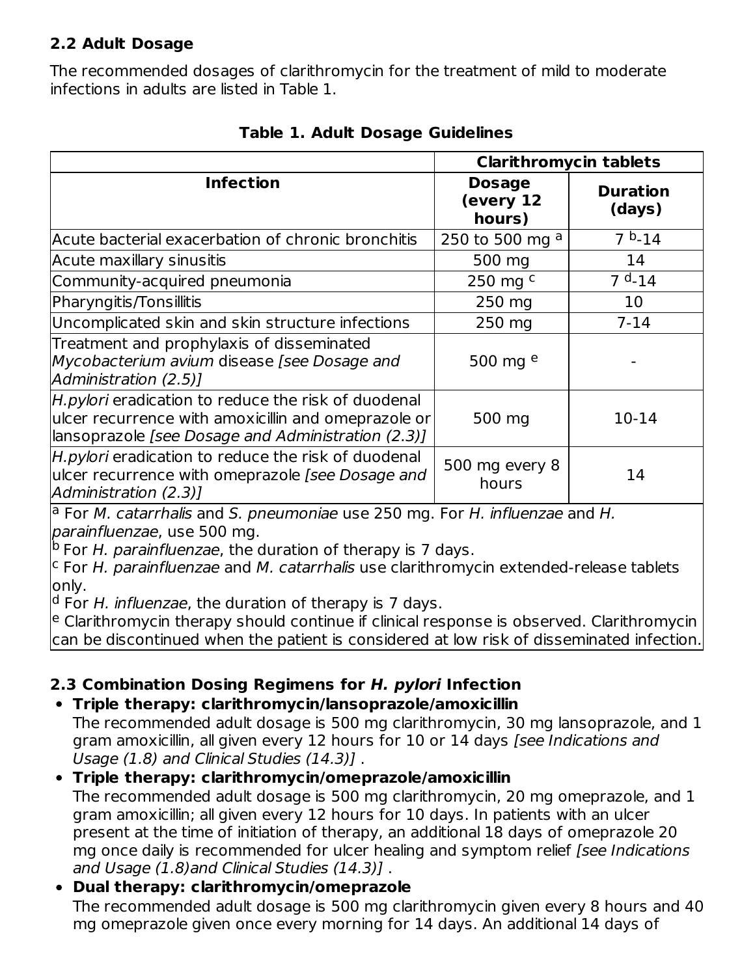### **2.2 Adult Dosage**

The recommended dosages of clarithromycin for the treatment of mild to moderate infections in adults are listed in Table 1.

|                                                                                                                                                                  | <b>Clarithromycin tablets</b>        |                           |
|------------------------------------------------------------------------------------------------------------------------------------------------------------------|--------------------------------------|---------------------------|
| <b>Infection</b>                                                                                                                                                 | <b>Dosage</b><br>(every 12<br>hours) | <b>Duration</b><br>(days) |
| Acute bacterial exacerbation of chronic bronchitis                                                                                                               | 250 to 500 mg a                      | $7b - 14$                 |
| Acute maxillary sinusitis                                                                                                                                        | 500 mg                               | 14                        |
| Community-acquired pneumonia                                                                                                                                     | 250 mg $c$                           | $7d - 14$                 |
| Pharyngitis/Tonsillitis                                                                                                                                          | 250 mg                               | 10                        |
| Uncomplicated skin and skin structure infections                                                                                                                 | 250 mg                               | $7 - 14$                  |
| Treatment and prophylaxis of disseminated<br>Mycobacterium avium disease [see Dosage and<br>Administration (2.5)]                                                | 500 mg $e$                           |                           |
| H.pylori eradication to reduce the risk of duodenal<br>ulcer recurrence with amoxicillin and omeprazole or<br>lansoprazole [see Dosage and Administration (2.3)] | 500 mg                               | $10 - 14$                 |
| H.pylori eradication to reduce the risk of duodenal<br>ulcer recurrence with omeprazole [see Dosage and<br>Administration (2.3)]                                 | 500 mg every 8<br>hours              | 14                        |

**Table 1. Adult Dosage Guidelines**

<sup>a</sup> For *M. catarrhalis* and S. pneumoniae use 250 mg. For H. influenzae and H. parainfluenzae, use 500 mg.

<sup>b</sup> For H. parainfluenzae, the duration of therapy is 7 days.

 $c$  For H. parainfluenzae and M. catarrhalis use clarithromycin extended-release tablets only.

<sup>d</sup> For H. influenzae, the duration of therapy is 7 days.

<sup>e</sup> Clarithromycin therapy should continue if clinical response is observed. Clarithromycin can be discontinued when the patient is considered at low risk of disseminated infection.

# **2.3 Combination Dosing Regimens for H. pylori Infection**

### **Triple therapy: clarithromycin/lansoprazole/amoxicillin**

The recommended adult dosage is 500 mg clarithromycin, 30 mg lansoprazole, and 1 gram amoxicillin, all given every 12 hours for 10 or 14 days [see Indications and Usage (1.8) and Clinical Studies (14.3)] .

### **Triple therapy: clarithromycin/omeprazole/amoxicillin**

The recommended adult dosage is 500 mg clarithromycin, 20 mg omeprazole, and 1 gram amoxicillin; all given every 12 hours for 10 days. In patients with an ulcer present at the time of initiation of therapy, an additional 18 days of omeprazole 20 mg once daily is recommended for ulcer healing and symptom relief (see Indications and Usage (1.8)and Clinical Studies (14.3)] .

# **Dual therapy: clarithromycin/omeprazole**

The recommended adult dosage is 500 mg clarithromycin given every 8 hours and 40 mg omeprazole given once every morning for 14 days. An additional 14 days of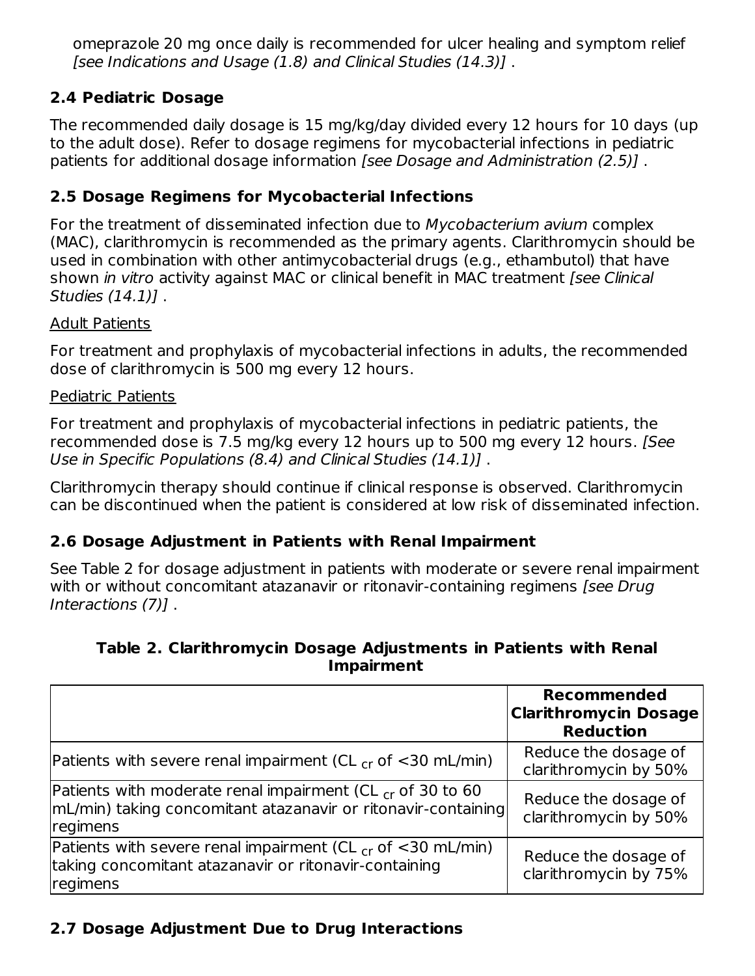omeprazole 20 mg once daily is recommended for ulcer healing and symptom relief [see Indications and Usage (1.8) and Clinical Studies (14.3)] .

### **2.4 Pediatric Dosage**

The recommended daily dosage is 15 mg/kg/day divided every 12 hours for 10 days (up to the adult dose). Refer to dosage regimens for mycobacterial infections in pediatric patients for additional dosage information [see Dosage and Administration (2.5)] .

### **2.5 Dosage Regimens for Mycobacterial Infections**

For the treatment of disseminated infection due to Mycobacterium avium complex (MAC), clarithromycin is recommended as the primary agents. Clarithromycin should be used in combination with other antimycobacterial drugs (e.g., ethambutol) that have shown in vitro activity against MAC or clinical benefit in MAC treatment [see Clinical Studies (14.1)] .

#### Adult Patients

For treatment and prophylaxis of mycobacterial infections in adults, the recommended dose of clarithromycin is 500 mg every 12 hours.

#### Pediatric Patients

For treatment and prophylaxis of mycobacterial infections in pediatric patients, the recommended dose is 7.5 mg/kg every 12 hours up to 500 mg every 12 hours. [See Use in Specific Populations (8.4) and Clinical Studies (14.1)] .

Clarithromycin therapy should continue if clinical response is observed. Clarithromycin can be discontinued when the patient is considered at low risk of disseminated infection.

### **2.6 Dosage Adjustment in Patients with Renal Impairment**

See Table 2 for dosage adjustment in patients with moderate or severe renal impairment with or without concomitant atazanavir or ritonavir-containing regimens *[see Drug*] Interactions (7)] .

#### **Table 2. Clarithromycin Dosage Adjustments in Patients with Renal Impairment**

|                                                                                                                                                | <b>Recommended</b><br><b>Clarithromycin Dosage</b><br><b>Reduction</b> |
|------------------------------------------------------------------------------------------------------------------------------------------------|------------------------------------------------------------------------|
| Patients with severe renal impairment (CL $_{cr}$ of $<$ 30 mL/min)                                                                            | Reduce the dosage of<br>clarithromycin by 50%                          |
| Patients with moderate renal impairment (CL $_{cr}$ of 30 to 60<br> mL/min) taking concomitant atazanavir or ritonavir-containing <br>regimens | Reduce the dosage of<br>clarithromycin by 50%                          |
| Patients with severe renal impairment (CL $_{cr}$ of <30 mL/min)<br>taking concomitant atazanavir or ritonavir-containing<br>regimens          | Reduce the dosage of<br>clarithromycin by 75%                          |

# **2.7 Dosage Adjustment Due to Drug Interactions**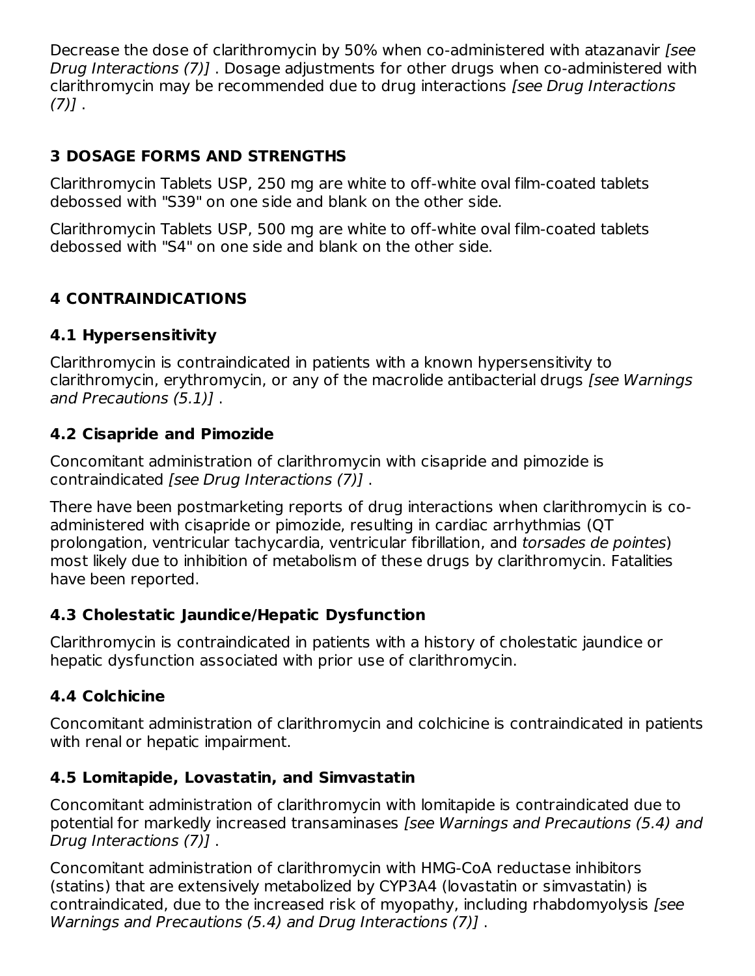Decrease the dose of clarithromycin by 50% when co-administered with atazanavir [see Drug Interactions (7)] . Dosage adjustments for other drugs when co-administered with clarithromycin may be recommended due to drug interactions [see Drug Interactions  $(7)$ ].

# **3 DOSAGE FORMS AND STRENGTHS**

Clarithromycin Tablets USP, 250 mg are white to off-white oval film-coated tablets debossed with "S39" on one side and blank on the other side.

Clarithromycin Tablets USP, 500 mg are white to off-white oval film-coated tablets debossed with "S4" on one side and blank on the other side.

# **4 CONTRAINDICATIONS**

# **4.1 Hypersensitivity**

Clarithromycin is contraindicated in patients with a known hypersensitivity to clarithromycin, erythromycin, or any of the macrolide antibacterial drugs [see Warnings and Precautions (5.1)] .

### **4.2 Cisapride and Pimozide**

Concomitant administration of clarithromycin with cisapride and pimozide is contraindicated [see Drug Interactions (7)] .

There have been postmarketing reports of drug interactions when clarithromycin is coadministered with cisapride or pimozide, resulting in cardiac arrhythmias (QT prolongation, ventricular tachycardia, ventricular fibrillation, and torsades de pointes) most likely due to inhibition of metabolism of these drugs by clarithromycin. Fatalities have been reported.

# **4.3 Cholestatic Jaundice/Hepatic Dysfunction**

Clarithromycin is contraindicated in patients with a history of cholestatic jaundice or hepatic dysfunction associated with prior use of clarithromycin.

# **4.4 Colchicine**

Concomitant administration of clarithromycin and colchicine is contraindicated in patients with renal or hepatic impairment.

# **4.5 Lomitapide, Lovastatin, and Simvastatin**

Concomitant administration of clarithromycin with lomitapide is contraindicated due to potential for markedly increased transaminases [see Warnings and Precautions (5.4) and Drug Interactions (7)] .

Concomitant administration of clarithromycin with HMG-CoA reductase inhibitors (statins) that are extensively metabolized by CYP3A4 (lovastatin or simvastatin) is contraindicated, due to the increased risk of myopathy, including rhabdomyolysis [see Warnings and Precautions (5.4) and Drug Interactions (7)] .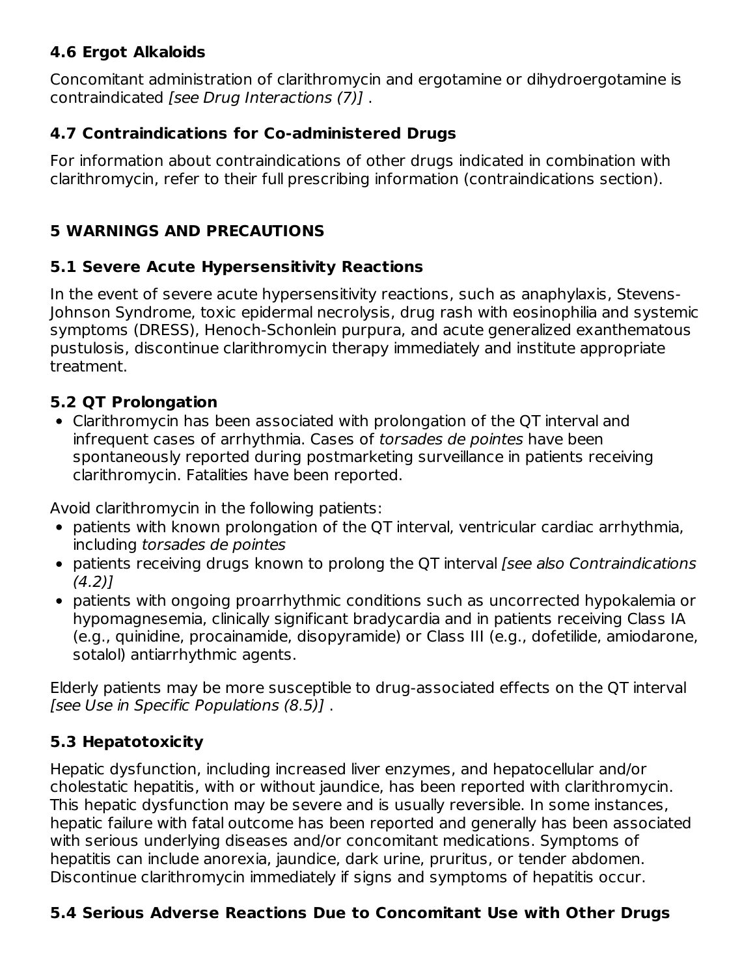# **4.6 Ergot Alkaloids**

Concomitant administration of clarithromycin and ergotamine or dihydroergotamine is contraindicated [see Drug Interactions (7)] .

### **4.7 Contraindications for Co-administered Drugs**

For information about contraindications of other drugs indicated in combination with clarithromycin, refer to their full prescribing information (contraindications section).

# **5 WARNINGS AND PRECAUTIONS**

### **5.1 Severe Acute Hypersensitivity Reactions**

In the event of severe acute hypersensitivity reactions, such as anaphylaxis, Stevens-Johnson Syndrome, toxic epidermal necrolysis, drug rash with eosinophilia and systemic symptoms (DRESS), Henoch-Schonlein purpura, and acute generalized exanthematous pustulosis, discontinue clarithromycin therapy immediately and institute appropriate treatment.

### **5.2 QT Prolongation**

Clarithromycin has been associated with prolongation of the QT interval and infrequent cases of arrhythmia. Cases of torsades de pointes have been spontaneously reported during postmarketing surveillance in patients receiving clarithromycin. Fatalities have been reported.

Avoid clarithromycin in the following patients:

- patients with known prolongation of the QT interval, ventricular cardiac arrhythmia, including torsades de pointes
- patients receiving drugs known to prolong the QT interval (see also Contraindications  $(4.2)1$
- patients with ongoing proarrhythmic conditions such as uncorrected hypokalemia or hypomagnesemia, clinically significant bradycardia and in patients receiving Class IA (e.g., quinidine, procainamide, disopyramide) or Class III (e.g., dofetilide, amiodarone, sotalol) antiarrhythmic agents.

Elderly patients may be more susceptible to drug-associated effects on the QT interval [see Use in Specific Populations (8.5)].

# **5.3 Hepatotoxicity**

Hepatic dysfunction, including increased liver enzymes, and hepatocellular and/or cholestatic hepatitis, with or without jaundice, has been reported with clarithromycin. This hepatic dysfunction may be severe and is usually reversible. In some instances, hepatic failure with fatal outcome has been reported and generally has been associated with serious underlying diseases and/or concomitant medications. Symptoms of hepatitis can include anorexia, jaundice, dark urine, pruritus, or tender abdomen. Discontinue clarithromycin immediately if signs and symptoms of hepatitis occur.

# **5.4 Serious Adverse Reactions Due to Concomitant Use with Other Drugs**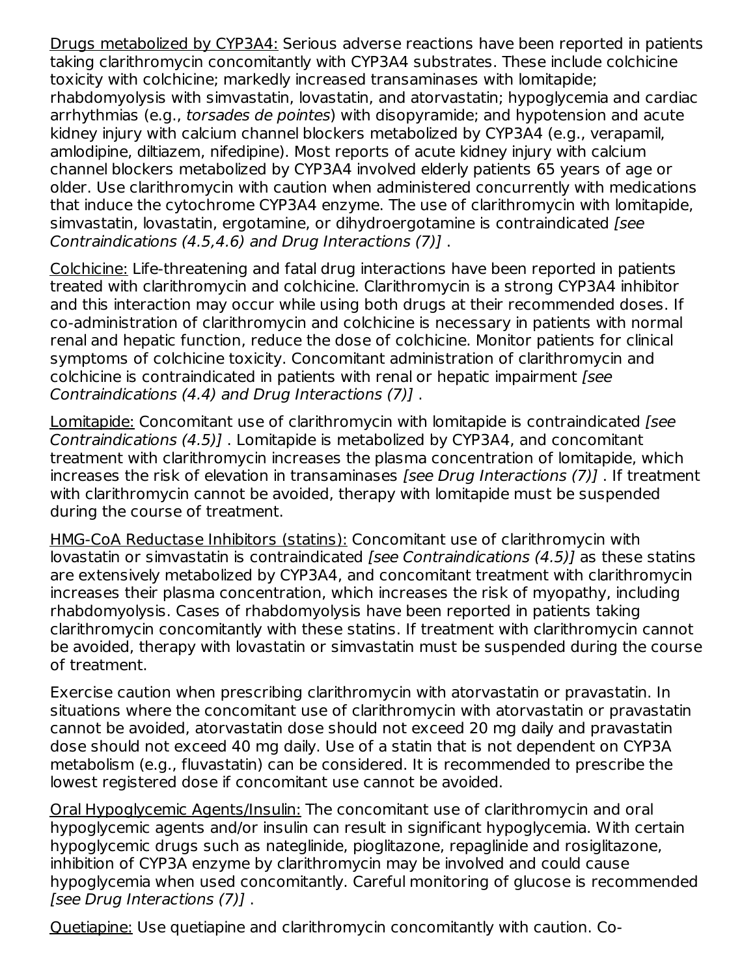Drugs metabolized by CYP3A4: Serious adverse reactions have been reported in patients taking clarithromycin concomitantly with CYP3A4 substrates. These include colchicine toxicity with colchicine; markedly increased transaminases with lomitapide; rhabdomyolysis with simvastatin, lovastatin, and atorvastatin; hypoglycemia and cardiac arrhythmias (e.g., *torsades de pointes*) with disopyramide; and hypotension and acute kidney injury with calcium channel blockers metabolized by CYP3A4 (e.g., verapamil, amlodipine, diltiazem, nifedipine). Most reports of acute kidney injury with calcium channel blockers metabolized by CYP3A4 involved elderly patients 65 years of age or older. Use clarithromycin with caution when administered concurrently with medications that induce the cytochrome CYP3A4 enzyme. The use of clarithromycin with lomitapide, simvastatin, lovastatin, ergotamine, or dihydroergotamine is contraindicated [see Contraindications (4.5,4.6) and Drug Interactions (7)] .

Colchicine: Life-threatening and fatal drug interactions have been reported in patients treated with clarithromycin and colchicine. Clarithromycin is a strong CYP3A4 inhibitor and this interaction may occur while using both drugs at their recommended doses. If co-administration of clarithromycin and colchicine is necessary in patients with normal renal and hepatic function, reduce the dose of colchicine. Monitor patients for clinical symptoms of colchicine toxicity. Concomitant administration of clarithromycin and colchicine is contraindicated in patients with renal or hepatic impairment [see Contraindications (4.4) and Drug Interactions (7)] .

Lomitapide: Concomitant use of clarithromycin with lomitapide is contraindicated [see Contraindications (4.5)] . Lomitapide is metabolized by CYP3A4, and concomitant treatment with clarithromycin increases the plasma concentration of lomitapide, which increases the risk of elevation in transaminases [see Drug Interactions (7)]. If treatment with clarithromycin cannot be avoided, therapy with lomitapide must be suspended during the course of treatment.

HMG-CoA Reductase Inhibitors (statins): Concomitant use of clarithromycin with lovastatin or simvastatin is contraindicated [see Contraindications (4.5)] as these statins are extensively metabolized by CYP3A4, and concomitant treatment with clarithromycin increases their plasma concentration, which increases the risk of myopathy, including rhabdomyolysis. Cases of rhabdomyolysis have been reported in patients taking clarithromycin concomitantly with these statins. If treatment with clarithromycin cannot be avoided, therapy with lovastatin or simvastatin must be suspended during the course of treatment.

Exercise caution when prescribing clarithromycin with atorvastatin or pravastatin. In situations where the concomitant use of clarithromycin with atorvastatin or pravastatin cannot be avoided, atorvastatin dose should not exceed 20 mg daily and pravastatin dose should not exceed 40 mg daily. Use of a statin that is not dependent on CYP3A metabolism (e.g., fluvastatin) can be considered. It is recommended to prescribe the lowest registered dose if concomitant use cannot be avoided.

Oral Hypoglycemic Agents/Insulin: The concomitant use of clarithromycin and oral hypoglycemic agents and/or insulin can result in significant hypoglycemia. With certain hypoglycemic drugs such as nateglinide, pioglitazone, repaglinide and rosiglitazone, inhibition of CYP3A enzyme by clarithromycin may be involved and could cause hypoglycemia when used concomitantly. Careful monitoring of glucose is recommended [see Drug Interactions (7)] .

Quetiapine: Use quetiapine and clarithromycin concomitantly with caution. Co-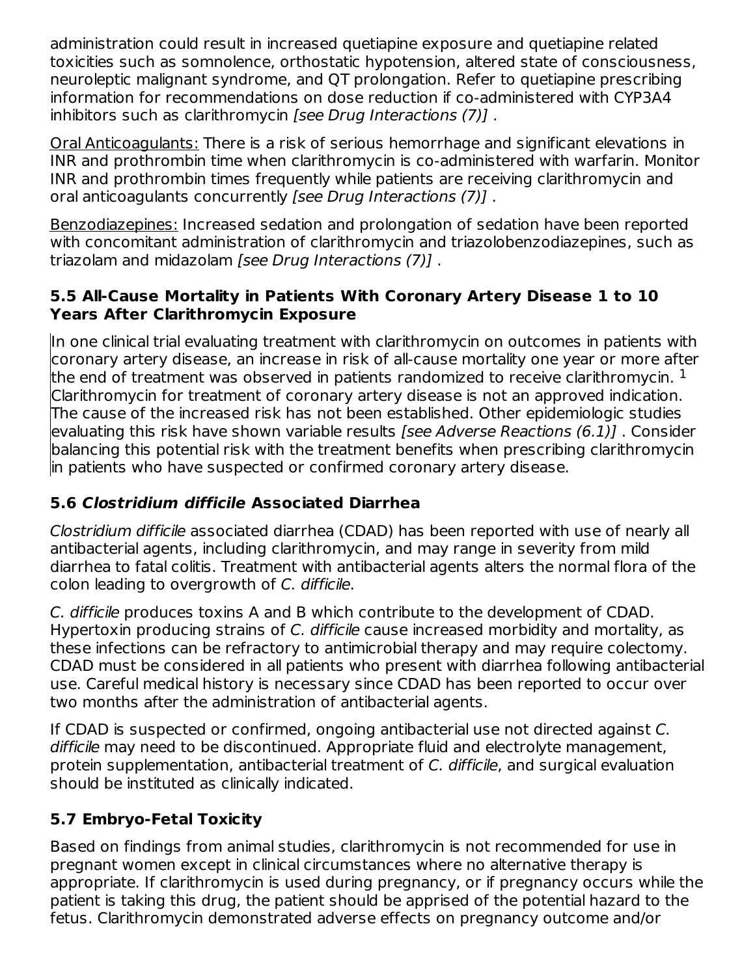administration could result in increased quetiapine exposure and quetiapine related toxicities such as somnolence, orthostatic hypotension, altered state of consciousness, neuroleptic malignant syndrome, and QT prolongation. Refer to quetiapine prescribing information for recommendations on dose reduction if co-administered with CYP3A4 inhibitors such as clarithromycin [see Drug Interactions (7)] .

Oral Anticoagulants: There is a risk of serious hemorrhage and significant elevations in INR and prothrombin time when clarithromycin is co-administered with warfarin. Monitor INR and prothrombin times frequently while patients are receiving clarithromycin and oral anticoagulants concurrently [see Drug Interactions (7)].

Benzodiazepines: Increased sedation and prolongation of sedation have been reported with concomitant administration of clarithromycin and triazolobenzodiazepines, such as triazolam and midazolam [see Drug Interactions (7)] .

### **5.5 All-Cause Mortality in Patients With Coronary Artery Disease 1 to 10 Years After Clarithromycin Exposure**

In one clinical trial evaluating treatment with clarithromycin on outcomes in patients with coronary artery disease, an increase in risk of all-cause mortality one year or more after the end of treatment was observed in patients randomized to receive clarithromycin.  $^{\rm 1}$ Clarithromycin for treatment of coronary artery disease is not an approved indication. The cause of the increased risk has not been established. Other epidemiologic studies evaluating this risk have shown variable results [see Adverse Reactions (6.1)] . Consider balancing this potential risk with the treatment benefits when prescribing clarithromycin in patients who have suspected or confirmed coronary artery disease.

# **5.6 Clostridium difficile Associated Diarrhea**

Clostridium difficile associated diarrhea (CDAD) has been reported with use of nearly all antibacterial agents, including clarithromycin, and may range in severity from mild diarrhea to fatal colitis. Treatment with antibacterial agents alters the normal flora of the colon leading to overgrowth of C. difficile.

C. difficile produces toxins A and B which contribute to the development of CDAD. Hypertoxin producing strains of C. difficile cause increased morbidity and mortality, as these infections can be refractory to antimicrobial therapy and may require colectomy. CDAD must be considered in all patients who present with diarrhea following antibacterial use. Careful medical history is necessary since CDAD has been reported to occur over two months after the administration of antibacterial agents.

If CDAD is suspected or confirmed, ongoing antibacterial use not directed against C. difficile may need to be discontinued. Appropriate fluid and electrolyte management, protein supplementation, antibacterial treatment of C. difficile, and surgical evaluation should be instituted as clinically indicated.

# **5.7 Embryo-Fetal Toxicity**

Based on findings from animal studies, clarithromycin is not recommended for use in pregnant women except in clinical circumstances where no alternative therapy is appropriate. If clarithromycin is used during pregnancy, or if pregnancy occurs while the patient is taking this drug, the patient should be apprised of the potential hazard to the fetus. Clarithromycin demonstrated adverse effects on pregnancy outcome and/or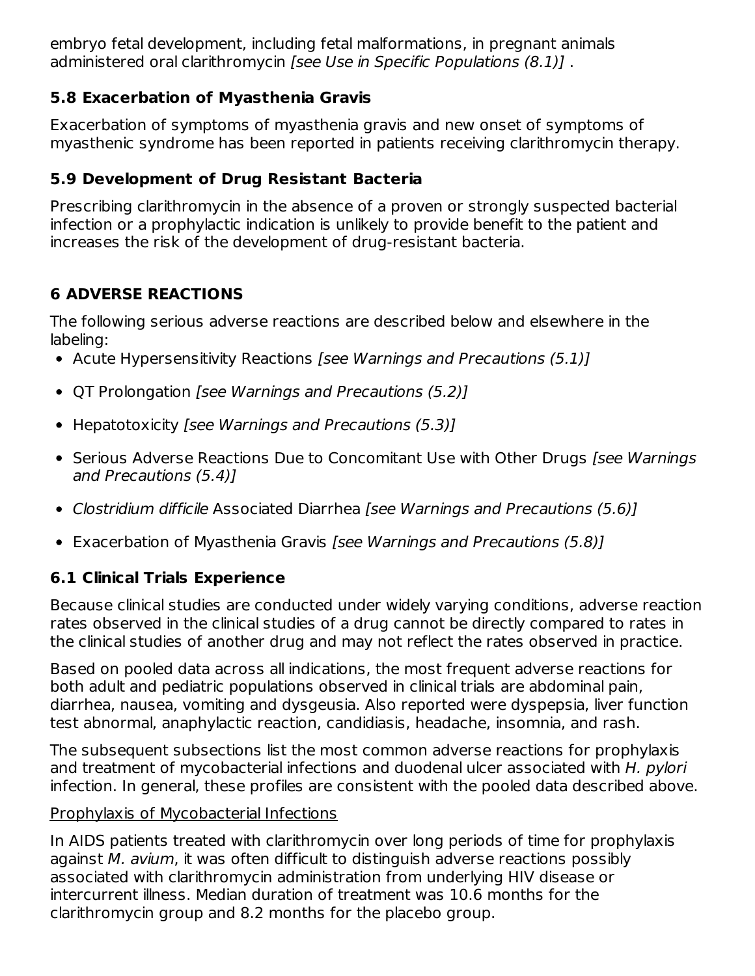embryo fetal development, including fetal malformations, in pregnant animals administered oral clarithromycin [see Use in Specific Populations (8.1)].

# **5.8 Exacerbation of Myasthenia Gravis**

Exacerbation of symptoms of myasthenia gravis and new onset of symptoms of myasthenic syndrome has been reported in patients receiving clarithromycin therapy.

# **5.9 Development of Drug Resistant Bacteria**

Prescribing clarithromycin in the absence of a proven or strongly suspected bacterial infection or a prophylactic indication is unlikely to provide benefit to the patient and increases the risk of the development of drug-resistant bacteria.

# **6 ADVERSE REACTIONS**

The following serious adverse reactions are described below and elsewhere in the labeling:

- Acute Hypersensitivity Reactions [see Warnings and Precautions (5.1)]
- QT Prolongation [see Warnings and Precautions (5.2)]
- Hepatotoxicity [see Warnings and Precautions (5.3)]
- Serious Adverse Reactions Due to Concomitant Use with Other Drugs [see Warnings] and Precautions (5.4)]
- Clostridium difficile Associated Diarrhea [see Warnings and Precautions (5.6)]
- Exacerbation of Myasthenia Gravis [see Warnings and Precautions (5.8)]

# **6.1 Clinical Trials Experience**

Because clinical studies are conducted under widely varying conditions, adverse reaction rates observed in the clinical studies of a drug cannot be directly compared to rates in the clinical studies of another drug and may not reflect the rates observed in practice.

Based on pooled data across all indications, the most frequent adverse reactions for both adult and pediatric populations observed in clinical trials are abdominal pain, diarrhea, nausea, vomiting and dysgeusia. Also reported were dyspepsia, liver function test abnormal, anaphylactic reaction, candidiasis, headache, insomnia, and rash.

The subsequent subsections list the most common adverse reactions for prophylaxis and treatment of mycobacterial infections and duodenal ulcer associated with H. pylori infection. In general, these profiles are consistent with the pooled data described above.

# Prophylaxis of Mycobacterial Infections

In AIDS patients treated with clarithromycin over long periods of time for prophylaxis against M. avium, it was often difficult to distinguish adverse reactions possibly associated with clarithromycin administration from underlying HIV disease or intercurrent illness. Median duration of treatment was 10.6 months for the clarithromycin group and 8.2 months for the placebo group.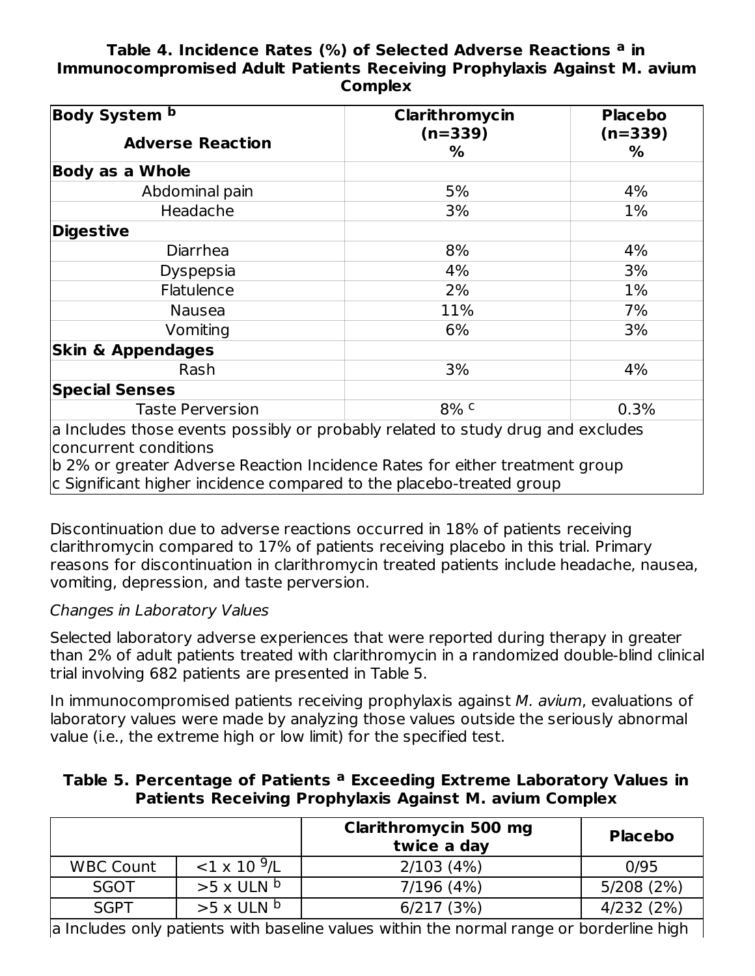#### **Table 4. Incidence Rates (%) of Selected Adverse Reactions in a Immunocompromised Adult Patients Receiving Prophylaxis Against M. avium Complex**

| <b>Body System b</b>                                                                                     | Clarithromycin | <b>Placebo</b> |
|----------------------------------------------------------------------------------------------------------|----------------|----------------|
| <b>Adverse Reaction</b>                                                                                  | $(n=339)$<br>% | $(n=339)$<br>% |
| <b>Body as a Whole</b>                                                                                   |                |                |
| Abdominal pain                                                                                           | 5%             | 4%             |
| Headache                                                                                                 | 3%             | 1%             |
| <b>Digestive</b>                                                                                         |                |                |
| Diarrhea                                                                                                 | 8%             | 4%             |
| Dyspepsia                                                                                                | 4%             | 3%             |
| Flatulence                                                                                               | 2%             | 1%             |
| <b>Nausea</b>                                                                                            | 11%            | 7%             |
| Vomiting                                                                                                 | 6%             | 3%             |
| <b>Skin &amp; Appendages</b>                                                                             |                |                |
| Rash                                                                                                     | 3%             | 4%             |
| <b>Special Senses</b>                                                                                    |                |                |
| <b>Taste Perversion</b>                                                                                  | 8% c           | 0.3%           |
| a Includes those events possibly or probably related to study drug and excludes<br>concurrent conditions |                |                |

b 2% or greater Adverse Reaction Incidence Rates for either treatment group

c Significant higher incidence compared to the placebo-treated group

Discontinuation due to adverse reactions occurred in 18% of patients receiving clarithromycin compared to 17% of patients receiving placebo in this trial. Primary reasons for discontinuation in clarithromycin treated patients include headache, nausea, vomiting, depression, and taste perversion.

### Changes in Laboratory Values

Selected laboratory adverse experiences that were reported during therapy in greater than 2% of adult patients treated with clarithromycin in a randomized double-blind clinical trial involving 682 patients are presented in Table 5.

In immunocompromised patients receiving prophylaxis against M. avium, evaluations of laboratory values were made by analyzing those values outside the seriously abnormal value (i.e., the extreme high or low limit) for the specified test.

#### **Table 5. Percentage of Patients Exceeding Extreme Laboratory Values in a Patients Receiving Prophylaxis Against M. avium Complex**

|                  |                            | Clarithromycin 500 mg<br>twice a day | <b>Placebo</b> |
|------------------|----------------------------|--------------------------------------|----------------|
| <b>WBC Count</b> | $<$ 1 x 10 $^9$ /L         | 2/103(4%)                            | 0/95           |
| <b>SGOT</b>      | $>5 \times$ ULN b          | 7/196 (4%)                           | 5/208(2%)      |
| <b>SGPT</b>      | $>5 \times$ ULN $^{\circ}$ | 6/217 (3%)                           | 4/232(2%)      |

 $\vert$ a Includes only patients with baseline values within the normal range or borderline high  $\vert$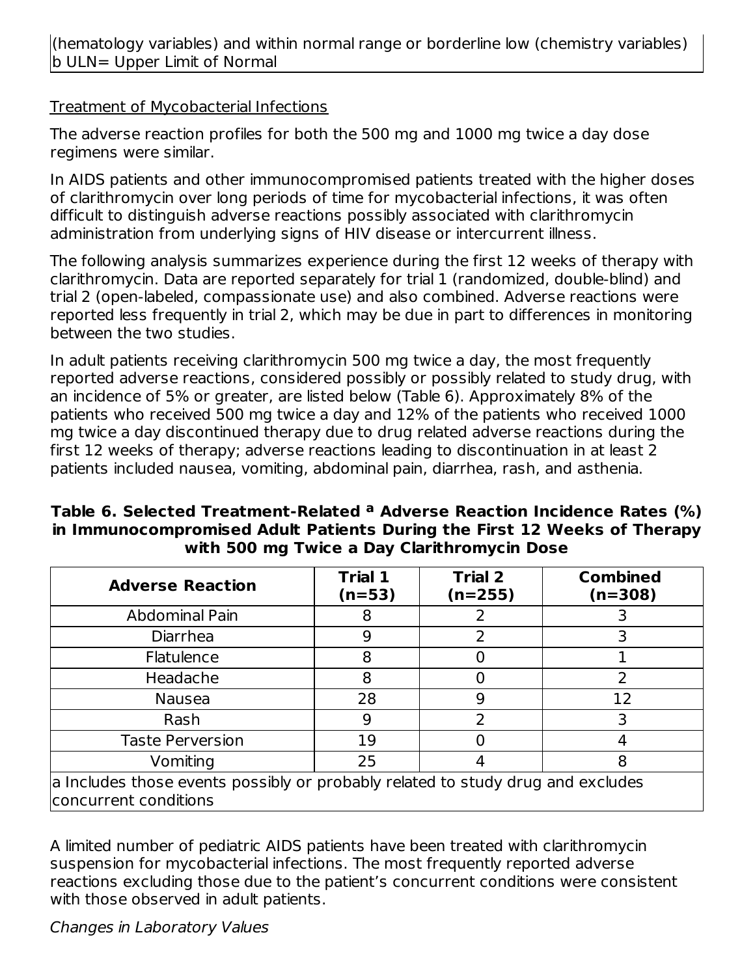(hematology variables) and within normal range or borderline low (chemistry variables) b ULN= Upper Limit of Normal

#### Treatment of Mycobacterial Infections

The adverse reaction profiles for both the 500 mg and 1000 mg twice a day dose regimens were similar.

In AIDS patients and other immunocompromised patients treated with the higher doses of clarithromycin over long periods of time for mycobacterial infections, it was often difficult to distinguish adverse reactions possibly associated with clarithromycin administration from underlying signs of HIV disease or intercurrent illness.

The following analysis summarizes experience during the first 12 weeks of therapy with clarithromycin. Data are reported separately for trial 1 (randomized, double-blind) and trial 2 (open-labeled, compassionate use) and also combined. Adverse reactions were reported less frequently in trial 2, which may be due in part to differences in monitoring between the two studies.

In adult patients receiving clarithromycin 500 mg twice a day, the most frequently reported adverse reactions, considered possibly or possibly related to study drug, with an incidence of 5% or greater, are listed below (Table 6). Approximately 8% of the patients who received 500 mg twice a day and 12% of the patients who received 1000 mg twice a day discontinued therapy due to drug related adverse reactions during the first 12 weeks of therapy; adverse reactions leading to discontinuation in at least 2 patients included nausea, vomiting, abdominal pain, diarrhea, rash, and asthenia.

| Table 6. Selected Treatment-Related <sup>a</sup> Adverse Reaction Incidence Rates (%) |
|---------------------------------------------------------------------------------------|
| in Immunocompromised Adult Patients During the First 12 Weeks of Therapy              |
| with 500 mg Twice a Day Clarithromycin Dose                                           |

| <b>Adverse Reaction</b>                                                                                  | <b>Trial 1</b><br>$(n=53)$ | <b>Trial 2</b><br>(n=255) | <b>Combined</b><br>$(n=308)$ |
|----------------------------------------------------------------------------------------------------------|----------------------------|---------------------------|------------------------------|
| Abdominal Pain                                                                                           | 8                          |                           |                              |
| Diarrhea                                                                                                 | 9                          |                           |                              |
| <b>Flatulence</b>                                                                                        | 8                          |                           |                              |
| Headache                                                                                                 | 8                          |                           |                              |
| <b>Nausea</b>                                                                                            | 28                         | q                         | 12                           |
| Rash                                                                                                     | 9                          | 2                         |                              |
| <b>Taste Perversion</b>                                                                                  | 19                         |                           |                              |
| Vomiting                                                                                                 | 25                         |                           | 8                            |
| a Includes those events possibly or probably related to study drug and excludes<br>concurrent conditions |                            |                           |                              |

A limited number of pediatric AIDS patients have been treated with clarithromycin suspension for mycobacterial infections. The most frequently reported adverse reactions excluding those due to the patient's concurrent conditions were consistent with those observed in adult patients.

Changes in Laboratory Values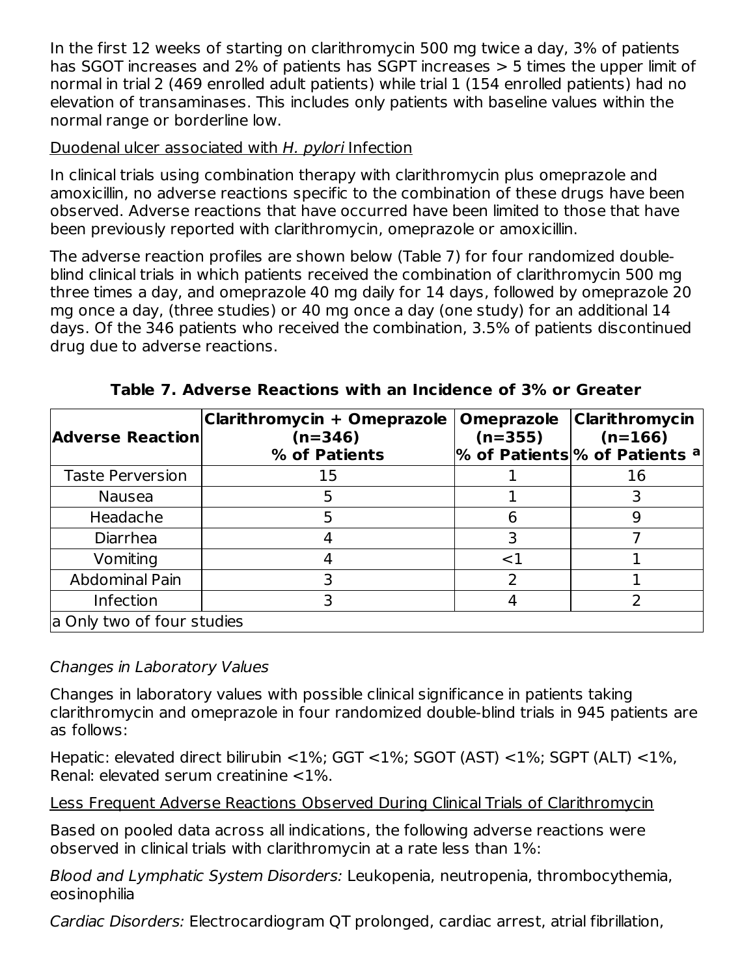In the first 12 weeks of starting on clarithromycin 500 mg twice a day, 3% of patients has SGOT increases and 2% of patients has SGPT increases > 5 times the upper limit of normal in trial 2 (469 enrolled adult patients) while trial 1 (154 enrolled patients) had no elevation of transaminases. This includes only patients with baseline values within the normal range or borderline low.

### Duodenal ulcer associated with H. pylori Infection

In clinical trials using combination therapy with clarithromycin plus omeprazole and amoxicillin, no adverse reactions specific to the combination of these drugs have been observed. Adverse reactions that have occurred have been limited to those that have been previously reported with clarithromycin, omeprazole or amoxicillin.

The adverse reaction profiles are shown below (Table 7) for four randomized doubleblind clinical trials in which patients received the combination of clarithromycin 500 mg three times a day, and omeprazole 40 mg daily for 14 days, followed by omeprazole 20 mg once a day, (three studies) or 40 mg once a day (one study) for an additional 14 days. Of the 346 patients who received the combination, 3.5% of patients discontinued drug due to adverse reactions.

| <b>Adverse Reaction</b>    | Clarithromycin + Omeprazole<br>$(n=346)$<br>% of Patients | <b>Omeprazole</b><br>$(n=355)$ | <b>Clarithromycin</b><br>$(n=166)$<br>% of Patients % of Patients a |
|----------------------------|-----------------------------------------------------------|--------------------------------|---------------------------------------------------------------------|
| <b>Taste Perversion</b>    | 15                                                        |                                | 16                                                                  |
| <b>Nausea</b>              |                                                           |                                |                                                                     |
| Headache                   |                                                           | 6                              |                                                                     |
| Diarrhea                   |                                                           |                                |                                                                     |
| Vomiting                   |                                                           | <1                             |                                                                     |
| Abdominal Pain             |                                                           |                                |                                                                     |
| Infection                  |                                                           |                                |                                                                     |
| a Only two of four studies |                                                           |                                |                                                                     |

**Table 7. Adverse Reactions with an Incidence of 3% or Greater**

# Changes in Laboratory Values

Changes in laboratory values with possible clinical significance in patients taking clarithromycin and omeprazole in four randomized double-blind trials in 945 patients are as follows:

Hepatic: elevated direct bilirubin <1%; GGT <1%; SGOT (AST) <1%; SGPT (ALT) <1%, Renal: elevated serum creatinine <1%.

Less Frequent Adverse Reactions Observed During Clinical Trials of Clarithromycin

Based on pooled data across all indications, the following adverse reactions were observed in clinical trials with clarithromycin at a rate less than 1%:

Blood and Lymphatic System Disorders: Leukopenia, neutropenia, thrombocythemia, eosinophilia

Cardiac Disorders: Electrocardiogram QT prolonged, cardiac arrest, atrial fibrillation,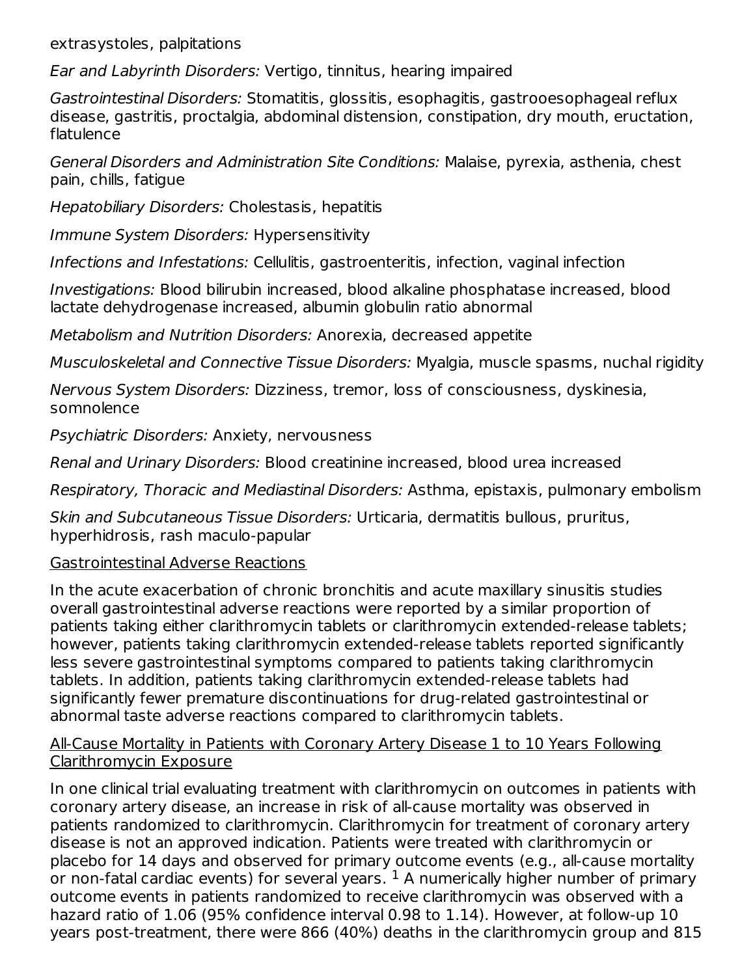extrasystoles, palpitations

Ear and Labyrinth Disorders: Vertigo, tinnitus, hearing impaired

Gastrointestinal Disorders: Stomatitis, glossitis, esophagitis, gastrooesophageal reflux disease, gastritis, proctalgia, abdominal distension, constipation, dry mouth, eructation, flatulence

General Disorders and Administration Site Conditions: Malaise, pyrexia, asthenia, chest pain, chills, fatigue

Hepatobiliary Disorders: Cholestasis, hepatitis

Immune System Disorders: Hypersensitivity

Infections and Infestations: Cellulitis, gastroenteritis, infection, vaginal infection

Investigations: Blood bilirubin increased, blood alkaline phosphatase increased, blood lactate dehydrogenase increased, albumin globulin ratio abnormal

Metabolism and Nutrition Disorders: Anorexia, decreased appetite

Musculoskeletal and Connective Tissue Disorders: Myalgia, muscle spasms, nuchal rigidity

Nervous System Disorders: Dizziness, tremor, loss of consciousness, dyskinesia, somnolence

Psychiatric Disorders: Anxiety, nervousness

Renal and Urinary Disorders: Blood creatinine increased, blood urea increased

Respiratory, Thoracic and Mediastinal Disorders: Asthma, epistaxis, pulmonary embolism

Skin and Subcutaneous Tissue Disorders: Urticaria, dermatitis bullous, pruritus, hyperhidrosis, rash maculo-papular

### Gastrointestinal Adverse Reactions

In the acute exacerbation of chronic bronchitis and acute maxillary sinusitis studies overall gastrointestinal adverse reactions were reported by a similar proportion of patients taking either clarithromycin tablets or clarithromycin extended-release tablets; however, patients taking clarithromycin extended-release tablets reported significantly less severe gastrointestinal symptoms compared to patients taking clarithromycin tablets. In addition, patients taking clarithromycin extended-release tablets had significantly fewer premature discontinuations for drug-related gastrointestinal or abnormal taste adverse reactions compared to clarithromycin tablets.

#### All-Cause Mortality in Patients with Coronary Artery Disease 1 to 10 Years Following Clarithromycin Exposure

In one clinical trial evaluating treatment with clarithromycin on outcomes in patients with coronary artery disease, an increase in risk of all-cause mortality was observed in patients randomized to clarithromycin. Clarithromycin for treatment of coronary artery disease is not an approved indication. Patients were treated with clarithromycin or placebo for 14 days and observed for primary outcome events (e.g., all-cause mortality or non-fatal cardiac events) for several years.  $^1$  A numerically higher number of primary outcome events in patients randomized to receive clarithromycin was observed with a hazard ratio of 1.06 (95% confidence interval 0.98 to 1.14). However, at follow-up 10 years post-treatment, there were 866 (40%) deaths in the clarithromycin group and 815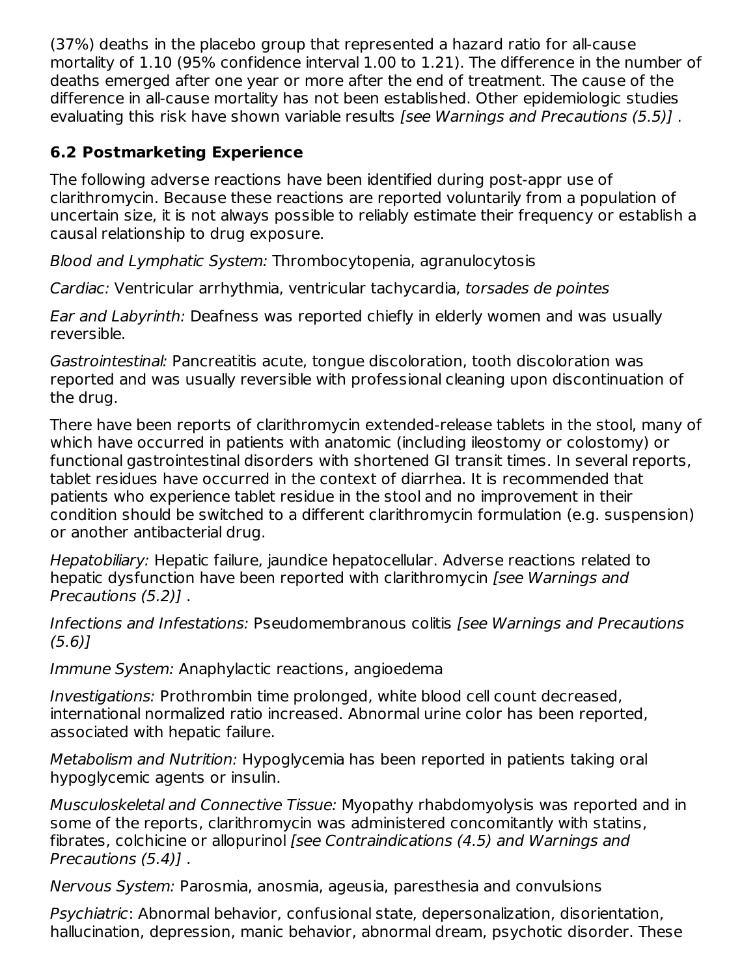(37%) deaths in the placebo group that represented a hazard ratio for all-cause mortality of 1.10 (95% confidence interval 1.00 to 1.21). The difference in the number of deaths emerged after one year or more after the end of treatment. The cause of the difference in all-cause mortality has not been established. Other epidemiologic studies evaluating this risk have shown variable results *[see Warnings and Precautions (5.5)]*.

# **6.2 Postmarketing Experience**

The following adverse reactions have been identified during post-appr use of clarithromycin. Because these reactions are reported voluntarily from a population of uncertain size, it is not always possible to reliably estimate their frequency or establish a causal relationship to drug exposure.

Blood and Lymphatic System: Thrombocytopenia, agranulocytosis

Cardiac: Ventricular arrhythmia, ventricular tachycardia, torsades de pointes

Ear and Labyrinth: Deafness was reported chiefly in elderly women and was usually reversible.

Gastrointestinal: Pancreatitis acute, tongue discoloration, tooth discoloration was reported and was usually reversible with professional cleaning upon discontinuation of the drug.

There have been reports of clarithromycin extended-release tablets in the stool, many of which have occurred in patients with anatomic (including ileostomy or colostomy) or functional gastrointestinal disorders with shortened GI transit times. In several reports, tablet residues have occurred in the context of diarrhea. It is recommended that patients who experience tablet residue in the stool and no improvement in their condition should be switched to a different clarithromycin formulation (e.g. suspension) or another antibacterial drug.

Hepatobiliary: Hepatic failure, jaundice hepatocellular. Adverse reactions related to hepatic dysfunction have been reported with clarithromycin *[see Warnings and* Precautions (5.2)] .

Infections and Infestations: Pseudomembranous colitis [see Warnings and Precautions (5.6)]

Immune System: Anaphylactic reactions, angioedema

Investigations: Prothrombin time prolonged, white blood cell count decreased, international normalized ratio increased. Abnormal urine color has been reported, associated with hepatic failure.

Metabolism and Nutrition: Hypoglycemia has been reported in patients taking oral hypoglycemic agents or insulin.

Musculoskeletal and Connective Tissue: Myopathy rhabdomyolysis was reported and in some of the reports, clarithromycin was administered concomitantly with statins, fibrates, colchicine or allopurinol *[see Contraindications (4.5) and Warnings and* Precautions (5.4)] .

Nervous System: Parosmia, anosmia, ageusia, paresthesia and convulsions

Psychiatric: Abnormal behavior, confusional state, depersonalization, disorientation, hallucination, depression, manic behavior, abnormal dream, psychotic disorder. These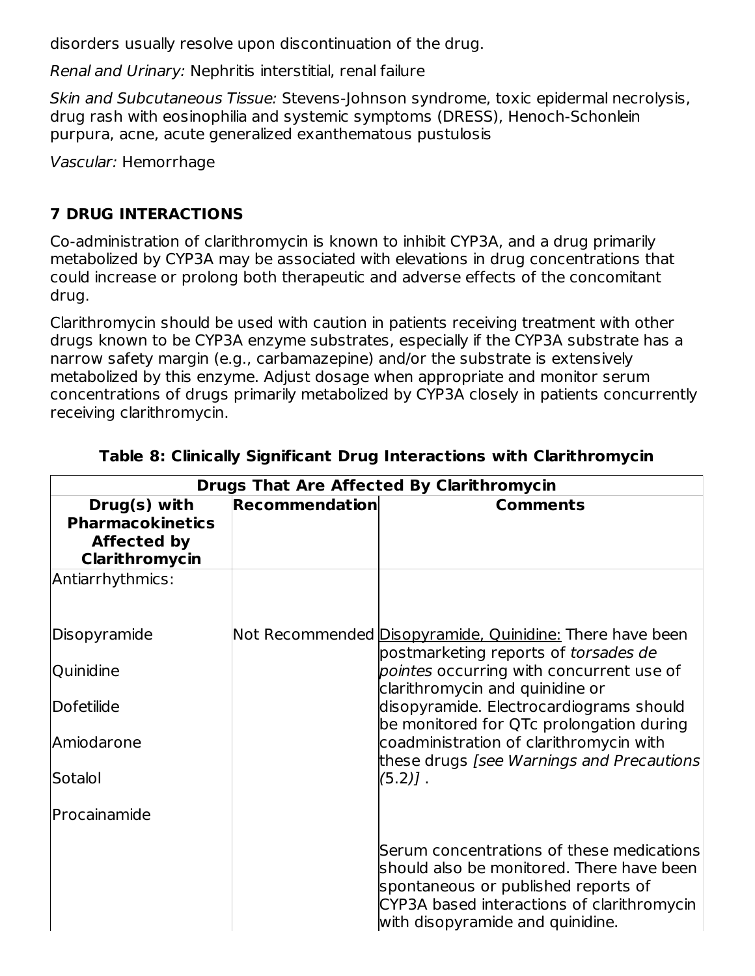disorders usually resolve upon discontinuation of the drug.

Renal and Urinary: Nephritis interstitial, renal failure

Skin and Subcutaneous Tissue: Stevens-Johnson syndrome, toxic epidermal necrolysis, drug rash with eosinophilia and systemic symptoms (DRESS), Henoch-Schonlein purpura, acne, acute generalized exanthematous pustulosis

Vascular: Hemorrhage

# **7 DRUG INTERACTIONS**

Co-administration of clarithromycin is known to inhibit CYP3A, and a drug primarily metabolized by CYP3A may be associated with elevations in drug concentrations that could increase or prolong both therapeutic and adverse effects of the concomitant drug.

Clarithromycin should be used with caution in patients receiving treatment with other drugs known to be CYP3A enzyme substrates, especially if the CYP3A substrate has a narrow safety margin (e.g., carbamazepine) and/or the substrate is extensively metabolized by this enzyme. Adjust dosage when appropriate and monitor serum concentrations of drugs primarily metabolized by CYP3A closely in patients concurrently receiving clarithromycin.

| <b>Drugs That Are Affected By Clarithromycin</b>                                |                       |                                                                                                                                                                                                                 |  |
|---------------------------------------------------------------------------------|-----------------------|-----------------------------------------------------------------------------------------------------------------------------------------------------------------------------------------------------------------|--|
| Drug(s) with<br><b>Pharmacokinetics</b><br><b>Affected by</b><br>Clarithromycin | <b>Recommendation</b> | <b>Comments</b>                                                                                                                                                                                                 |  |
| Antiarrhythmics:                                                                |                       |                                                                                                                                                                                                                 |  |
| Disopyramide                                                                    |                       | Not Recommended Disopyramide, Quinidine: There have been<br>postmarketing reports of torsades de                                                                                                                |  |
| Quinidine                                                                       |                       | pointes occurring with concurrent use of<br>clarithromycin and quinidine or                                                                                                                                     |  |
| Dofetilide                                                                      |                       | disopyramide. Electrocardiograms should<br>be monitored for QTc prolongation during                                                                                                                             |  |
| Amiodarone                                                                      |                       | coadministration of clarithromycin with<br>these drugs [see Warnings and Precautions]                                                                                                                           |  |
| Sotalol                                                                         |                       | $(5.2)$ ].                                                                                                                                                                                                      |  |
| Procainamide                                                                    |                       |                                                                                                                                                                                                                 |  |
|                                                                                 |                       | Serum concentrations of these medications<br>should also be monitored. There have been<br>spontaneous or published reports of<br>CYP3A based interactions of clarithromycin<br>with disopyramide and quinidine. |  |

#### **Table 8: Clinically Significant Drug Interactions with Clarithromycin**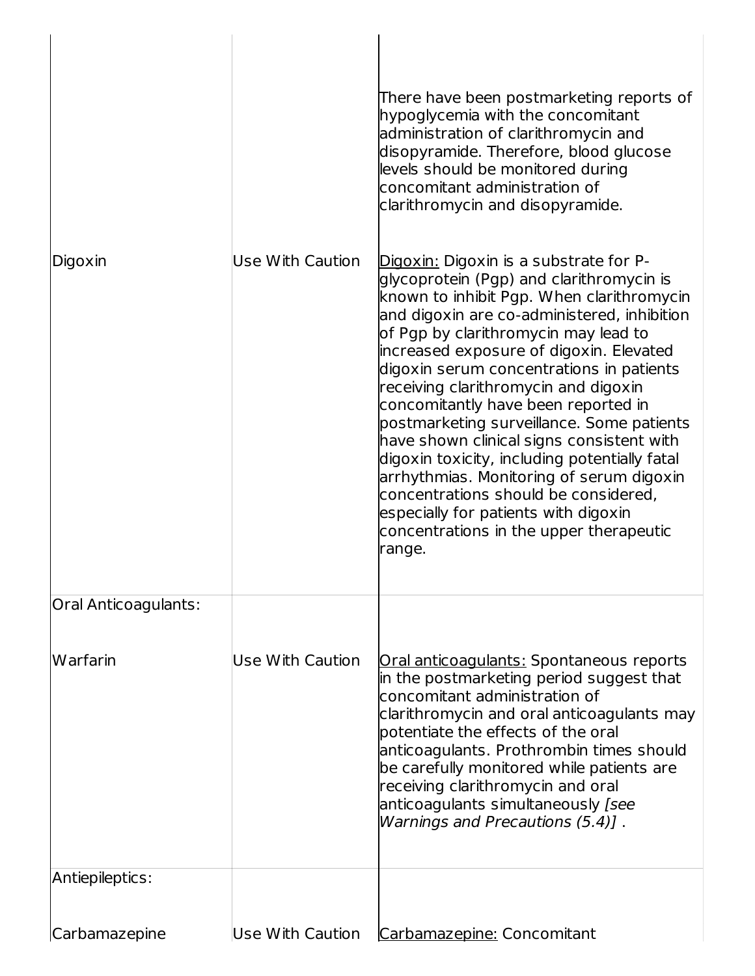| Digoxin              | Use With Caution | There have been postmarketing reports of<br>hypoglycemia with the concomitant<br>administration of clarithromycin and<br>disopyramide. Therefore, blood glucose<br>levels should be monitored during<br>concomitant administration of<br>clarithromycin and disopyramide.<br>Digoxin: Digoxin is a substrate for P-<br>glycoprotein (Pgp) and clarithromycin is<br>known to inhibit Pgp. When clarithromycin<br>and digoxin are co-administered, inhibition<br>of Pgp by clarithromycin may lead to<br>increased exposure of digoxin. Elevated<br>digoxin serum concentrations in patients<br>receiving clarithromycin and digoxin<br>concomitantly have been reported in<br>postmarketing surveillance. Some patients<br>have shown clinical signs consistent with<br>digoxin toxicity, including potentially fatal<br>arrhythmias. Monitoring of serum digoxin<br>concentrations should be considered,<br>especially for patients with digoxin<br>concentrations in the upper therapeutic<br>range. |
|----------------------|------------------|-------------------------------------------------------------------------------------------------------------------------------------------------------------------------------------------------------------------------------------------------------------------------------------------------------------------------------------------------------------------------------------------------------------------------------------------------------------------------------------------------------------------------------------------------------------------------------------------------------------------------------------------------------------------------------------------------------------------------------------------------------------------------------------------------------------------------------------------------------------------------------------------------------------------------------------------------------------------------------------------------------|
| Oral Anticoagulants: |                  |                                                                                                                                                                                                                                                                                                                                                                                                                                                                                                                                                                                                                                                                                                                                                                                                                                                                                                                                                                                                       |
| Warfarin             | Use With Caution | Oral anticoagulants: Spontaneous reports<br>in the postmarketing period suggest that<br>concomitant administration of<br>clarithromycin and oral anticoagulants may<br>potentiate the effects of the oral<br>anticoagulants. Prothrombin times should<br>be carefully monitored while patients are<br>receiving clarithromycin and oral<br>anticoagulants simultaneously [see<br>Warnings and Precautions (5.4)].                                                                                                                                                                                                                                                                                                                                                                                                                                                                                                                                                                                     |
| Antiepileptics:      |                  |                                                                                                                                                                                                                                                                                                                                                                                                                                                                                                                                                                                                                                                                                                                                                                                                                                                                                                                                                                                                       |
| Carbamazepine        | Use With Caution | Carbamazepine: Concomitant                                                                                                                                                                                                                                                                                                                                                                                                                                                                                                                                                                                                                                                                                                                                                                                                                                                                                                                                                                            |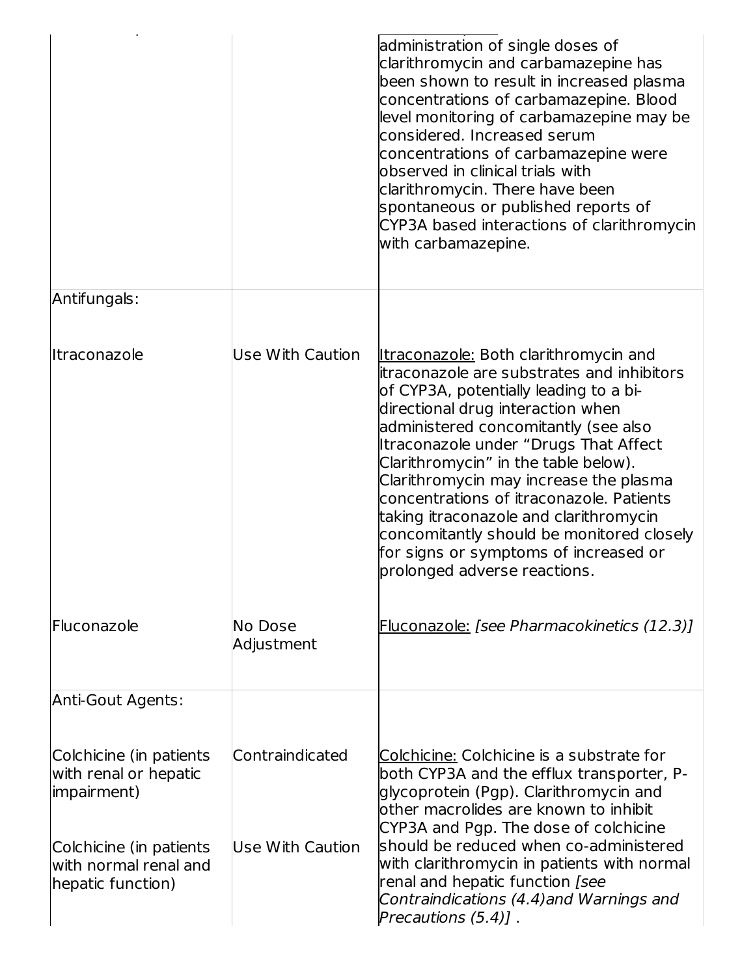|                                                                       |                       | administration of single doses of<br>clarithromycin and carbamazepine has<br>been shown to result in increased plasma<br>concentrations of carbamazepine. Blood<br>level monitoring of carbamazepine may be<br>considered. Increased serum<br>concentrations of carbamazepine were<br>observed in clinical trials with<br>clarithromycin. There have been<br>spontaneous or published reports of<br>CYP3A based interactions of clarithromycin<br>with carbamazepine.                                                                                     |
|-----------------------------------------------------------------------|-----------------------|-----------------------------------------------------------------------------------------------------------------------------------------------------------------------------------------------------------------------------------------------------------------------------------------------------------------------------------------------------------------------------------------------------------------------------------------------------------------------------------------------------------------------------------------------------------|
| Antifungals:                                                          |                       |                                                                                                                                                                                                                                                                                                                                                                                                                                                                                                                                                           |
| lltraconazole                                                         | Use With Caution      | <u>Itraconazole:</u> Both clarithromycin and<br>litraconazole are substrates and inhibitors<br>of CYP3A, potentially leading to a bi-<br>directional drug interaction when<br>administered concomitantly (see also<br>Itraconazole under "Drugs That Affect<br>Clarithromycin" in the table below).<br>Clarithromycin may increase the plasma<br>concentrations of itraconazole. Patients<br>taking itraconazole and clarithromycin<br>concomitantly should be monitored closely<br>for signs or symptoms of increased or<br>prolonged adverse reactions. |
| Fluconazole                                                           | No Dose<br>Adjustment | Fluconazole: [see Pharmacokinetics (12.3)]                                                                                                                                                                                                                                                                                                                                                                                                                                                                                                                |
| Anti-Gout Agents:                                                     |                       |                                                                                                                                                                                                                                                                                                                                                                                                                                                                                                                                                           |
| Colchicine (in patients<br>with renal or hepatic<br>(impairment)      | Contraindicated       | Colchicine: Colchicine is a substrate for<br>both CYP3A and the efflux transporter, P-<br>glycoprotein (Pgp). Clarithromycin and<br>other macrolides are known to inhibit<br>CYP3A and Pgp. The dose of colchicine                                                                                                                                                                                                                                                                                                                                        |
| Colchicine (in patients<br>with normal renal and<br>hepatic function) | Use With Caution      | should be reduced when co-administered<br>with clarithromycin in patients with normal<br>renal and hepatic function [see<br>Contraindications (4.4) and Warnings and<br>Precautions $(5.4)$ ].                                                                                                                                                                                                                                                                                                                                                            |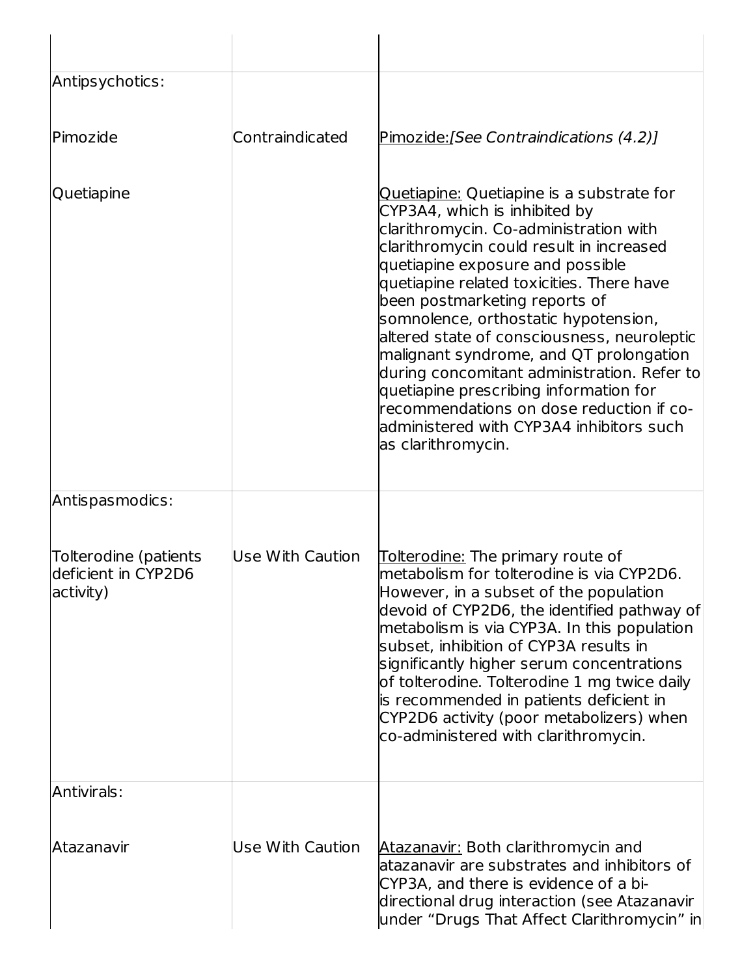| Antipsychotics:                                           |                         |                                                                                                                                                                                                                                                                                                                                                                                                                                                                                                                                                                                                                              |
|-----------------------------------------------------------|-------------------------|------------------------------------------------------------------------------------------------------------------------------------------------------------------------------------------------------------------------------------------------------------------------------------------------------------------------------------------------------------------------------------------------------------------------------------------------------------------------------------------------------------------------------------------------------------------------------------------------------------------------------|
| <b>IPimozide</b>                                          | Contraindicated         | Pimozide: [See Contraindications (4.2)]                                                                                                                                                                                                                                                                                                                                                                                                                                                                                                                                                                                      |
| Quetiapine                                                |                         | Quetiapine: Quetiapine is a substrate for<br>CYP3A4, which is inhibited by<br>clarithromycin. Co-administration with<br>clarithromycin could result in increased<br>quetiapine exposure and possible<br>quetiapine related toxicities. There have<br>been postmarketing reports of<br>somnolence, orthostatic hypotension,<br>altered state of consciousness, neuroleptic<br>malignant syndrome, and QT prolongation<br>during concomitant administration. Refer to<br>quetiapine prescribing information for<br>recommendations on dose reduction if co-<br>ladministered with CYP3A4 inhibitors such<br>as clarithromycin. |
| Antispasmodics:                                           |                         |                                                                                                                                                                                                                                                                                                                                                                                                                                                                                                                                                                                                                              |
| Tolterodine (patients<br>deficient in CYP2D6<br>activity) | Use With Caution        | <b>Tolterodine:</b> The primary route of<br>metabolism for tolterodine is via CYP2D6.<br>However, in a subset of the population<br>devoid of CYP2D6, the identified pathway of<br>metabolism is via CYP3A. In this population<br>subset, inhibition of CYP3A results in<br>significantly higher serum concentrations<br>of tolterodine. Tolterodine 1 mg twice daily<br>is recommended in patients deficient in<br>CYP2D6 activity (poor metabolizers) when<br>co-administered with clarithromycin.                                                                                                                          |
| Antivirals:                                               |                         |                                                                                                                                                                                                                                                                                                                                                                                                                                                                                                                                                                                                                              |
| <b>Atazanavir</b>                                         | <b>Use With Caution</b> | <u>Atazanavir:</u> Both clarithromycin and<br>atazanavir are substrates and inhibitors of<br>CYP3A, and there is evidence of a bi-<br>directional drug interaction (see Atazanavir<br>under "Drugs That Affect Clarithromycin" in                                                                                                                                                                                                                                                                                                                                                                                            |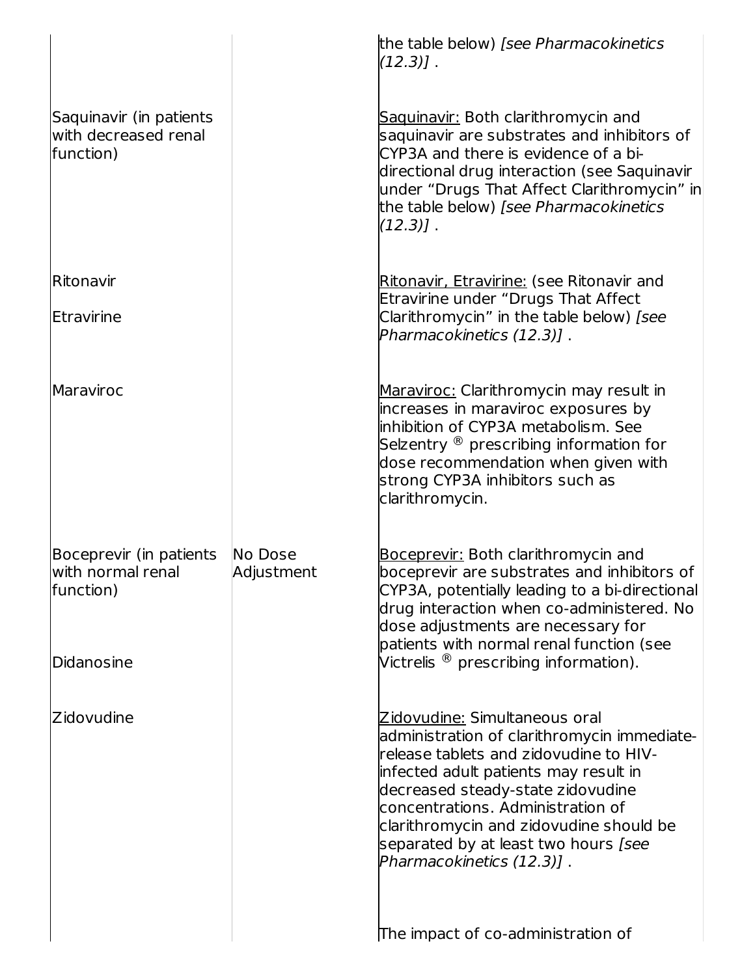|                                                              |                       | the table below) [see Pharmacokinetics<br>$(12.3)$ ].                                                                                                                                                                                                                                                                                                      |
|--------------------------------------------------------------|-----------------------|------------------------------------------------------------------------------------------------------------------------------------------------------------------------------------------------------------------------------------------------------------------------------------------------------------------------------------------------------------|
| Saquinavir (in patients<br>with decreased renal<br>function) |                       | Saquinavir: Both clarithromycin and<br>saquinavir are substrates and inhibitors of<br>CYP3A and there is evidence of a bi-<br>directional drug interaction (see Saguinavir<br>under "Drugs That Affect Clarithromycin" in<br>the table below) [see Pharmacokinetics<br>$(12.3)$ ].                                                                         |
| Ritonavir                                                    |                       | Ritonavir, Etravirine: (see Ritonavir and                                                                                                                                                                                                                                                                                                                  |
| Etravirine                                                   |                       | Etravirine under "Drugs That Affect<br>Clarithromycin" in the table below) [see<br>Pharmacokinetics (12.3)].                                                                                                                                                                                                                                               |
| <b>Maraviroc</b>                                             |                       | Maraviroc: Clarithromycin may result in<br>increases in maraviroc exposures by<br>linhibition of CYP3A metabolism. See<br>Selzentry $^{\circledR}$ prescribing information for<br>dose recommendation when given with<br>strong CYP3A inhibitors such as<br>clarithromycin.                                                                                |
| Boceprevir (in patients<br>with normal renal<br>function)    | No Dose<br>Adjustment | Boceprevir: Both clarithromycin and<br>boceprevir are substrates and inhibitors of<br>CYP3A, potentially leading to a bi-directional<br>drug interaction when co-administered. No<br>dose adjustments are necessary for<br>patients with normal renal function (see                                                                                        |
| Didanosine                                                   |                       | Victrelis $^\circledR$ prescribing information).                                                                                                                                                                                                                                                                                                           |
| Zidovudine                                                   |                       | Zidovudine: Simultaneous oral<br>administration of clarithromycin immediate-<br>release tablets and zidovudine to HIV-<br>infected adult patients may result in<br>decreased steady-state zidovudine<br>concentrations. Administration of<br>clarithromycin and zidovudine should be<br>separated by at least two hours [see<br>Pharmacokinetics (12.3)] . |
|                                                              |                       | The impact of co-administration of                                                                                                                                                                                                                                                                                                                         |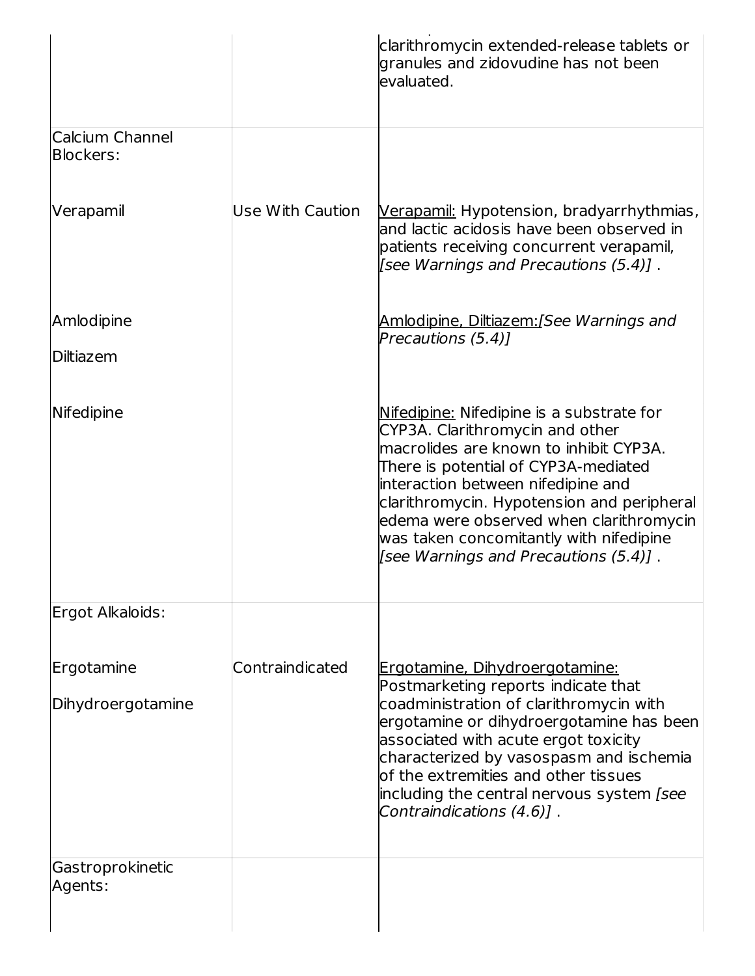|                                     |                  | clarithromycin extended-release tablets or<br>granules and zidovudine has not been<br>evaluated.                                                                                                                                                                                                                                                                                  |
|-------------------------------------|------------------|-----------------------------------------------------------------------------------------------------------------------------------------------------------------------------------------------------------------------------------------------------------------------------------------------------------------------------------------------------------------------------------|
| Calcium Channel<br><b>Blockers:</b> |                  |                                                                                                                                                                                                                                                                                                                                                                                   |
| Verapamil                           | Use With Caution | Verapamil: Hypotension, bradyarrhythmias,<br>land lactic acidosis have been observed in<br>patients receiving concurrent verapamil,<br>[see Warnings and Precautions (5.4)].                                                                                                                                                                                                      |
| Amlodipine                          |                  | <u> Amlodipine, Diltiazem:</u> [See Warnings and<br>Precautions (5.4)]                                                                                                                                                                                                                                                                                                            |
| Diltiazem                           |                  |                                                                                                                                                                                                                                                                                                                                                                                   |
| Nifedipine                          |                  | Nifedipine: Nifedipine is a substrate for<br>CYP3A. Clarithromycin and other<br>macrolides are known to inhibit CYP3A.<br>There is potential of CYP3A-mediated<br>interaction between nifedipine and<br>clarithromycin. Hypotension and peripheral<br>edema were observed when clarithromycin<br>was taken concomitantly with nifedipine<br>[see Warnings and Precautions (5.4)]. |
| Ergot Alkaloids:                    |                  |                                                                                                                                                                                                                                                                                                                                                                                   |
| Ergotamine                          | Contraindicated  | <u>Ergotamine, Dihydroergotamine:</u>                                                                                                                                                                                                                                                                                                                                             |
| Dihydroergotamine                   |                  | Postmarketing reports indicate that<br>coadministration of clarithromycin with<br>ergotamine or dihydroergotamine has been<br>associated with acute ergot toxicity<br>characterized by vasospasm and ischemia<br>of the extremities and other tissues<br>including the central nervous system <i>[see</i><br>Contraindications (4.6)].                                            |
| Gastroprokinetic<br>Agents:         |                  |                                                                                                                                                                                                                                                                                                                                                                                   |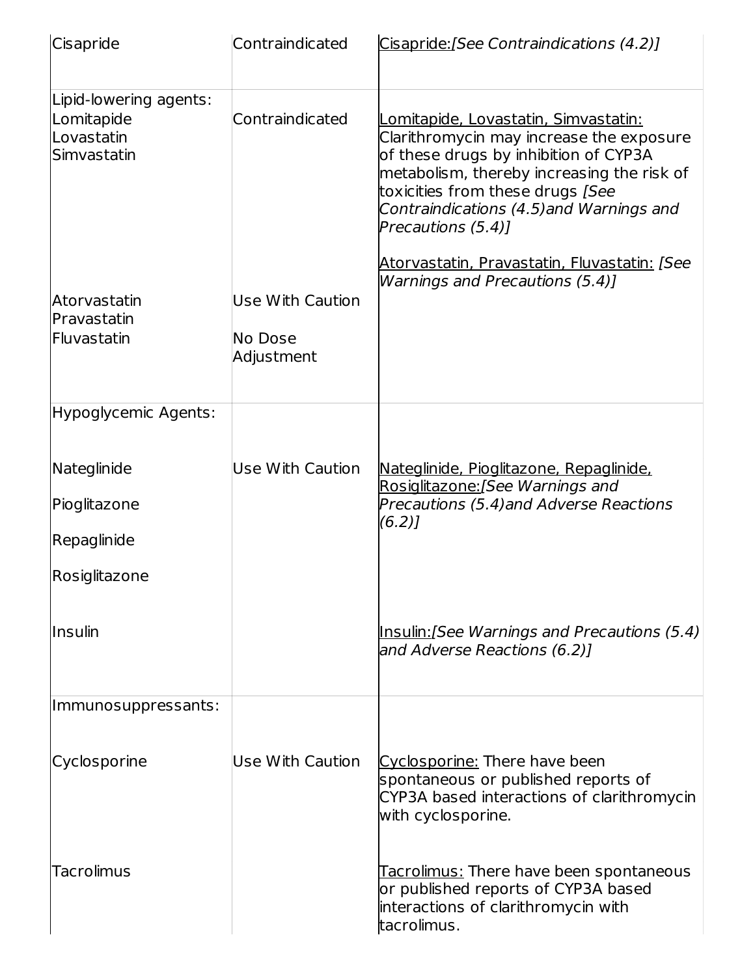| Cisapride                                                         | Contraindicated                           | Cisapride: [See Contraindications (4.2)]                                                                                                                                                                                                                                              |
|-------------------------------------------------------------------|-------------------------------------------|---------------------------------------------------------------------------------------------------------------------------------------------------------------------------------------------------------------------------------------------------------------------------------------|
| Lipid-lowering agents:<br>Lomitapide<br>Lovastatin<br>Simvastatin | Contraindicated                           | <u> Lomitapide, Lovastatin, Simvastatin:</u><br>Clarithromycin may increase the exposure<br>of these drugs by inhibition of CYP3A<br>metabolism, thereby increasing the risk of<br>toxicities from these drugs [See<br>Contraindications (4.5) and Warnings and<br>Precautions (5.4)] |
| Atorvastatin<br>Pravastatin<br>Fluvastatin                        | Use With Caution<br>No Dose<br>Adjustment | <u> Atorvastatin, Pravastatin, Fluvastatin: [See</u><br>Warnings and Precautions (5.4)]                                                                                                                                                                                               |
| Hypoglycemic Agents:                                              |                                           |                                                                                                                                                                                                                                                                                       |
| Nateglinide<br>Pioglitazone<br>Repaglinide<br>Rosiglitazone       | <b>Use With Caution</b>                   | <u>Nateglinide, Pioglitazone, Repaglinide,</u><br>Rosiglitazone: [See Warnings and<br>Precautions (5.4) and Adverse Reactions<br>$(6.2)$ ]                                                                                                                                            |
| <b>Insulin</b>                                                    |                                           | Insulin: [See Warnings and Precautions (5.4)<br>and Adverse Reactions (6.2)1                                                                                                                                                                                                          |
| Immunosuppressants:                                               |                                           |                                                                                                                                                                                                                                                                                       |
| Cyclosporine                                                      | Use With Caution                          | Cyclosporine: There have been<br>spontaneous or published reports of<br>CYP3A based interactions of clarithromycin<br>with cyclosporine.                                                                                                                                              |
| <b>Tacrolimus</b>                                                 |                                           | <u> Tacrolimus:</u> There have been spontaneous<br>or published reports of CYP3A based<br>interactions of clarithromycin with<br>tacrolimus.                                                                                                                                          |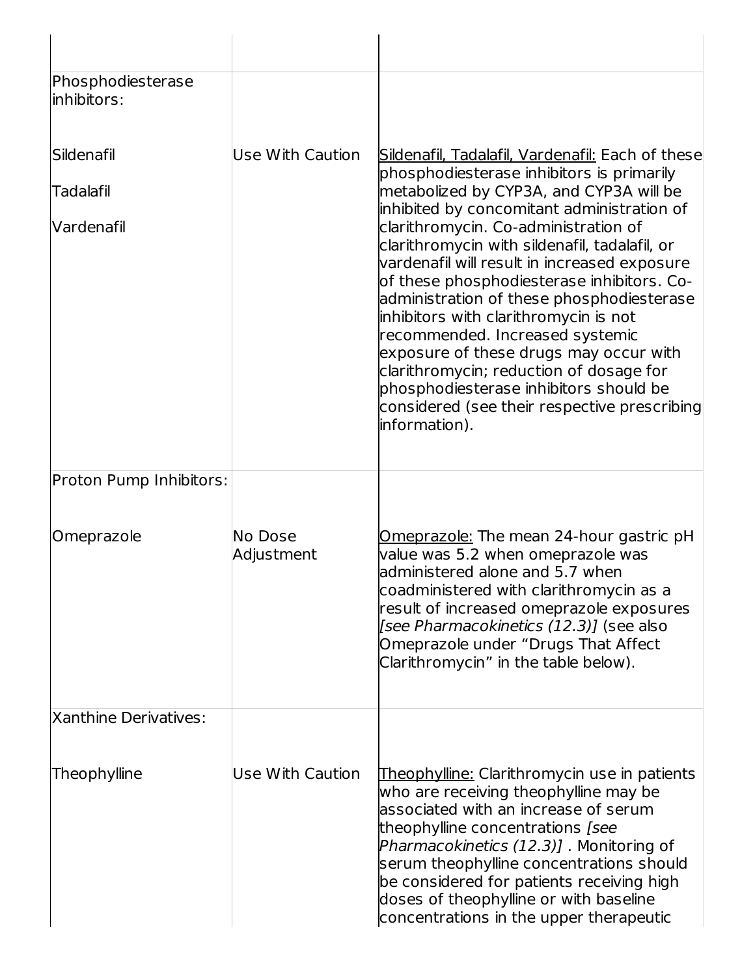| Phosphodiesterase<br>linhibitors: |                         |                                                                                                                                                                                                                                                                                                                                                                                                                                                                                                              |
|-----------------------------------|-------------------------|--------------------------------------------------------------------------------------------------------------------------------------------------------------------------------------------------------------------------------------------------------------------------------------------------------------------------------------------------------------------------------------------------------------------------------------------------------------------------------------------------------------|
| <b>Sildenafil</b>                 | Use With Caution        | Sildenafil, Tadalafil, Vardenafil: Each of these<br>phosphodiesterase inhibitors is primarily                                                                                                                                                                                                                                                                                                                                                                                                                |
| Tadalafil                         |                         | metabolized by CYP3A, and CYP3A will be<br>inhibited by concomitant administration of                                                                                                                                                                                                                                                                                                                                                                                                                        |
| <b>Vardenafil</b>                 |                         | clarithromycin. Co-administration of<br>clarithromycin with sildenafil, tadalafil, or<br>vardenafil will result in increased exposure<br>of these phosphodiesterase inhibitors. Co-<br>administration of these phosphodiesterase<br>inhibitors with clarithromycin is not<br>recommended. Increased systemic<br>exposure of these drugs may occur with<br>clarithromycin; reduction of dosage for<br>phosphodiesterase inhibitors should be<br>considered (see their respective prescribing<br>information). |
| Proton Pump Inhibitors:           |                         |                                                                                                                                                                                                                                                                                                                                                                                                                                                                                                              |
| Omeprazole                        | No Dose<br>Adjustment   | Omeprazole: The mean 24-hour gastric pH<br>value was 5.2 when omeprazole was<br>administered alone and 5.7 when<br>coadministered with clarithromycin as a<br>result of increased omeprazole exposures<br>[see Pharmacokinetics (12.3)] (see also<br>Omeprazole under "Drugs That Affect<br>Clarithromycin" in the table below).                                                                                                                                                                             |
| <b>Xanthine Derivatives:</b>      |                         |                                                                                                                                                                                                                                                                                                                                                                                                                                                                                                              |
| Theophylline                      | <b>Use With Caution</b> | Theophylline: Clarithromycin use in patients<br>who are receiving theophylline may be<br>associated with an increase of serum<br>theophylline concentrations [see<br>Pharmacokinetics (12.3)]. Monitoring of<br>serum theophylline concentrations should<br>be considered for patients receiving high<br>doses of theophylline or with baseline<br>concentrations in the upper therapeutic                                                                                                                   |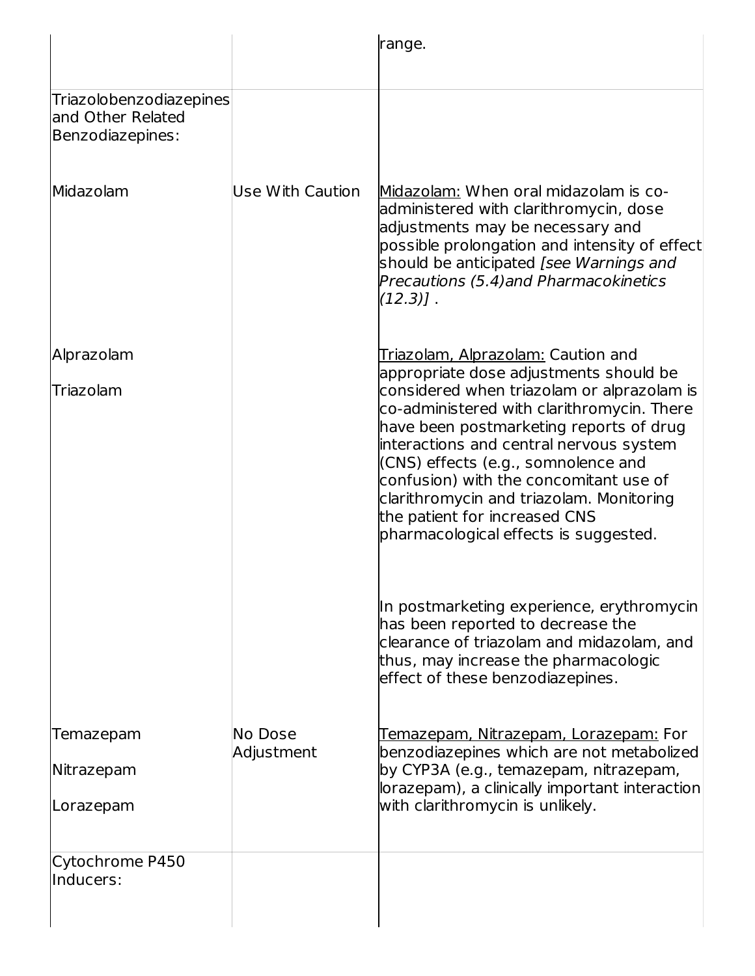|                                                                         |                  | range.                                                                                                                                                                                                                                                                                                                                                                                                                                                                |
|-------------------------------------------------------------------------|------------------|-----------------------------------------------------------------------------------------------------------------------------------------------------------------------------------------------------------------------------------------------------------------------------------------------------------------------------------------------------------------------------------------------------------------------------------------------------------------------|
| <b>Triazolobenzodiazepines</b><br>and Other Related<br>Benzodiazepines: |                  |                                                                                                                                                                                                                                                                                                                                                                                                                                                                       |
| Midazolam                                                               | Use With Caution | Midazolam: When oral midazolam is co-<br>administered with clarithromycin, dose<br>adjustments may be necessary and<br>possible prolongation and intensity of effect<br>should be anticipated [see Warnings and<br>Precautions (5.4) and Pharmacokinetics<br>$(12.3)$ ].                                                                                                                                                                                              |
| Alprazolam<br>Triazolam                                                 |                  | Triazolam, Alprazolam: Caution and<br>appropriate dose adjustments should be<br>considered when triazolam or alprazolam is<br>co-administered with clarithromycin. There<br>have been postmarketing reports of drug<br>interactions and central nervous system<br>(CNS) effects (e.g., somnolence and<br>confusion) with the concomitant use of<br>clarithromycin and triazolam. Monitoring<br>the patient for increased CNS<br>pharmacological effects is suggested. |
|                                                                         |                  | In postmarketing experience, erythromycin<br>has been reported to decrease the<br>clearance of triazolam and midazolam, and<br>thus, may increase the pharmacologic<br>effect of these benzodiazepines.                                                                                                                                                                                                                                                               |
| Temazepam                                                               | No Dose          | <u>Temazepam, Nitrazepam, Lorazepam:</u> For                                                                                                                                                                                                                                                                                                                                                                                                                          |
| Nitrazepam                                                              | Adjustment       | benzodiazepines which are not metabolized<br>by CYP3A (e.g., temazepam, nitrazepam,<br>lorazepam), a clinically important interaction                                                                                                                                                                                                                                                                                                                                 |
| Lorazepam                                                               |                  | with clarithromycin is unlikely.                                                                                                                                                                                                                                                                                                                                                                                                                                      |
| Cytochrome P450<br>Inducers:                                            |                  |                                                                                                                                                                                                                                                                                                                                                                                                                                                                       |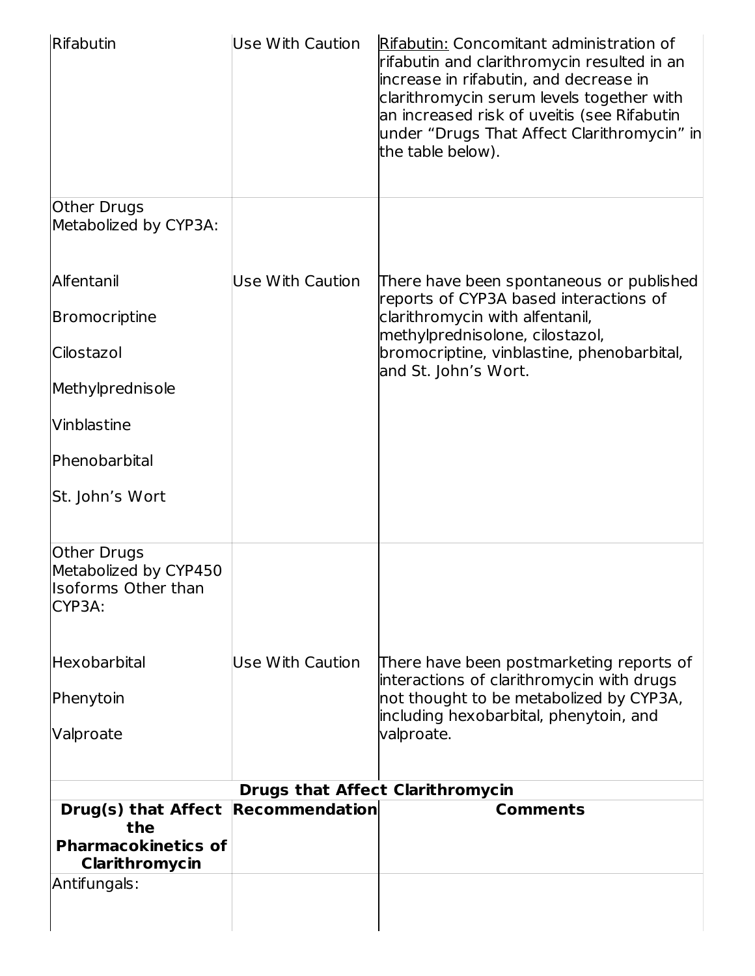| Rifabutin                                                                    | <b>Use With Caution</b> | Rifabutin: Concomitant administration of<br>rifabutin and clarithromycin resulted in an<br>lincrease in rifabutin, and decrease in<br>clarithromycin serum levels together with<br>an increased risk of uveitis (see Rifabutin<br>under "Drugs That Affect Clarithromycin" in<br>the table below). |
|------------------------------------------------------------------------------|-------------------------|----------------------------------------------------------------------------------------------------------------------------------------------------------------------------------------------------------------------------------------------------------------------------------------------------|
| Other Drugs<br>Metabolized by CYP3A:                                         |                         |                                                                                                                                                                                                                                                                                                    |
| Alfentanil                                                                   | Use With Caution        | There have been spontaneous or published                                                                                                                                                                                                                                                           |
| <b>Bromocriptine</b>                                                         |                         | reports of CYP3A based interactions of<br>clarithromycin with alfentanil,                                                                                                                                                                                                                          |
| Cilostazol                                                                   |                         | methylprednisolone, cilostazol,<br>bromocriptine, vinblastine, phenobarbital,<br>and St. John's Wort.                                                                                                                                                                                              |
| Methylprednisole                                                             |                         |                                                                                                                                                                                                                                                                                                    |
| Vinblastine                                                                  |                         |                                                                                                                                                                                                                                                                                                    |
| Phenobarbital                                                                |                         |                                                                                                                                                                                                                                                                                                    |
| St. John's Wort                                                              |                         |                                                                                                                                                                                                                                                                                                    |
| Other Drugs<br>Metabolized by CYP450<br><b>Isoforms Other than</b><br>CYP3A: |                         |                                                                                                                                                                                                                                                                                                    |
| Hexobarbital                                                                 | Use With Caution        | There have been postmarketing reports of                                                                                                                                                                                                                                                           |
| Phenytoin                                                                    |                         | interactions of clarithromycin with drugs<br>not thought to be metabolized by CYP3A,<br>including hexobarbital, phenytoin, and                                                                                                                                                                     |
| Valproate                                                                    |                         | valproate.                                                                                                                                                                                                                                                                                         |
| <b>Drugs that Affect Clarithromycin</b>                                      |                         |                                                                                                                                                                                                                                                                                                    |
| Drug(s) that Affect<br>the<br><b>Pharmacokinetics of</b><br>Clarithromycin   | <b>Recommendation</b>   | <b>Comments</b>                                                                                                                                                                                                                                                                                    |
| Antifungals:                                                                 |                         |                                                                                                                                                                                                                                                                                                    |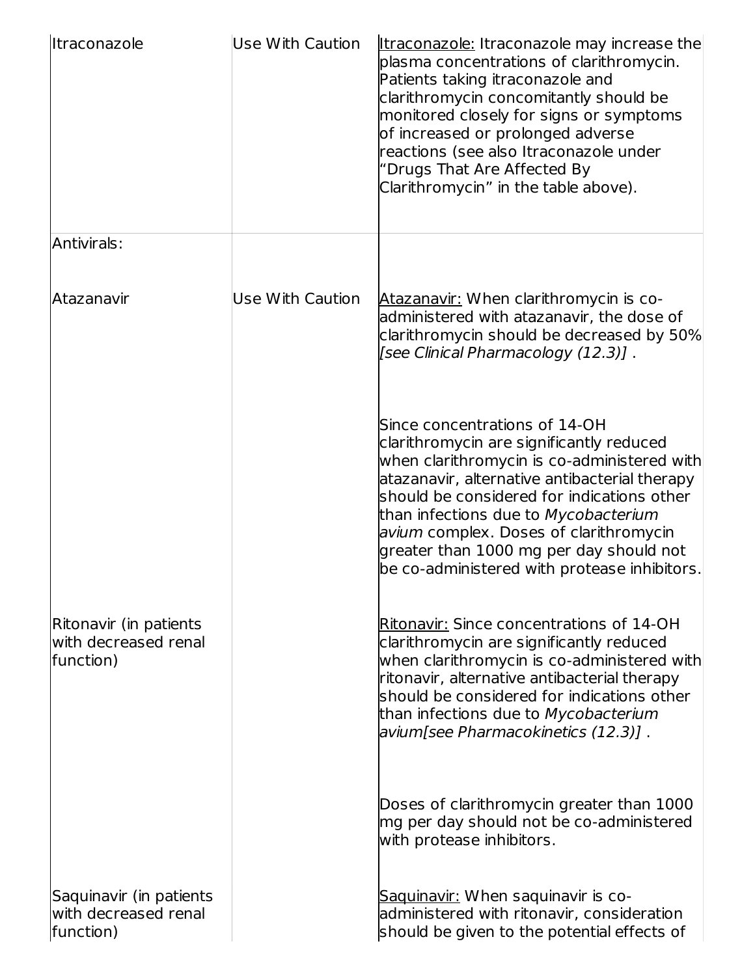| lItraconazole                                                | <b>Use With Caution</b> | <b>Itraconazole:</b> Itraconazole may increase the<br>plasma concentrations of clarithromycin.<br>Patients taking itraconazole and<br>clarithromycin concomitantly should be<br>monitored closely for signs or symptoms<br>of increased or prolonged adverse<br>reactions (see also Itraconazole under<br>"Drugs That Are Affected By<br>Clarithromycin" in the table above).                        |
|--------------------------------------------------------------|-------------------------|------------------------------------------------------------------------------------------------------------------------------------------------------------------------------------------------------------------------------------------------------------------------------------------------------------------------------------------------------------------------------------------------------|
| Antivirals:                                                  |                         |                                                                                                                                                                                                                                                                                                                                                                                                      |
| lAtazanavir                                                  | Use With Caution        | Atazanavir: When clarithromycin is co-<br>administered with atazanavir, the dose of<br>clarithromycin should be decreased by 50%<br>[see Clinical Pharmacology (12.3)] .                                                                                                                                                                                                                             |
|                                                              |                         | Since concentrations of 14-OH<br>clarithromycin are significantly reduced<br>when clarithromycin is co-administered with<br>atazanavir, alternative antibacterial therapy<br>should be considered for indications other<br>than infections due to Mycobacterium<br>avium complex. Doses of clarithromycin<br>greater than 1000 mg per day should not<br>be co-administered with protease inhibitors. |
| Ritonavir (in patients<br>with decreased renal<br>function)  |                         | Ritonavir: Since concentrations of 14-OH<br>clarithromycin are significantly reduced<br>when clarithromycin is co-administered with<br>ritonavir, alternative antibacterial therapy<br>should be considered for indications other<br>than infections due to Mycobacterium<br> avium[see Pharmacokinetics (12.3)] .                                                                                   |
|                                                              |                         | Doses of clarithromycin greater than 1000<br>mg per day should not be co-administered<br>with protease inhibitors.                                                                                                                                                                                                                                                                                   |
| Saquinavir (in patients<br>with decreased renal<br>function) |                         | Saquinavir: When saquinavir is co-<br>administered with ritonavir, consideration<br>should be given to the potential effects of                                                                                                                                                                                                                                                                      |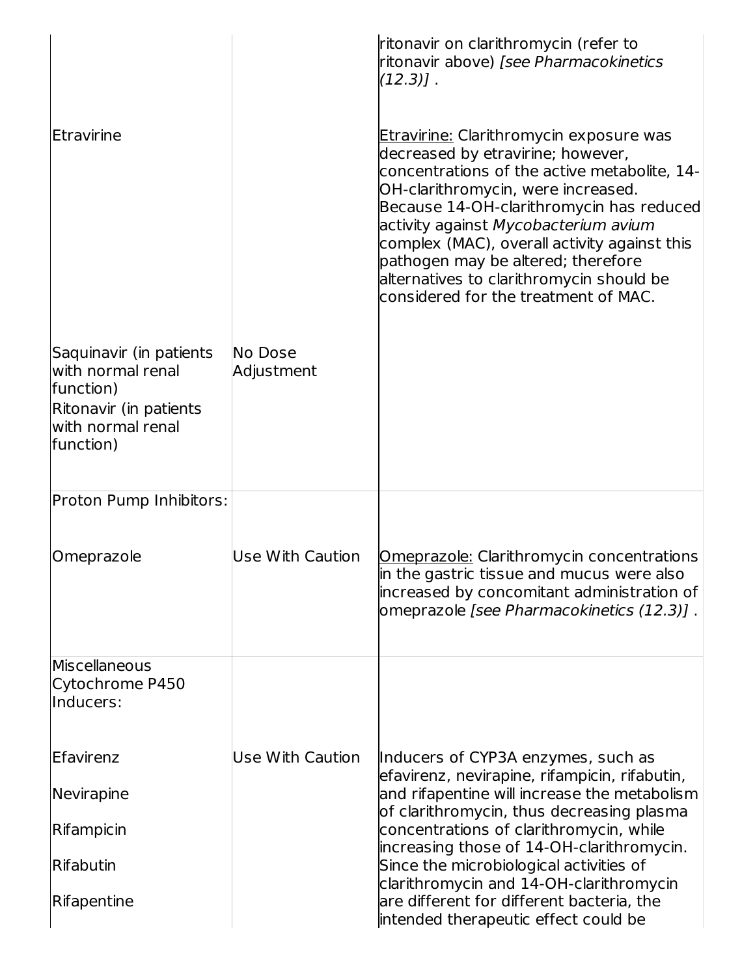|                                                                                                                       |                         | ritonavir on clarithromycin (refer to<br>ritonavir above) [see Pharmacokinetics<br>$(12.3)$ ].                                                                                                                                                                                                                                                                                                                                          |
|-----------------------------------------------------------------------------------------------------------------------|-------------------------|-----------------------------------------------------------------------------------------------------------------------------------------------------------------------------------------------------------------------------------------------------------------------------------------------------------------------------------------------------------------------------------------------------------------------------------------|
| Etravirine                                                                                                            |                         | <u>Etravirine:</u> Clarithromycin exposure was<br>decreased by etravirine; however,<br>concentrations of the active metabolite, 14-<br>OH-clarithromycin, were increased.<br>Because 14-OH-clarithromycin has reduced<br>activity against Mycobacterium avium<br>complex (MAC), overall activity against this<br>pathogen may be altered; therefore<br>alternatives to clarithromycin should be<br>considered for the treatment of MAC. |
| Saquinavir (in patients<br>with normal renal<br>function)<br>Ritonavir (in patients<br>with normal renal<br>function) | No Dose<br>Adjustment   |                                                                                                                                                                                                                                                                                                                                                                                                                                         |
| Proton Pump Inhibitors:                                                                                               |                         |                                                                                                                                                                                                                                                                                                                                                                                                                                         |
| Omeprazole                                                                                                            | Use With Caution        | Omeprazole: Clarithromycin concentrations<br>in the gastric tissue and mucus were also<br>increased by concomitant administration of<br>omeprazole [see Pharmacokinetics (12.3)].                                                                                                                                                                                                                                                       |
| Miscellaneous<br>Cytochrome P450<br>lInducers:                                                                        |                         |                                                                                                                                                                                                                                                                                                                                                                                                                                         |
| Efavirenz                                                                                                             | <b>Use With Caution</b> | Inducers of CYP3A enzymes, such as<br>efavirenz, nevirapine, rifampicin, rifabutin,                                                                                                                                                                                                                                                                                                                                                     |
| Nevirapine                                                                                                            |                         | and rifapentine will increase the metabolism<br>of clarithromycin, thus decreasing plasma                                                                                                                                                                                                                                                                                                                                               |
| Rifampicin                                                                                                            |                         | concentrations of clarithromycin, while<br>increasing those of 14-OH-clarithromycin.                                                                                                                                                                                                                                                                                                                                                    |
| <b>IRifabutin</b>                                                                                                     |                         | Since the microbiological activities of<br>clarithromycin and 14-OH-clarithromycin                                                                                                                                                                                                                                                                                                                                                      |
| Rifapentine                                                                                                           |                         | are different for different bacteria, the<br>intended therapeutic effect could be                                                                                                                                                                                                                                                                                                                                                       |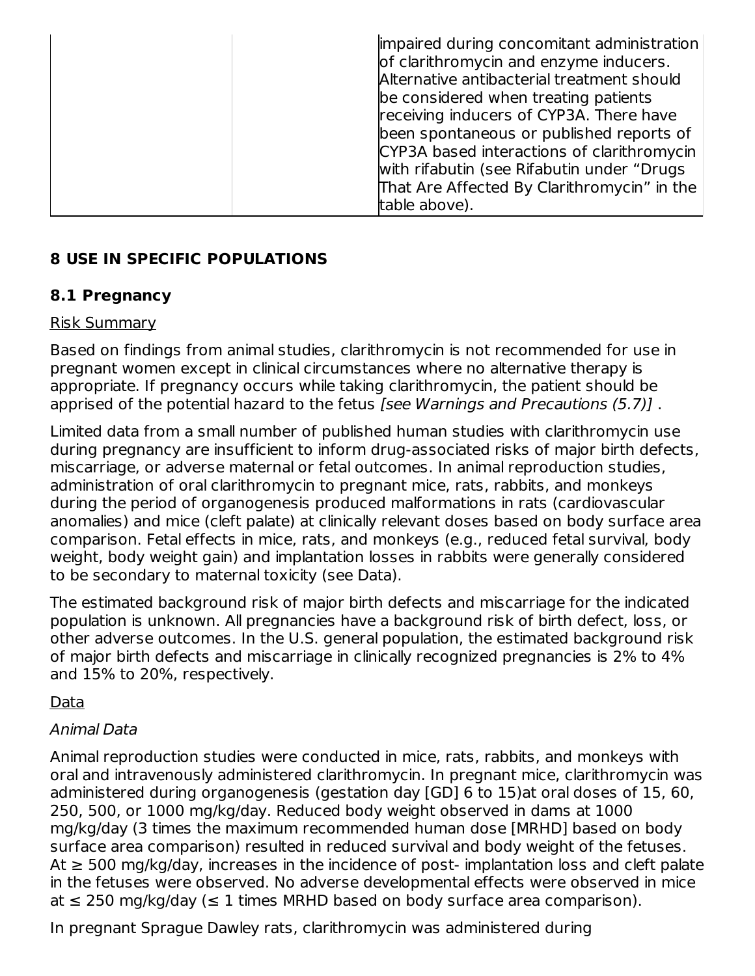| impaired during concomitant administration<br>of clarithromycin and enzyme inducers.<br>Alternative antibacterial treatment should<br>be considered when treating patients<br>receiving inducers of CYP3A. There have<br>been spontaneous or published reports of<br>CYP3A based interactions of clarithromycin<br>with rifabutin (see Rifabutin under "Drugs"<br>That Are Affected By Clarithromycin" in the |
|---------------------------------------------------------------------------------------------------------------------------------------------------------------------------------------------------------------------------------------------------------------------------------------------------------------------------------------------------------------------------------------------------------------|
| table above).                                                                                                                                                                                                                                                                                                                                                                                                 |

# **8 USE IN SPECIFIC POPULATIONS**

### **8.1 Pregnancy**

#### Risk Summary

Based on findings from animal studies, clarithromycin is not recommended for use in pregnant women except in clinical circumstances where no alternative therapy is appropriate. If pregnancy occurs while taking clarithromycin, the patient should be apprised of the potential hazard to the fetus [see Warnings and Precautions (5.7)] .

Limited data from a small number of published human studies with clarithromycin use during pregnancy are insufficient to inform drug-associated risks of major birth defects, miscarriage, or adverse maternal or fetal outcomes. In animal reproduction studies, administration of oral clarithromycin to pregnant mice, rats, rabbits, and monkeys during the period of organogenesis produced malformations in rats (cardiovascular anomalies) and mice (cleft palate) at clinically relevant doses based on body surface area comparison. Fetal effects in mice, rats, and monkeys (e.g., reduced fetal survival, body weight, body weight gain) and implantation losses in rabbits were generally considered to be secondary to maternal toxicity (see Data).

The estimated background risk of major birth defects and miscarriage for the indicated population is unknown. All pregnancies have a background risk of birth defect, loss, or other adverse outcomes. In the U.S. general population, the estimated background risk of major birth defects and miscarriage in clinically recognized pregnancies is 2% to 4% and 15% to 20%, respectively.

### Data

### Animal Data

Animal reproduction studies were conducted in mice, rats, rabbits, and monkeys with oral and intravenously administered clarithromycin. In pregnant mice, clarithromycin was administered during organogenesis (gestation day [GD] 6 to 15)at oral doses of 15, 60, 250, 500, or 1000 mg/kg/day. Reduced body weight observed in dams at 1000 mg/kg/day (3 times the maximum recommended human dose [MRHD] based on body surface area comparison) resulted in reduced survival and body weight of the fetuses. At  $\geq$  500 mg/kg/day, increases in the incidence of post-implantation loss and cleft palate in the fetuses were observed. No adverse developmental effects were observed in mice at  $≤$  250 mg/kg/day ( $≤$  1 times MRHD based on body surface area comparison).

In pregnant Sprague Dawley rats, clarithromycin was administered during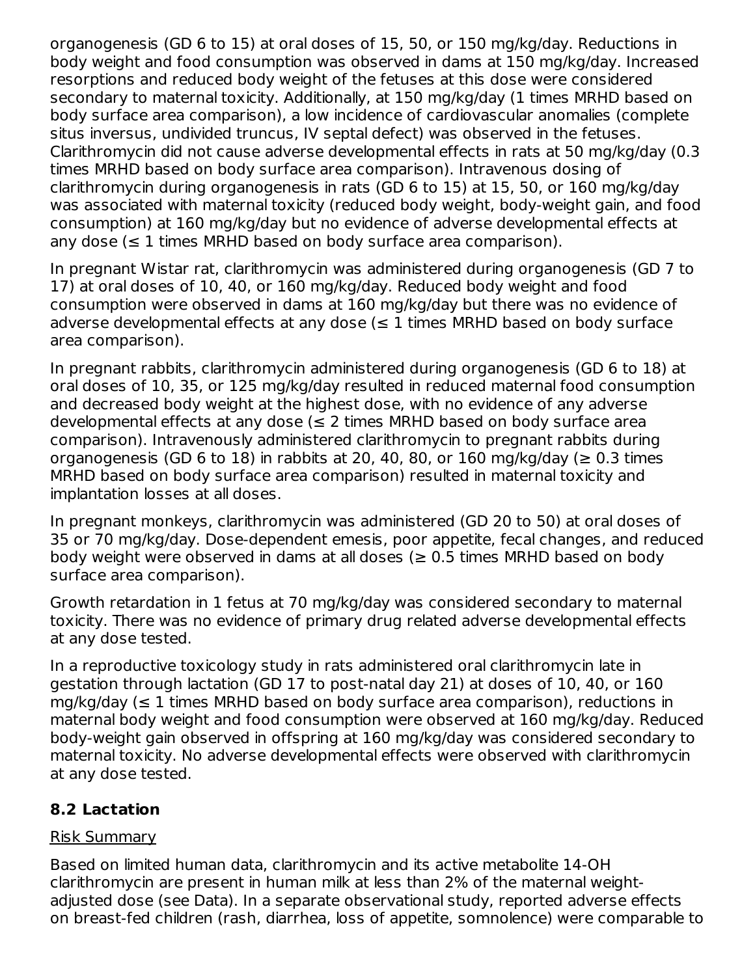organogenesis (GD 6 to 15) at oral doses of 15, 50, or 150 mg/kg/day. Reductions in body weight and food consumption was observed in dams at 150 mg/kg/day. Increased resorptions and reduced body weight of the fetuses at this dose were considered secondary to maternal toxicity. Additionally, at 150 mg/kg/day (1 times MRHD based on body surface area comparison), a low incidence of cardiovascular anomalies (complete situs inversus, undivided truncus, IV septal defect) was observed in the fetuses. Clarithromycin did not cause adverse developmental effects in rats at 50 mg/kg/day (0.3 times MRHD based on body surface area comparison). Intravenous dosing of clarithromycin during organogenesis in rats (GD 6 to 15) at 15, 50, or 160 mg/kg/day was associated with maternal toxicity (reduced body weight, body-weight gain, and food consumption) at 160 mg/kg/day but no evidence of adverse developmental effects at any dose ( $\leq 1$  times MRHD based on body surface area comparison).

In pregnant Wistar rat, clarithromycin was administered during organogenesis (GD 7 to 17) at oral doses of 10, 40, or 160 mg/kg/day. Reduced body weight and food consumption were observed in dams at 160 mg/kg/day but there was no evidence of adverse developmental effects at any dose  $(\leq 1)$  times MRHD based on body surface area comparison).

In pregnant rabbits, clarithromycin administered during organogenesis (GD 6 to 18) at oral doses of 10, 35, or 125 mg/kg/day resulted in reduced maternal food consumption and decreased body weight at the highest dose, with no evidence of any adverse developmental effects at any dose ( $\leq$  2 times MRHD based on body surface area comparison). Intravenously administered clarithromycin to pregnant rabbits during organogenesis (GD 6 to 18) in rabbits at 20, 40, 80, or 160 mg/kg/day ( $\geq 0.3$  times MRHD based on body surface area comparison) resulted in maternal toxicity and implantation losses at all doses.

In pregnant monkeys, clarithromycin was administered (GD 20 to 50) at oral doses of 35 or 70 mg/kg/day. Dose-dependent emesis, poor appetite, fecal changes, and reduced body weight were observed in dams at all doses ( $\geq$  0.5 times MRHD based on body surface area comparison).

Growth retardation in 1 fetus at 70 mg/kg/day was considered secondary to maternal toxicity. There was no evidence of primary drug related adverse developmental effects at any dose tested.

In a reproductive toxicology study in rats administered oral clarithromycin late in gestation through lactation (GD 17 to post-natal day 21) at doses of 10, 40, or 160  $mg/kg/day$  ( $\leq 1$  times MRHD based on body surface area comparison), reductions in maternal body weight and food consumption were observed at 160 mg/kg/day. Reduced body-weight gain observed in offspring at 160 mg/kg/day was considered secondary to maternal toxicity. No adverse developmental effects were observed with clarithromycin at any dose tested.

# **8.2 Lactation**

# Risk Summary

Based on limited human data, clarithromycin and its active metabolite 14-OH clarithromycin are present in human milk at less than 2% of the maternal weightadjusted dose (see Data). In a separate observational study, reported adverse effects on breast-fed children (rash, diarrhea, loss of appetite, somnolence) were comparable to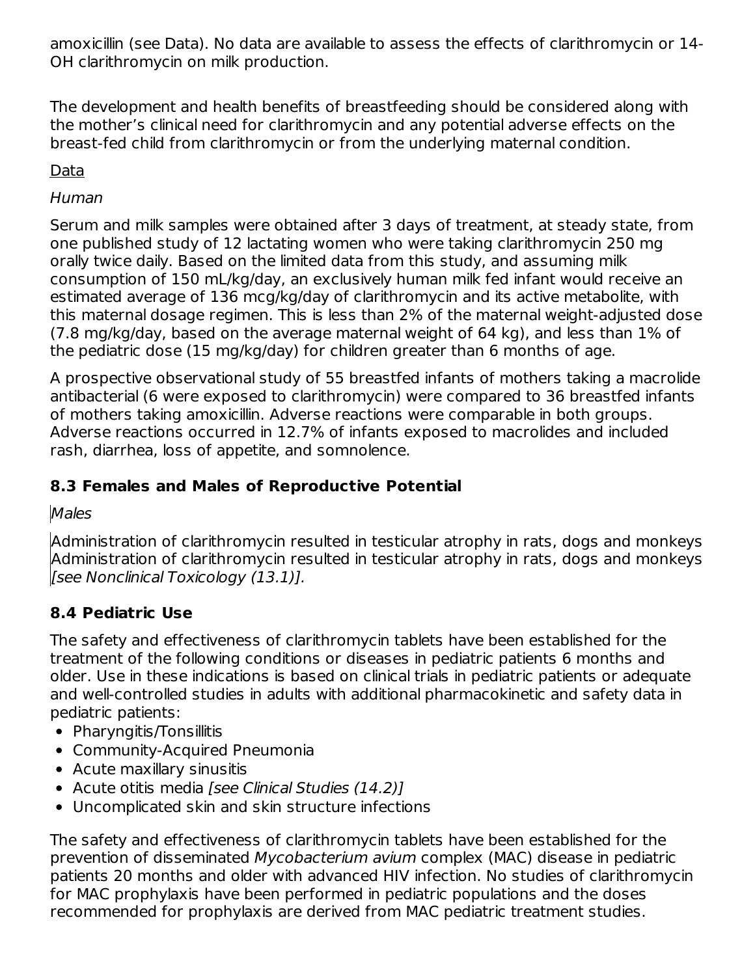amoxicillin (see Data). No data are available to assess the effects of clarithromycin or 14- OH clarithromycin on milk production.

The development and health benefits of breastfeeding should be considered along with the mother's clinical need for clarithromycin and any potential adverse effects on the breast-fed child from clarithromycin or from the underlying maternal condition.

# Data

### Human

Serum and milk samples were obtained after 3 days of treatment, at steady state, from one published study of 12 lactating women who were taking clarithromycin 250 mg orally twice daily. Based on the limited data from this study, and assuming milk consumption of 150 mL/kg/day, an exclusively human milk fed infant would receive an estimated average of 136 mcg/kg/day of clarithromycin and its active metabolite, with this maternal dosage regimen. This is less than 2% of the maternal weight-adjusted dose (7.8 mg/kg/day, based on the average maternal weight of 64 kg), and less than 1% of the pediatric dose (15 mg/kg/day) for children greater than 6 months of age.

A prospective observational study of 55 breastfed infants of mothers taking a macrolide antibacterial (6 were exposed to clarithromycin) were compared to 36 breastfed infants of mothers taking amoxicillin. Adverse reactions were comparable in both groups. Adverse reactions occurred in 12.7% of infants exposed to macrolides and included rash, diarrhea, loss of appetite, and somnolence.

# **8.3 Females and Males of Reproductive Potential**

# Males

Administration of clarithromycin resulted in testicular atrophy in rats, dogs and monkeys Administration of clarithromycin resulted in testicular atrophy in rats, dogs and monkeys [see Nonclinical Toxicology (13.1)].

# **8.4 Pediatric Use**

The safety and effectiveness of clarithromycin tablets have been established for the treatment of the following conditions or diseases in pediatric patients 6 months and older. Use in these indications is based on clinical trials in pediatric patients or adequate and well-controlled studies in adults with additional pharmacokinetic and safety data in pediatric patients:

- Pharyngitis/Tonsillitis
- Community-Acquired Pneumonia
- Acute maxillary sinusitis
- Acute otitis media [see Clinical Studies (14.2)]
- Uncomplicated skin and skin structure infections

The safety and effectiveness of clarithromycin tablets have been established for the prevention of disseminated Mycobacterium avium complex (MAC) disease in pediatric patients 20 months and older with advanced HIV infection. No studies of clarithromycin for MAC prophylaxis have been performed in pediatric populations and the doses recommended for prophylaxis are derived from MAC pediatric treatment studies.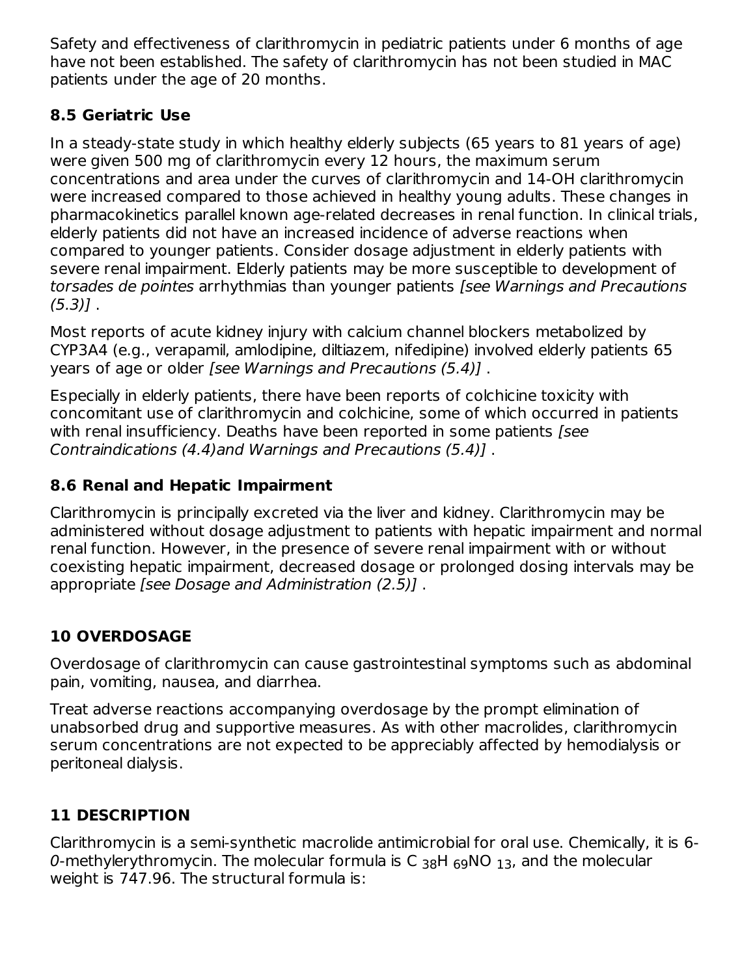Safety and effectiveness of clarithromycin in pediatric patients under 6 months of age have not been established. The safety of clarithromycin has not been studied in MAC patients under the age of 20 months.

# **8.5 Geriatric Use**

In a steady-state study in which healthy elderly subjects (65 years to 81 years of age) were given 500 mg of clarithromycin every 12 hours, the maximum serum concentrations and area under the curves of clarithromycin and 14-OH clarithromycin were increased compared to those achieved in healthy young adults. These changes in pharmacokinetics parallel known age-related decreases in renal function. In clinical trials, elderly patients did not have an increased incidence of adverse reactions when compared to younger patients. Consider dosage adjustment in elderly patients with severe renal impairment. Elderly patients may be more susceptible to development of torsades de pointes arrhythmias than younger patients [see Warnings and Precautions  $(5.3)$ ].

Most reports of acute kidney injury with calcium channel blockers metabolized by CYP3A4 (e.g., verapamil, amlodipine, diltiazem, nifedipine) involved elderly patients 65 years of age or older [see Warnings and Precautions (5.4)] .

Especially in elderly patients, there have been reports of colchicine toxicity with concomitant use of clarithromycin and colchicine, some of which occurred in patients with renal insufficiency. Deaths have been reported in some patients [see Contraindications (4.4)and Warnings and Precautions (5.4)] .

# **8.6 Renal and Hepatic Impairment**

Clarithromycin is principally excreted via the liver and kidney. Clarithromycin may be administered without dosage adjustment to patients with hepatic impairment and normal renal function. However, in the presence of severe renal impairment with or without coexisting hepatic impairment, decreased dosage or prolonged dosing intervals may be appropriate [see Dosage and Administration (2.5)] .

# **10 OVERDOSAGE**

Overdosage of clarithromycin can cause gastrointestinal symptoms such as abdominal pain, vomiting, nausea, and diarrhea.

Treat adverse reactions accompanying overdosage by the prompt elimination of unabsorbed drug and supportive measures. As with other macrolides, clarithromycin serum concentrations are not expected to be appreciably affected by hemodialysis or peritoneal dialysis.

# **11 DESCRIPTION**

Clarithromycin is a semi-synthetic macrolide antimicrobial for oral use. Chemically, it is 6- 0-methylerythromycin. The molecular formula is C  $_{\rm 38}$ H  $_{\rm 69}$ NO  $_{\rm 13}$ , and the molecular weight is 747.96. The structural formula is: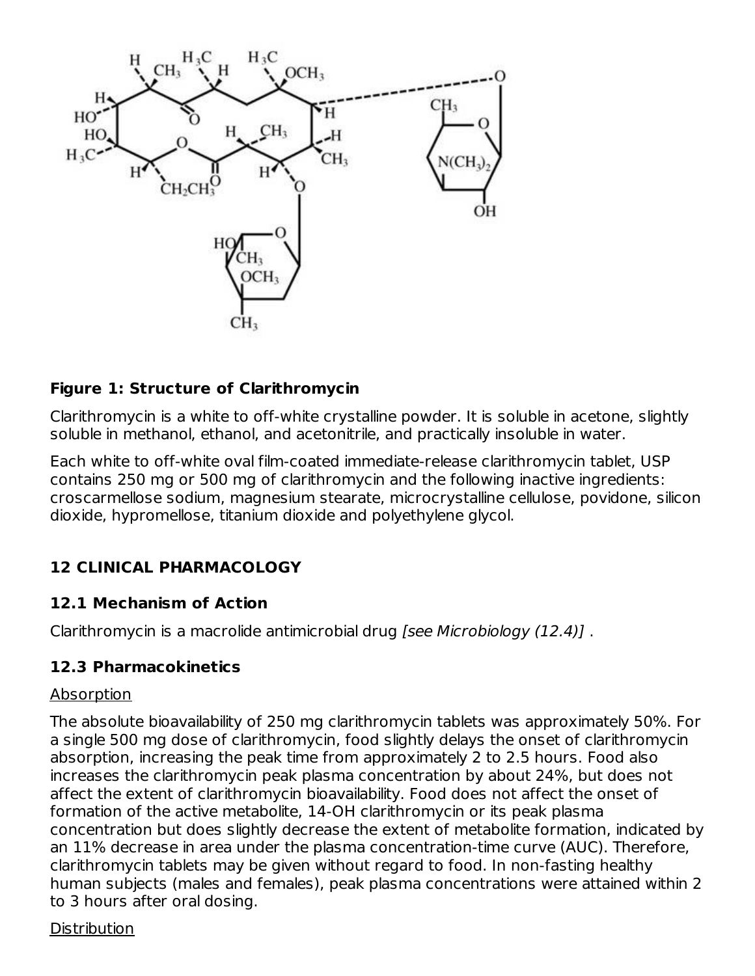

### **Figure 1: Structure of Clarithromycin**

Clarithromycin is a white to off-white crystalline powder. It is soluble in acetone, slightly soluble in methanol, ethanol, and acetonitrile, and practically insoluble in water.

Each white to off-white oval film-coated immediate-release clarithromycin tablet, USP contains 250 mg or 500 mg of clarithromycin and the following inactive ingredients: croscarmellose sodium, magnesium stearate, microcrystalline cellulose, povidone, silicon dioxide, hypromellose, titanium dioxide and polyethylene glycol.

# **12 CLINICAL PHARMACOLOGY**

### **12.1 Mechanism of Action**

Clarithromycin is a macrolide antimicrobial drug [see Microbiology (12.4)] .

### **12.3 Pharmacokinetics**

#### Absorption

The absolute bioavailability of 250 mg clarithromycin tablets was approximately 50%. For a single 500 mg dose of clarithromycin, food slightly delays the onset of clarithromycin absorption, increasing the peak time from approximately 2 to 2.5 hours. Food also increases the clarithromycin peak plasma concentration by about 24%, but does not affect the extent of clarithromycin bioavailability. Food does not affect the onset of formation of the active metabolite, 14-OH clarithromycin or its peak plasma concentration but does slightly decrease the extent of metabolite formation, indicated by an 11% decrease in area under the plasma concentration-time curve (AUC). Therefore, clarithromycin tablets may be given without regard to food. In non-fasting healthy human subjects (males and females), peak plasma concentrations were attained within 2 to 3 hours after oral dosing.

#### **Distribution**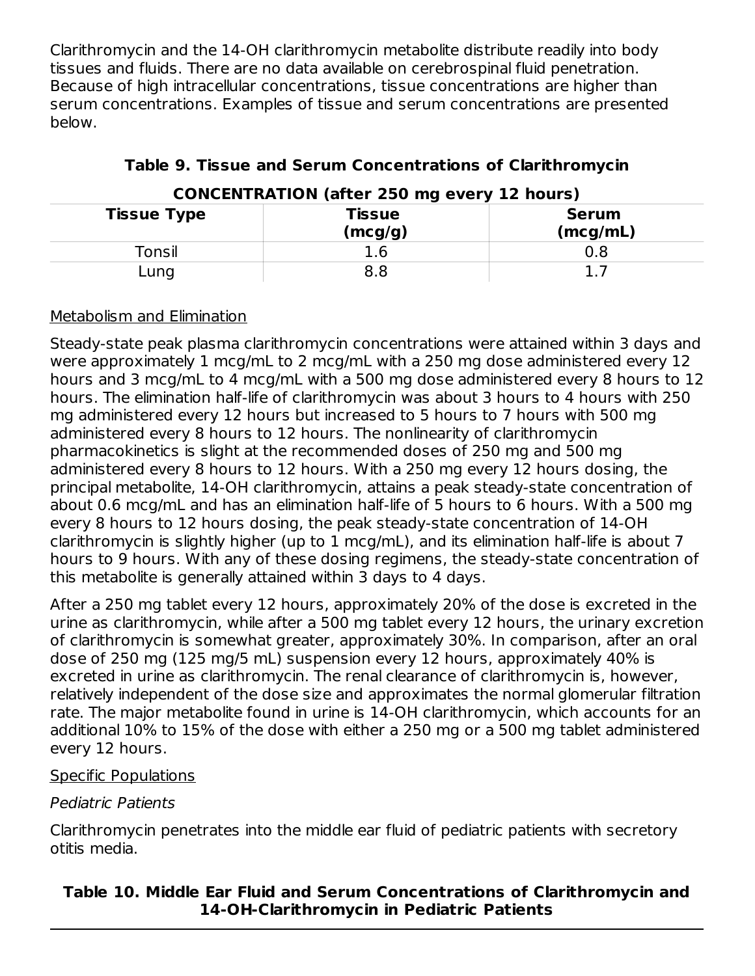Clarithromycin and the 14-OH clarithromycin metabolite distribute readily into body tissues and fluids. There are no data available on cerebrospinal fluid penetration. Because of high intracellular concentrations, tissue concentrations are higher than serum concentrations. Examples of tissue and serum concentrations are presented below.

| CONCENTRATION (after 250 mg every 12 nours) |                   |                          |  |
|---------------------------------------------|-------------------|--------------------------|--|
| <b>Tissue Type</b>                          | Tissue<br>(mcg/g) | <b>Serum</b><br>(mcg/mL) |  |
| Tonsil                                      | 1.6               | 0.8                      |  |
| Lung                                        |                   |                          |  |

# **Table 9. Tissue and Serum Concentrations of Clarithromycin**

# **CONCENTRATION (after 250 mg every 12 hours)**

# Metabolism and Elimination

Steady-state peak plasma clarithromycin concentrations were attained within 3 days and were approximately 1 mcg/mL to 2 mcg/mL with a 250 mg dose administered every 12 hours and 3 mcg/mL to 4 mcg/mL with a 500 mg dose administered every 8 hours to 12 hours. The elimination half-life of clarithromycin was about 3 hours to 4 hours with 250 mg administered every 12 hours but increased to 5 hours to 7 hours with 500 mg administered every 8 hours to 12 hours. The nonlinearity of clarithromycin pharmacokinetics is slight at the recommended doses of 250 mg and 500 mg administered every 8 hours to 12 hours. With a 250 mg every 12 hours dosing, the principal metabolite, 14-OH clarithromycin, attains a peak steady-state concentration of about 0.6 mcg/mL and has an elimination half-life of 5 hours to 6 hours. With a 500 mg every 8 hours to 12 hours dosing, the peak steady-state concentration of 14-OH clarithromycin is slightly higher (up to 1 mcg/mL), and its elimination half-life is about 7 hours to 9 hours. With any of these dosing regimens, the steady-state concentration of this metabolite is generally attained within 3 days to 4 days.

After a 250 mg tablet every 12 hours, approximately 20% of the dose is excreted in the urine as clarithromycin, while after a 500 mg tablet every 12 hours, the urinary excretion of clarithromycin is somewhat greater, approximately 30%. In comparison, after an oral dose of 250 mg (125 mg/5 mL) suspension every 12 hours, approximately 40% is excreted in urine as clarithromycin. The renal clearance of clarithromycin is, however, relatively independent of the dose size and approximates the normal glomerular filtration rate. The major metabolite found in urine is 14-OH clarithromycin, which accounts for an additional 10% to 15% of the dose with either a 250 mg or a 500 mg tablet administered every 12 hours.

### Specific Populations

# Pediatric Patients

Clarithromycin penetrates into the middle ear fluid of pediatric patients with secretory otitis media.

# **Table 10. Middle Ear Fluid and Serum Concentrations of Clarithromycin and 14-OH-Clarithromycin in Pediatric Patients**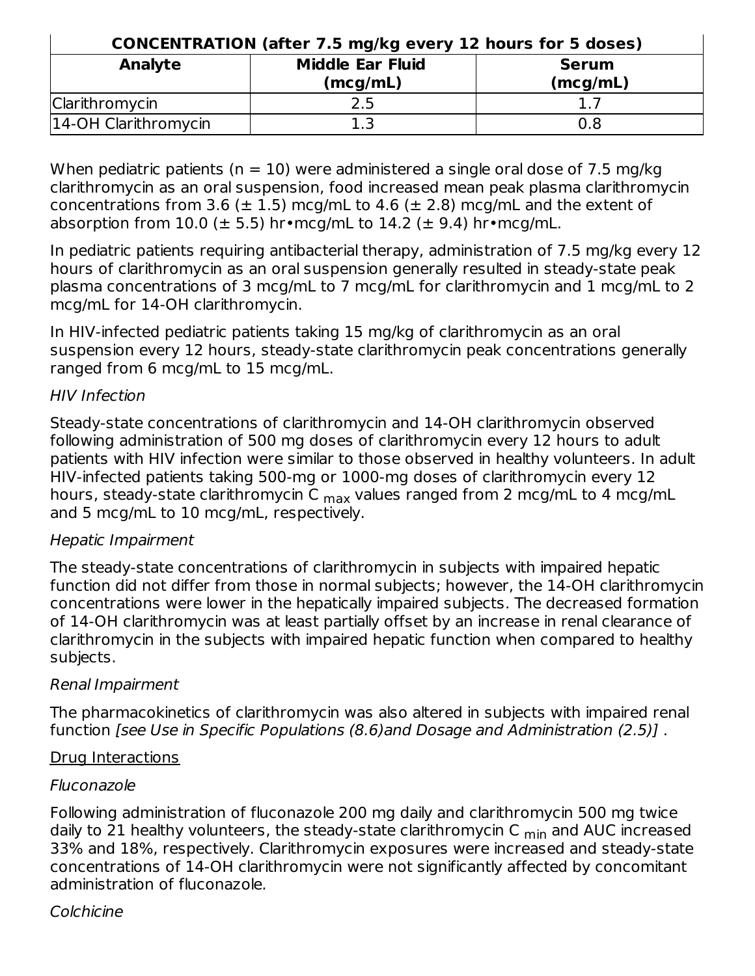| <b>CONCENTRATION (after 7.5 mg/kg every 12 hours for 5 doses)</b> |                                     |                          |  |
|-------------------------------------------------------------------|-------------------------------------|--------------------------|--|
| <b>Analyte</b>                                                    | <b>Middle Ear Fluid</b><br>(mcg/mL) | <b>Serum</b><br>(mcg/mL) |  |
| Clarithromycin                                                    | 2.5                                 |                          |  |
| 14-OH Clarithromycin                                              | 1.3                                 | 0.8                      |  |

When pediatric patients ( $n = 10$ ) were administered a single oral dose of 7.5 mg/kg clarithromycin as an oral suspension, food increased mean peak plasma clarithromycin concentrations from 3.6 ( $\pm$  1.5) mcg/mL to 4.6 ( $\pm$  2.8) mcg/mL and the extent of absorption from 10.0 ( $\pm$  5.5) hr•mcg/mL to 14.2 ( $\pm$  9.4) hr•mcg/mL.

In pediatric patients requiring antibacterial therapy, administration of 7.5 mg/kg every 12 hours of clarithromycin as an oral suspension generally resulted in steady-state peak plasma concentrations of 3 mcg/mL to 7 mcg/mL for clarithromycin and 1 mcg/mL to 2 mcg/mL for 14-OH clarithromycin.

In HIV-infected pediatric patients taking 15 mg/kg of clarithromycin as an oral suspension every 12 hours, steady-state clarithromycin peak concentrations generally ranged from 6 mcg/mL to 15 mcg/mL.

### HIV Infection

Steady-state concentrations of clarithromycin and 14-OH clarithromycin observed following administration of 500 mg doses of clarithromycin every 12 hours to adult patients with HIV infection were similar to those observed in healthy volunteers. In adult HIV-infected patients taking 500-mg or 1000-mg doses of clarithromycin every 12 hours, steady-state clarithromycin C <sub>max</sub> values ranged from 2 mcg/mL to 4 mcg/mL and 5 mcg/mL to 10 mcg/mL, respectively.

### Hepatic Impairment

The steady-state concentrations of clarithromycin in subjects with impaired hepatic function did not differ from those in normal subjects; however, the 14-OH clarithromycin concentrations were lower in the hepatically impaired subjects. The decreased formation of 14-OH clarithromycin was at least partially offset by an increase in renal clearance of clarithromycin in the subjects with impaired hepatic function when compared to healthy subjects.

### Renal Impairment

The pharmacokinetics of clarithromycin was also altered in subjects with impaired renal function [see Use in Specific Populations (8.6)and Dosage and Administration (2.5)] .

### Drug Interactions

### Fluconazole

Following administration of fluconazole 200 mg daily and clarithromycin 500 mg twice daily to 21 healthy volunteers, the steady-state clarithromycin C <sub>min</sub> and AUC increased 33% and 18%, respectively. Clarithromycin exposures were increased and steady-state concentrations of 14-OH clarithromycin were not significantly affected by concomitant administration of fluconazole.

### Colchicine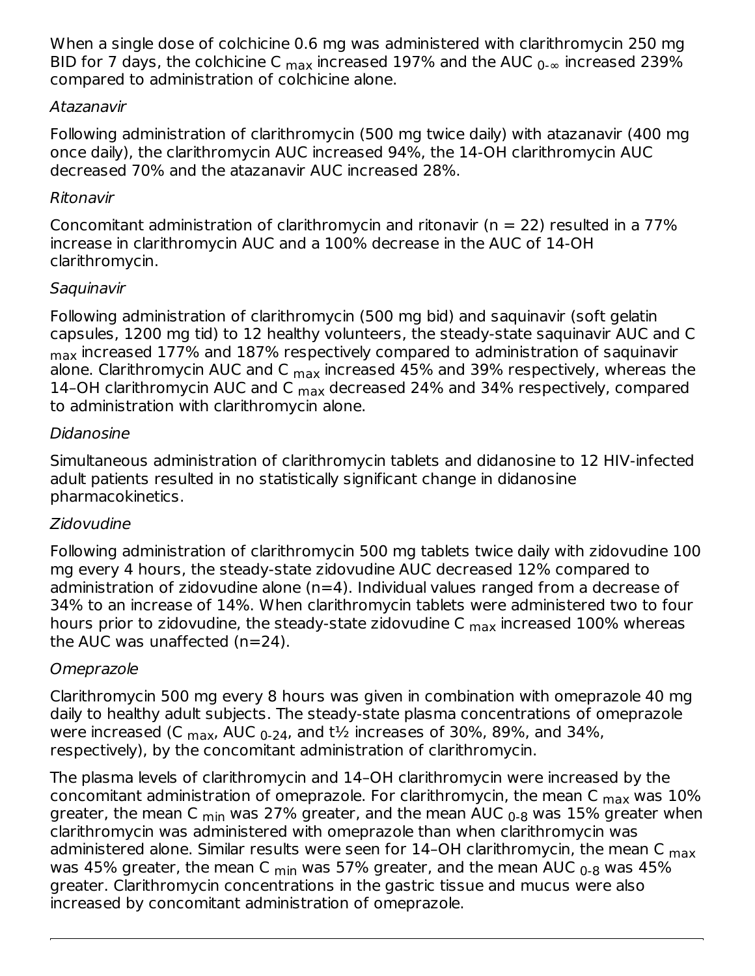When a single dose of colchicine 0.6 mg was administered with clarithromycin 250 mg BID for 7 days, the colchicine C  $_{\sf max}$  increased 197% and the AUC  $_{\sf 0\text{-}\infty}$  increased 239% compared to administration of colchicine alone.

### Atazanavir

Following administration of clarithromycin (500 mg twice daily) with atazanavir (400 mg once daily), the clarithromycin AUC increased 94%, the 14-OH clarithromycin AUC decreased 70% and the atazanavir AUC increased 28%.

### Ritonavir

Concomitant administration of clarithromycin and ritonavir ( $n = 22$ ) resulted in a 77% increase in clarithromycin AUC and a 100% decrease in the AUC of 14-OH clarithromycin.

# Saquinavir

Following administration of clarithromycin (500 mg bid) and saquinavir (soft gelatin capsules, 1200 mg tid) to 12 healthy volunteers, the steady-state saquinavir AUC and C  $_{\sf max}$  increased 177% and 187% respectively compared to administration of saquinavir alone. Clarithromycin AUC and C <sub>max</sub> increased 45% and 39% respectively, whereas the 14-OH clarithromycin AUC and C <sub>max</sub> decreased 24% and 34% respectively, compared to administration with clarithromycin alone.

### Didanosine

Simultaneous administration of clarithromycin tablets and didanosine to 12 HIV-infected adult patients resulted in no statistically significant change in didanosine pharmacokinetics.

# Zidovudine

Following administration of clarithromycin 500 mg tablets twice daily with zidovudine 100 mg every 4 hours, the steady-state zidovudine AUC decreased 12% compared to administration of zidovudine alone (n=4). Individual values ranged from a decrease of 34% to an increase of 14%. When clarithromycin tablets were administered two to four hours prior to zidovudine, the steady-state zidovudine C <sub>max</sub> increased 100% whereas the AUC was unaffected (n=24).

# Omeprazole

Clarithromycin 500 mg every 8 hours was given in combination with omeprazole 40 mg daily to healthy adult subjects. The steady-state plasma concentrations of omeprazole were increased (C  $_{\sf max}$ , AUC  $_{\sf 0\text{-}24}$ , and t½ increases of 30%, 89%, and 34%, respectively), by the concomitant administration of clarithromycin.

The plasma levels of clarithromycin and 14–OH clarithromycin were increased by the concomitant administration of omeprazole. For clarithromycin, the mean C  $_{\sf max}$  was  $10\%$ greater, the mean C <sub>min</sub> was 27% greater, and the mean AUC <sub>0-8</sub> was 15% greater when clarithromycin was administered with omeprazole than when clarithromycin was administered alone. Similar results were seen for 14-OH clarithromycin, the mean C <sub>max</sub> was 45% greater, the mean C  $_{\sf min}$  was 57% greater, and the mean AUC  $_{\sf 0\text{-}8}$  was 45% greater. Clarithromycin concentrations in the gastric tissue and mucus were also increased by concomitant administration of omeprazole.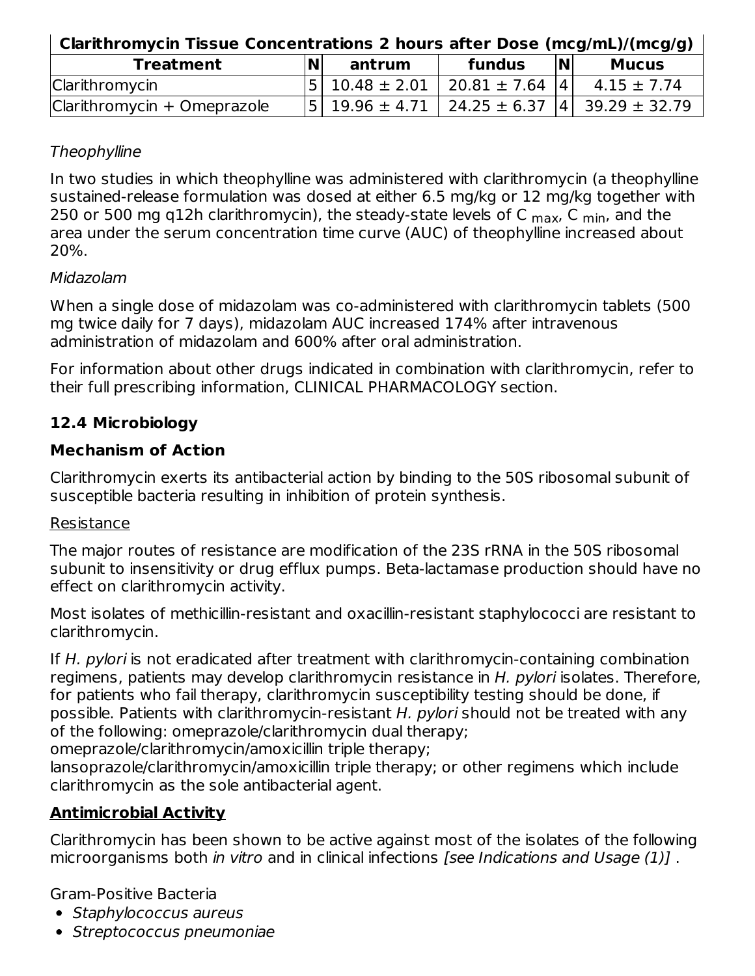| Clarithromycin Tissue Concentrations 2 hours after Dose (mcg/mL)/(mcg/g) |  |  |  |  |
|--------------------------------------------------------------------------|--|--|--|--|
|--------------------------------------------------------------------------|--|--|--|--|

| <b>Treatment</b>            | IN. | antrum | fundus                                       | <b>N</b> | <b>Mucus</b>                                         |
|-----------------------------|-----|--------|----------------------------------------------|----------|------------------------------------------------------|
| Clarithromycin              |     |        | $ 5 $ 10.48 $\pm$ 2.01   20.81 $\pm$ 7.64  4 |          | $4.15 \pm 7.74$                                      |
| Clarithromycin + Omeprazole |     |        |                                              |          | $ 5 $ 19.96 ± 4.71   24.25 ± 6.37  4   39.29 ± 32.79 |

### **Theophylline**

In two studies in which theophylline was administered with clarithromycin (a theophylline sustained-release formulation was dosed at either 6.5 mg/kg or 12 mg/kg together with 250 or 500 mg q12h clarithromycin), the steady-state levels of C <sub>max</sub>, C <sub>min</sub>, and the area under the serum concentration time curve (AUC) of theophylline increased about 20%.

### Midazolam

When a single dose of midazolam was co-administered with clarithromycin tablets (500 mg twice daily for 7 days), midazolam AUC increased 174% after intravenous administration of midazolam and 600% after oral administration.

For information about other drugs indicated in combination with clarithromycin, refer to their full prescribing information, CLINICAL PHARMACOLOGY section.

# **12.4 Microbiology**

# **Mechanism of Action**

Clarithromycin exerts its antibacterial action by binding to the 50S ribosomal subunit of susceptible bacteria resulting in inhibition of protein synthesis.

### Resistance

The major routes of resistance are modification of the 23S rRNA in the 50S ribosomal subunit to insensitivity or drug efflux pumps. Beta-lactamase production should have no effect on clarithromycin activity.

Most isolates of methicillin-resistant and oxacillin-resistant staphylococci are resistant to clarithromycin.

If H. pylori is not eradicated after treatment with clarithromycin-containing combination regimens, patients may develop clarithromycin resistance in H. pylori isolates. Therefore, for patients who fail therapy, clarithromycin susceptibility testing should be done, if possible. Patients with clarithromycin-resistant H. pylori should not be treated with any of the following: omeprazole/clarithromycin dual therapy;

omeprazole/clarithromycin/amoxicillin triple therapy;

lansoprazole/clarithromycin/amoxicillin triple therapy; or other regimens which include clarithromycin as the sole antibacterial agent.

# **Antimicrobial Activity**

Clarithromycin has been shown to be active against most of the isolates of the following microorganisms both *in vitro* and in clinical infections *[see Indications and Usage (1)]*.

Gram-Positive Bacteria

- Staphylococcus aureus
- Streptococcus pneumoniae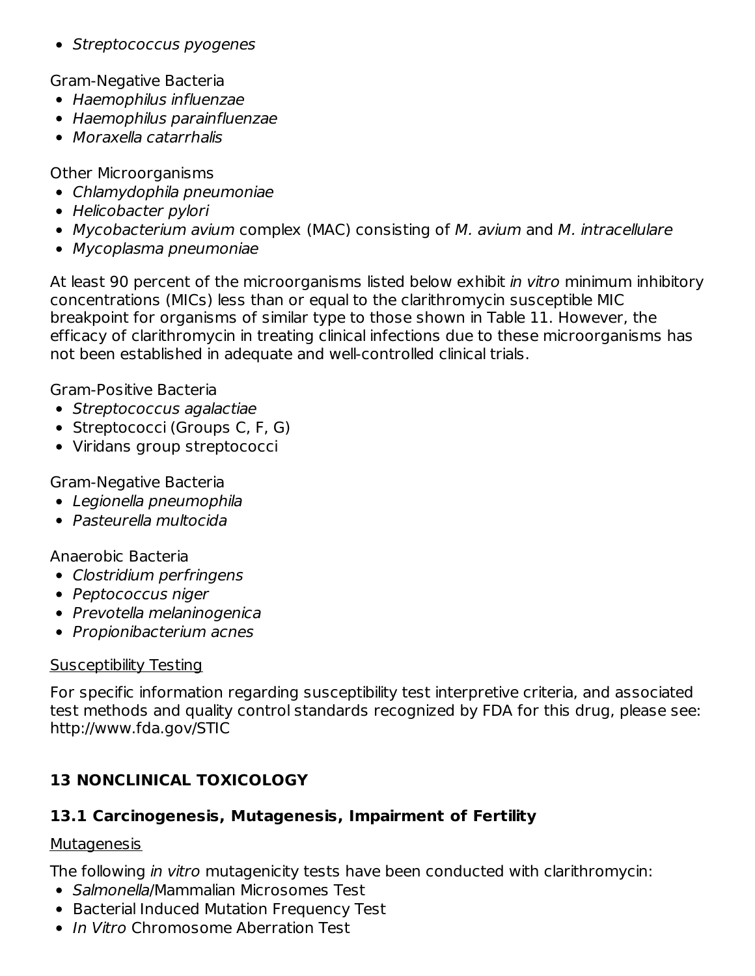• Streptococcus pyogenes

Gram-Negative Bacteria

- Haemophilus influenzae
- Haemophilus parainfluenzae
- Moraxella catarrhalis

Other Microorganisms

- Chlamydophila pneumoniae
- Helicobacter pylori
- Mycobacterium avium complex (MAC) consisting of M. avium and M. intracellulare
- Mycoplasma pneumoniae

At least 90 percent of the microorganisms listed below exhibit in vitro minimum inhibitory concentrations (MICs) less than or equal to the clarithromycin susceptible MIC breakpoint for organisms of similar type to those shown in Table 11. However, the efficacy of clarithromycin in treating clinical infections due to these microorganisms has not been established in adequate and well-controlled clinical trials.

Gram-Positive Bacteria

- Streptococcus agalactiae
- Streptococci (Groups C, F, G)
- Viridans group streptococci

# Gram-Negative Bacteria

- Legionella pneumophila
- Pasteurella multocida

### Anaerobic Bacteria

- Clostridium perfringens
- Peptococcus niger
- Prevotella melaninogenica
- Propionibacterium acnes

# Susceptibility Testing

For specific information regarding susceptibility test interpretive criteria, and associated test methods and quality control standards recognized by FDA for this drug, please see: http://www.fda.gov/STIC

# **13 NONCLINICAL TOXICOLOGY**

# **13.1 Carcinogenesis, Mutagenesis, Impairment of Fertility**

# **Mutagenesis**

The following in vitro mutagenicity tests have been conducted with clarithromycin:

- Salmonella/Mammalian Microsomes Test
- Bacterial Induced Mutation Frequency Test
- In Vitro Chromosome Aberration Test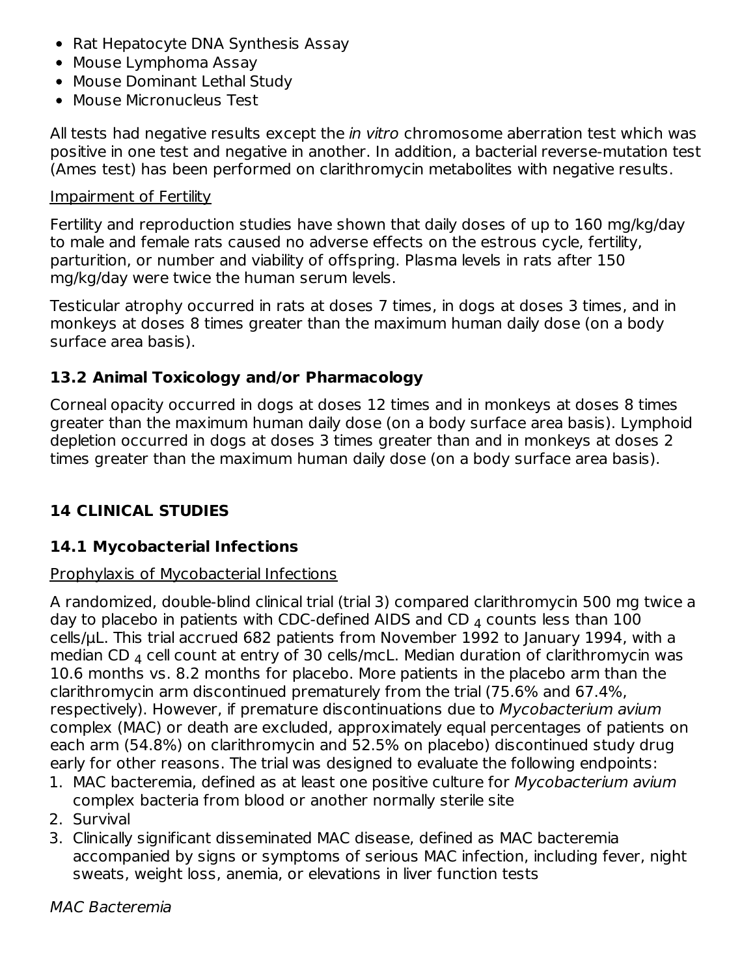- Rat Hepatocyte DNA Synthesis Assay
- Mouse Lymphoma Assay
- Mouse Dominant Lethal Study
- Mouse Micronucleus Test

All tests had negative results except the *in vitro* chromosome aberration test which was positive in one test and negative in another. In addition, a bacterial reverse-mutation test (Ames test) has been performed on clarithromycin metabolites with negative results.

#### Impairment of Fertility

Fertility and reproduction studies have shown that daily doses of up to 160 mg/kg/day to male and female rats caused no adverse effects on the estrous cycle, fertility, parturition, or number and viability of offspring. Plasma levels in rats after 150 mg/kg/day were twice the human serum levels.

Testicular atrophy occurred in rats at doses 7 times, in dogs at doses 3 times, and in monkeys at doses 8 times greater than the maximum human daily dose (on a body surface area basis).

# **13.2 Animal Toxicology and/or Pharmacology**

Corneal opacity occurred in dogs at doses 12 times and in monkeys at doses 8 times greater than the maximum human daily dose (on a body surface area basis). Lymphoid depletion occurred in dogs at doses 3 times greater than and in monkeys at doses 2 times greater than the maximum human daily dose (on a body surface area basis).

# **14 CLINICAL STUDIES**

# **14.1 Mycobacterial Infections**

### Prophylaxis of Mycobacterial Infections

A randomized, double-blind clinical trial (trial 3) compared clarithromycin 500 mg twice a day to placebo in patients with CDC-defined AIDS and CD  $_4$  counts less than 100  $\,$ cells/µL. This trial accrued 682 patients from November 1992 to January 1994, with a median CD  $_4$  cell count at entry of 30 cells/mcL. Median duration of clarithromycin was 10.6 months vs. 8.2 months for placebo. More patients in the placebo arm than the clarithromycin arm discontinued prematurely from the trial (75.6% and 67.4%, respectively). However, if premature discontinuations due to Mycobacterium avium complex (MAC) or death are excluded, approximately equal percentages of patients on each arm (54.8%) on clarithromycin and 52.5% on placebo) discontinued study drug early for other reasons. The trial was designed to evaluate the following endpoints:

- 1. MAC bacteremia, defined as at least one positive culture for Mycobacterium avium complex bacteria from blood or another normally sterile site
- 2. Survival
- 3. Clinically significant disseminated MAC disease, defined as MAC bacteremia accompanied by signs or symptoms of serious MAC infection, including fever, night sweats, weight loss, anemia, or elevations in liver function tests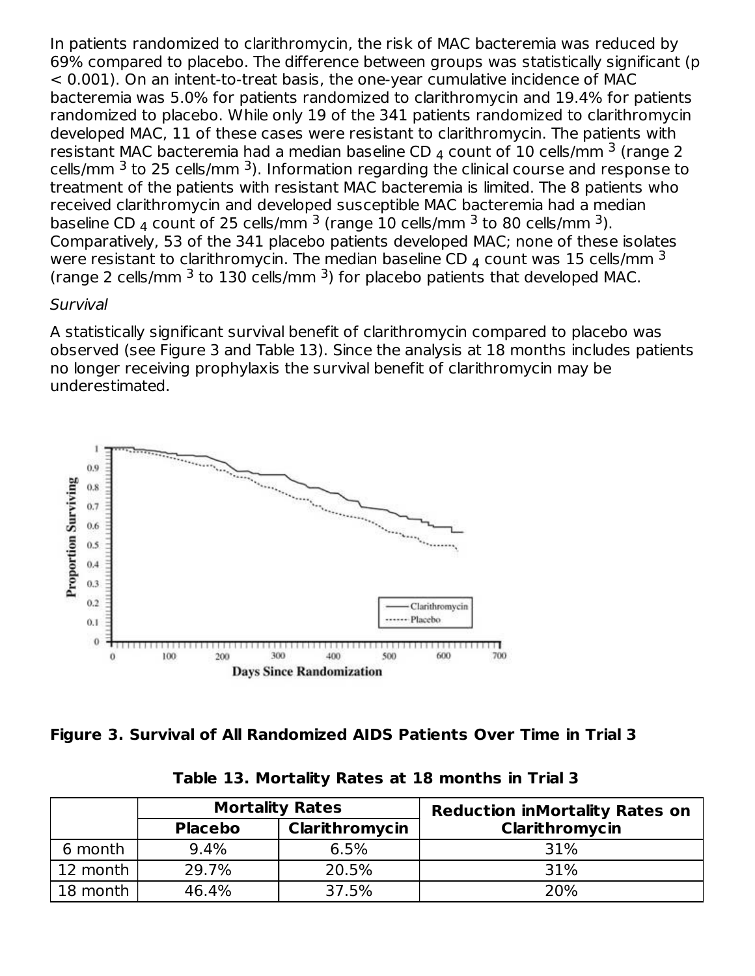In patients randomized to clarithromycin, the risk of MAC bacteremia was reduced by 69% compared to placebo. The difference between groups was statistically significant (p < 0.001). On an intent-to-treat basis, the one-year cumulative incidence of MAC bacteremia was 5.0% for patients randomized to clarithromycin and 19.4% for patients randomized to placebo. While only 19 of the 341 patients randomized to clarithromycin developed MAC, 11 of these cases were resistant to clarithromycin. The patients with resistant MAC bacteremia had a median baseline CD  $_4$  count of 10 cells/mm  $^3$  (range 2 cells/mm  $^3$  to 25 cells/mm  $^3$ ). Information regarding the clinical course and response to treatment of the patients with resistant MAC bacteremia is limited. The 8 patients who received clarithromycin and developed susceptible MAC bacteremia had a median baseline CD  $_4$  count of 25 cells/mm  $^3$  (range 10 cells/mm  $^3$  to 80 cells/mm  $^3$ ). Comparatively, 53 of the 341 placebo patients developed MAC; none of these isolates were resistant to clarithromycin. The median baseline CD  $_4$  count was 15 cells/mm  $^3$ (range 2 cells/mm  $3$  to 130 cells/mm  $3$ ) for placebo patients that developed MAC.

### **Survival**

A statistically significant survival benefit of clarithromycin compared to placebo was observed (see Figure 3 and Table 13). Since the analysis at 18 months includes patients no longer receiving prophylaxis the survival benefit of clarithromycin may be underestimated.



**Figure 3. Survival of All Randomized AIDS Patients Over Time in Trial 3**

|          |                | <b>Mortality Rates</b> | <b>Reduction inMortality Rates on</b> |
|----------|----------------|------------------------|---------------------------------------|
|          | <b>Placebo</b> | Clarithromycin         | Clarithromycin                        |
| 6 month  | 9.4%           | 6.5%                   | 31%                                   |
| 12 month | 29.7%          | 20.5%                  | 31%                                   |
| 18 month | 46.4%          | 37.5%                  | 20%                                   |

**Table 13. Mortality Rates at 18 months in Trial 3**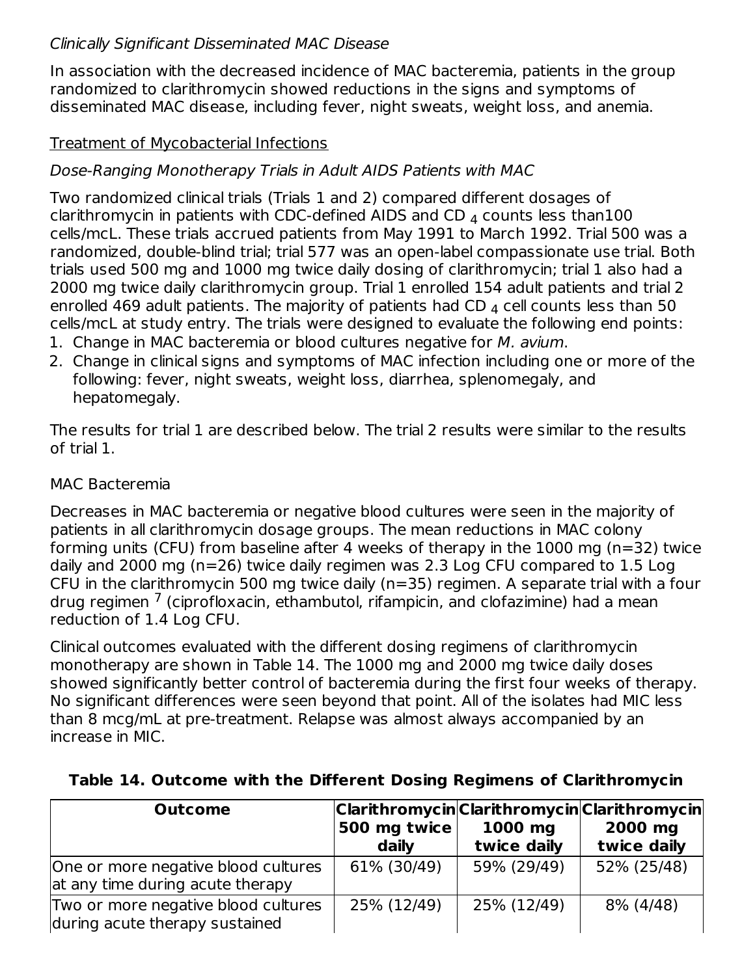# Clinically Significant Disseminated MAC Disease

In association with the decreased incidence of MAC bacteremia, patients in the group randomized to clarithromycin showed reductions in the signs and symptoms of disseminated MAC disease, including fever, night sweats, weight loss, and anemia.

### Treatment of Mycobacterial Infections

# Dose-Ranging Monotherapy Trials in Adult AIDS Patients with MAC

Two randomized clinical trials (Trials 1 and 2) compared different dosages of clarithromycin in patients with CDC-defined AIDS and CD  $_4$  counts less than100 cells/mcL. These trials accrued patients from May 1991 to March 1992. Trial 500 was a randomized, double-blind trial; trial 577 was an open-label compassionate use trial. Both trials used 500 mg and 1000 mg twice daily dosing of clarithromycin; trial 1 also had a 2000 mg twice daily clarithromycin group. Trial 1 enrolled 154 adult patients and trial 2 enrolled 469 adult patients. The majority of patients had CD  $_4$  cell counts less than 50  $\,$ cells/mcL at study entry. The trials were designed to evaluate the following end points:

- 1. Change in MAC bacteremia or blood cultures negative for M. avium.
- 2. Change in clinical signs and symptoms of MAC infection including one or more of the following: fever, night sweats, weight loss, diarrhea, splenomegaly, and hepatomegaly.

The results for trial 1 are described below. The trial 2 results were similar to the results of trial 1.

### MAC Bacteremia

Decreases in MAC bacteremia or negative blood cultures were seen in the majority of patients in all clarithromycin dosage groups. The mean reductions in MAC colony forming units (CFU) from baseline after 4 weeks of therapy in the 1000 mg (n=32) twice daily and 2000 mg (n=26) twice daily regimen was 2.3 Log CFU compared to 1.5 Log CFU in the clarithromycin 500 mg twice daily (n=35) regimen. A separate trial with a four drug regimen <sup>7</sup> (ciprofloxacin, ethambutol, rifampicin, and clofazimine) had a mean reduction of 1.4 Log CFU.

Clinical outcomes evaluated with the different dosing regimens of clarithromycin monotherapy are shown in Table 14. The 1000 mg and 2000 mg twice daily doses showed significantly better control of bacteremia during the first four weeks of therapy. No significant differences were seen beyond that point. All of the isolates had MIC less than 8 mcg/mL at pre-treatment. Relapse was almost always accompanied by an increase in MIC.

| <b>Outcome</b>                                                          | Clarithromycin Clarithromycin Clarithromycin <br>500 mg twice<br>daily | 1000 mg<br>twice daily | 2000 mg<br>twice daily |
|-------------------------------------------------------------------------|------------------------------------------------------------------------|------------------------|------------------------|
| One or more negative blood cultures<br>at any time during acute therapy | 61% (30/49)                                                            | 59% (29/49)            | 52% (25/48)            |
| Two or more negative blood cultures<br>during acute therapy sustained   | 25% (12/49)                                                            | 25% (12/49)            | 8% (4/48)              |

### **Table 14. Outcome with the Different Dosing Regimens of Clarithromycin**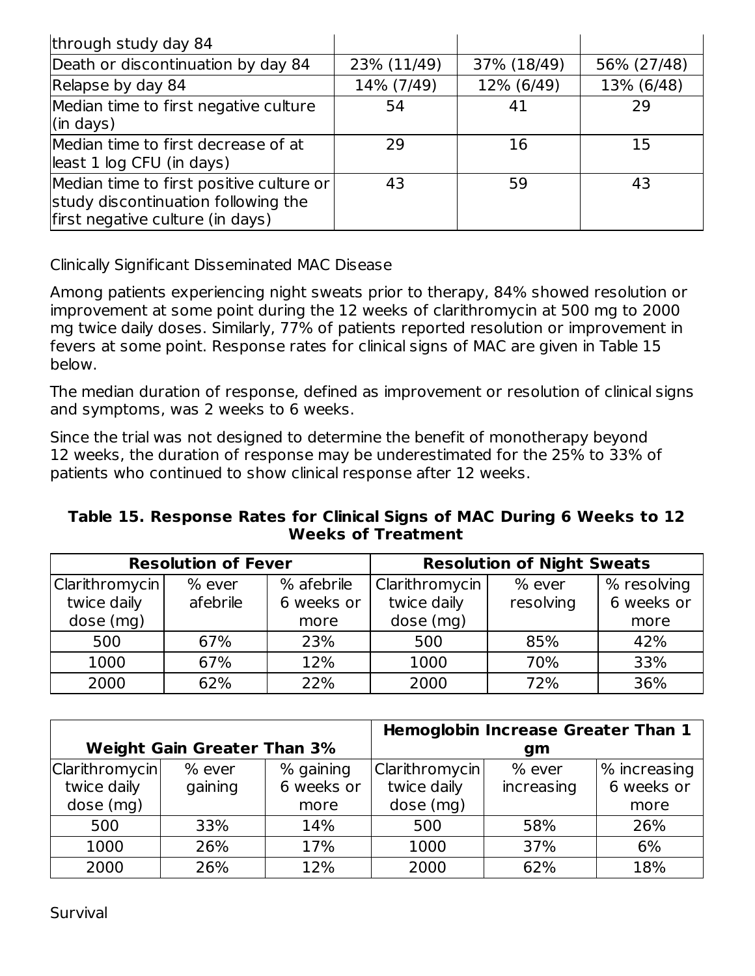| through study day 84                                                                                                |             |             |             |
|---------------------------------------------------------------------------------------------------------------------|-------------|-------------|-------------|
| Death or discontinuation by day 84                                                                                  | 23% (11/49) | 37% (18/49) | 56% (27/48) |
| Relapse by day 84                                                                                                   | 14% (7/49)  | 12% (6/49)  | 13% (6/48)  |
| Median time to first negative culture<br>$\left  \right $ (in days)                                                 | 54          | 41          | 29          |
| Median time to first decrease of at<br>least 1 log CFU (in days)                                                    | 29          | 16          | 15          |
| Median time to first positive culture or<br>study discontinuation following the<br>first negative culture (in days) | 43          | 59          | 43          |

Clinically Significant Disseminated MAC Disease

Among patients experiencing night sweats prior to therapy, 84% showed resolution or improvement at some point during the 12 weeks of clarithromycin at 500 mg to 2000 mg twice daily doses. Similarly, 77% of patients reported resolution or improvement in fevers at some point. Response rates for clinical signs of MAC are given in Table 15 below.

The median duration of response, defined as improvement or resolution of clinical signs and symptoms, was 2 weeks to 6 weeks.

Since the trial was not designed to determine the benefit of monotherapy beyond 12 weeks, the duration of response may be underestimated for the 25% to 33% of patients who continued to show clinical response after 12 weeks.

**Table 15. Response Rates for Clinical Signs of MAC During 6 Weeks to 12 Weeks of Treatment**

| <b>Resolution of Fever</b>    |                      |                          | <b>Resolution of Night Sweats</b> |                     |                           |  |
|-------------------------------|----------------------|--------------------------|-----------------------------------|---------------------|---------------------------|--|
| Clarithromycin<br>twice daily | $%$ ever<br>afebrile | % afebrile<br>6 weeks or | Clarithromycin<br>twice daily     | % ever<br>resolving | % resolving<br>6 weeks or |  |
| dose (mg)                     |                      | more                     | dose (mg)                         |                     | more                      |  |
| 500                           | 67%                  | 23%                      | 500                               | 85%                 | 42%                       |  |
| 1000                          | 67%                  | 12%                      | 1000                              | 70%                 | 33%                       |  |
| 2000                          | 62%                  | 22%                      | 2000                              | 72%                 | 36%                       |  |

|                       | <b>Weight Gain Greater Than 3%</b> |            |                | <b>Hemoglobin Increase Greater Than 1</b><br>gm |                |
|-----------------------|------------------------------------|------------|----------------|-------------------------------------------------|----------------|
| <b>Clarithromycin</b> | % ever                             | % gaining  | Clarithromycin | % ever                                          | $%$ increasing |
| twice daily           | gaining                            | 6 weeks or | twice daily    | increasing                                      | 6 weeks or     |
| dose (mg)             |                                    | more       | dose (mg)      |                                                 | more           |
| 500                   | 33%                                | 14%        | 500            | 58%                                             | 26%            |
| 1000                  | 26%                                | 17%        | 1000           | 37%                                             | 6%             |
| 2000                  | 26%                                | 12%        | 2000           | 62%                                             | 18%            |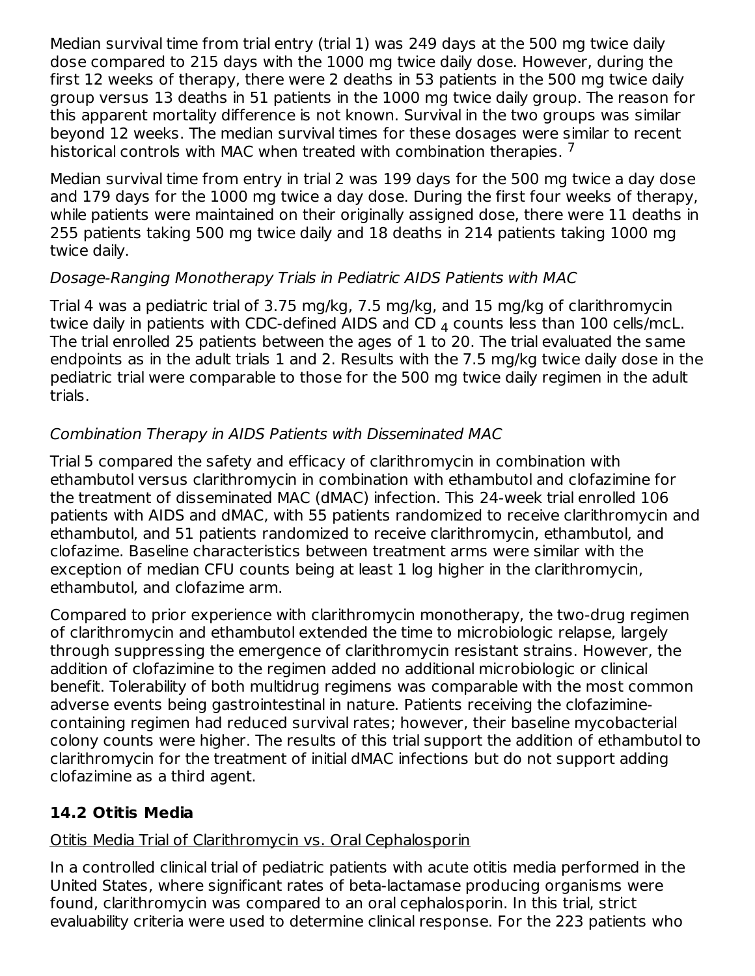Median survival time from trial entry (trial 1) was 249 days at the 500 mg twice daily dose compared to 215 days with the 1000 mg twice daily dose. However, during the first 12 weeks of therapy, there were 2 deaths in 53 patients in the 500 mg twice daily group versus 13 deaths in 51 patients in the 1000 mg twice daily group. The reason for this apparent mortality difference is not known. Survival in the two groups was similar beyond 12 weeks. The median survival times for these dosages were similar to recent historical controls with MAC when treated with combination therapies.  $^7$ 

Median survival time from entry in trial 2 was 199 days for the 500 mg twice a day dose and 179 days for the 1000 mg twice a day dose. During the first four weeks of therapy, while patients were maintained on their originally assigned dose, there were 11 deaths in 255 patients taking 500 mg twice daily and 18 deaths in 214 patients taking 1000 mg twice daily.

### Dosage-Ranging Monotherapy Trials in Pediatric AIDS Patients with MAC

Trial 4 was a pediatric trial of 3.75 mg/kg, 7.5 mg/kg, and 15 mg/kg of clarithromycin twice daily in patients with CDC-defined AIDS and CD  $_4$  counts less than 100 cells/mcL. The trial enrolled 25 patients between the ages of 1 to 20. The trial evaluated the same endpoints as in the adult trials 1 and 2. Results with the 7.5 mg/kg twice daily dose in the pediatric trial were comparable to those for the 500 mg twice daily regimen in the adult trials.

# Combination Therapy in AIDS Patients with Disseminated MAC

Trial 5 compared the safety and efficacy of clarithromycin in combination with ethambutol versus clarithromycin in combination with ethambutol and clofazimine for the treatment of disseminated MAC (dMAC) infection. This 24-week trial enrolled 106 patients with AIDS and dMAC, with 55 patients randomized to receive clarithromycin and ethambutol, and 51 patients randomized to receive clarithromycin, ethambutol, and clofazime. Baseline characteristics between treatment arms were similar with the exception of median CFU counts being at least 1 log higher in the clarithromycin, ethambutol, and clofazime arm.

Compared to prior experience with clarithromycin monotherapy, the two-drug regimen of clarithromycin and ethambutol extended the time to microbiologic relapse, largely through suppressing the emergence of clarithromycin resistant strains. However, the addition of clofazimine to the regimen added no additional microbiologic or clinical benefit. Tolerability of both multidrug regimens was comparable with the most common adverse events being gastrointestinal in nature. Patients receiving the clofaziminecontaining regimen had reduced survival rates; however, their baseline mycobacterial colony counts were higher. The results of this trial support the addition of ethambutol to clarithromycin for the treatment of initial dMAC infections but do not support adding clofazimine as a third agent.

# **14.2 Otitis Media**

# Otitis Media Trial of Clarithromycin vs. Oral Cephalosporin

In a controlled clinical trial of pediatric patients with acute otitis media performed in the United States, where significant rates of beta-lactamase producing organisms were found, clarithromycin was compared to an oral cephalosporin. In this trial, strict evaluability criteria were used to determine clinical response. For the 223 patients who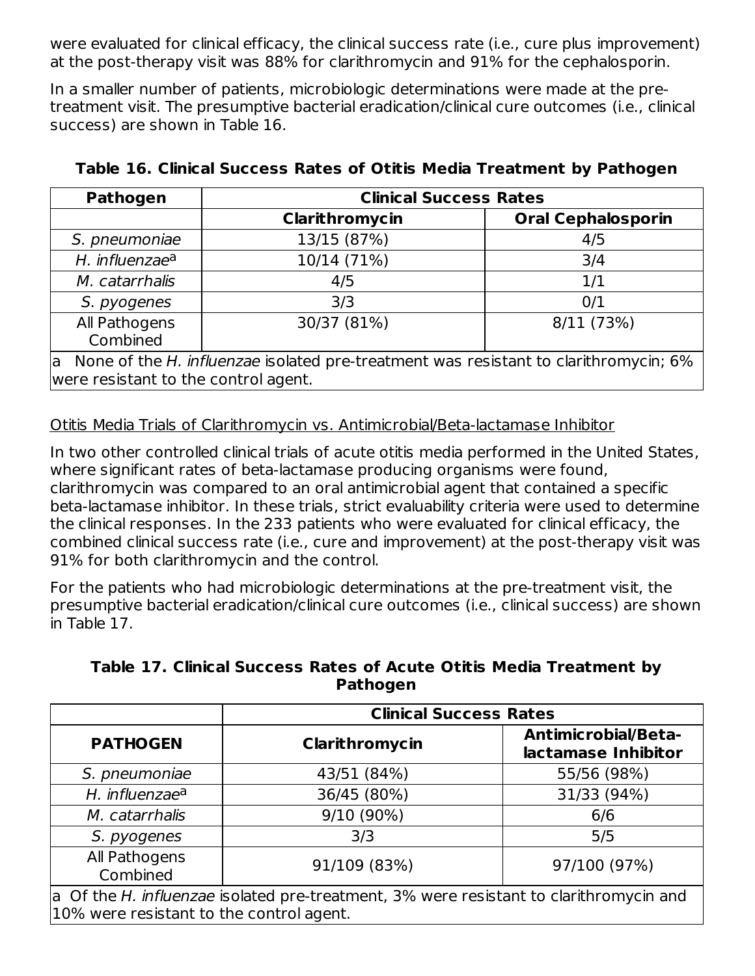were evaluated for clinical efficacy, the clinical success rate (i.e., cure plus improvement) at the post-therapy visit was 88% for clarithromycin and 91% for the cephalosporin.

In a smaller number of patients, microbiologic determinations were made at the pretreatment visit. The presumptive bacterial eradication/clinical cure outcomes (i.e., clinical success) are shown in Table 16.

| <b>Pathogen</b>                                                                                                                | <b>Clinical Success Rates</b> |                           |  |  |  |
|--------------------------------------------------------------------------------------------------------------------------------|-------------------------------|---------------------------|--|--|--|
|                                                                                                                                | Clarithromycin                | <b>Oral Cephalosporin</b> |  |  |  |
| S. pneumoniae                                                                                                                  | 13/15 (87%)                   | 4/5                       |  |  |  |
| H. influenzae <sup>a</sup>                                                                                                     | 10/14 (71%)                   | 3/4                       |  |  |  |
| M. catarrhalis                                                                                                                 | 4/5                           | 1/1                       |  |  |  |
| S. pyogenes                                                                                                                    | 3/3                           | 0/1                       |  |  |  |
| All Pathogens<br>Combined                                                                                                      | 30/37 (81%)                   | 8/11 (73%)                |  |  |  |
| a None of the H. influenzae isolated pre-treatment was resistant to clarithromycin; 6%<br>were resistant to the control agent. |                               |                           |  |  |  |

# **Table 16. Clinical Success Rates of Otitis Media Treatment by Pathogen**

Otitis Media Trials of Clarithromycin vs. Antimicrobial/Beta-lactamase Inhibitor

In two other controlled clinical trials of acute otitis media performed in the United States, where significant rates of beta-lactamase producing organisms were found, clarithromycin was compared to an oral antimicrobial agent that contained a specific beta-lactamase inhibitor. In these trials, strict evaluability criteria were used to determine the clinical responses. In the 233 patients who were evaluated for clinical efficacy, the combined clinical success rate (i.e., cure and improvement) at the post-therapy visit was 91% for both clarithromycin and the control.

For the patients who had microbiologic determinations at the pre-treatment visit, the presumptive bacterial eradication/clinical cure outcomes (i.e., clinical success) are shown in Table 17.

| Table 17. Clinical Success Rates of Acute Otitis Media Treatment by |                 |  |  |
|---------------------------------------------------------------------|-----------------|--|--|
|                                                                     | <b>Pathogen</b> |  |  |

|                                                                                                                                    | <b>Clinical Success Rates</b> |                                                   |  |  |  |
|------------------------------------------------------------------------------------------------------------------------------------|-------------------------------|---------------------------------------------------|--|--|--|
| <b>PATHOGEN</b>                                                                                                                    | Clarithromycin                | <b>Antimicrobial/Beta-</b><br>lactamase Inhibitor |  |  |  |
| S. pneumoniae                                                                                                                      | 43/51 (84%)                   | 55/56 (98%)                                       |  |  |  |
| H. influenzae <sup>a</sup>                                                                                                         | 36/45 (80%)                   | 31/33 (94%)                                       |  |  |  |
| M. catarrhalis                                                                                                                     | 9/10 (90%)                    | 6/6                                               |  |  |  |
| S. pyogenes                                                                                                                        | 3/3                           | 5/5                                               |  |  |  |
| All Pathogens<br>Combined                                                                                                          | 91/109 (83%)                  | 97/100 (97%)                                      |  |  |  |
| a Of the H. influenzae isolated pre-treatment, 3% were resistant to clarithromycin and<br>10% were resistant to the control agent. |                               |                                                   |  |  |  |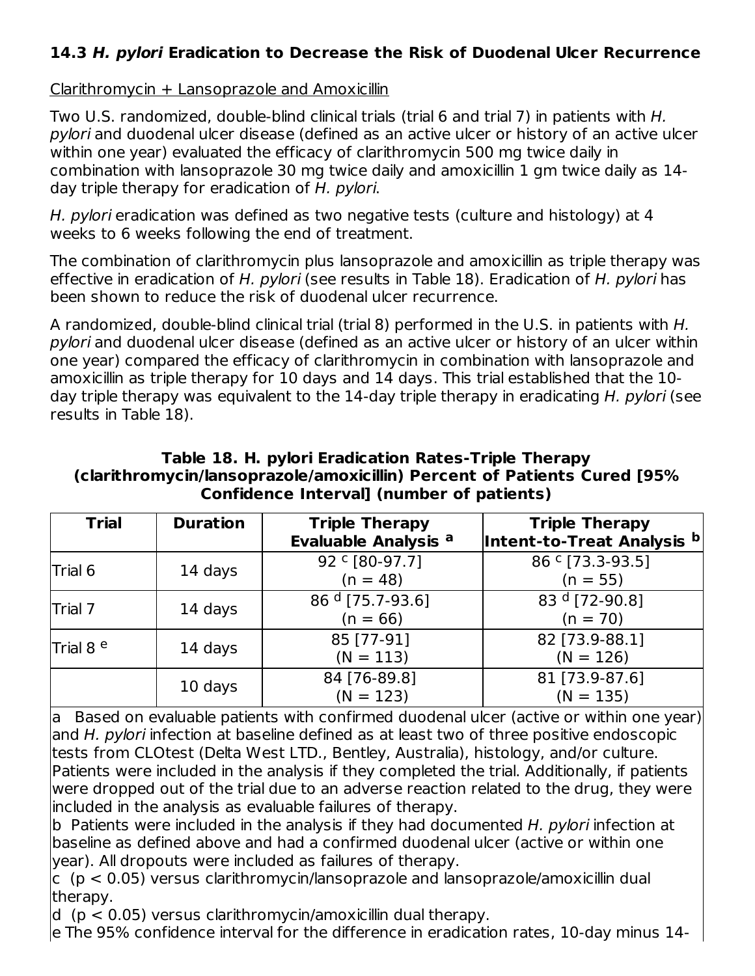# **14.3 H. pylori Eradication to Decrease the Risk of Duodenal Ulcer Recurrence**

Clarithromycin + Lansoprazole and Amoxicillin

Two U.S. randomized, double-blind clinical trials (trial 6 and trial 7) in patients with H. pylori and duodenal ulcer disease (defined as an active ulcer or history of an active ulcer within one year) evaluated the efficacy of clarithromycin 500 mg twice daily in combination with lansoprazole 30 mg twice daily and amoxicillin 1 gm twice daily as 14 day triple therapy for eradication of H. pylori.

H. pylori eradication was defined as two negative tests (culture and histology) at 4 weeks to 6 weeks following the end of treatment.

The combination of clarithromycin plus lansoprazole and amoxicillin as triple therapy was effective in eradication of H, pylori (see results in Table 18). Eradication of H, pylori has been shown to reduce the risk of duodenal ulcer recurrence.

A randomized, double-blind clinical trial (trial 8) performed in the U.S. in patients with H. pylori and duodenal ulcer disease (defined as an active ulcer or history of an ulcer within one year) compared the efficacy of clarithromycin in combination with lansoprazole and amoxicillin as triple therapy for 10 days and 14 days. This trial established that the 10 day triple therapy was equivalent to the 14-day triple therapy in eradicating H. pylori (see results in Table 18).

#### **Table 18. H. pylori Eradication Rates-Triple Therapy (clarithromycin/lansoprazole/amoxicillin) Percent of Patients Cured [95% Confidence Interval] (number of patients)**

| <b>Trial</b>         | <b>Duration</b> | <b>Triple Therapy</b><br><b>Evaluable Analysis a</b> | <b>Triple Therapy</b><br>Intent-to-Treat Analysis b |
|----------------------|-----------------|------------------------------------------------------|-----------------------------------------------------|
| Trial 6              | 14 days         | 92 ° [80-97.7]<br>$(n = 48)$                         | 86 ° [73.3-93.5]<br>$(n = 55)$                      |
| Trial 7              | 14 days         | $86d$ [75.7-93.6]<br>$(n = 66)$                      | 83 $d$ [72-90.8]<br>$(n = 70)$                      |
| Trial 8 <sup>e</sup> | 14 days         | 85 [77-91]<br>$(N = 113)$                            | 82 [73.9-88.1]<br>$(N = 126)$                       |
|                      | 10 days         | 84 [76-89.8]<br>$(N = 123)$                          | 81 [73.9-87.6]<br>$(N = 135)$                       |

a Based on evaluable patients with confirmed duodenal ulcer (active or within one year) and H. pylori infection at baseline defined as at least two of three positive endoscopic tests from CLOtest (Delta West LTD., Bentley, Australia), histology, and/or culture. Patients were included in the analysis if they completed the trial. Additionally, if patients were dropped out of the trial due to an adverse reaction related to the drug, they were included in the analysis as evaluable failures of therapy.

b Patients were included in the analysis if they had documented H. pylori infection at baseline as defined above and had a confirmed duodenal ulcer (active or within one year). All dropouts were included as failures of therapy.

 $\rm |c|$  (p  $<$  0.05) versus clarithromycin/lansoprazole and lansoprazole/amoxicillin dual therapy.

d (p < 0.05) versus clarithromycin/amoxicillin dual therapy.

e The 95% confidence interval for the difference in eradication rates, 10-day minus 14-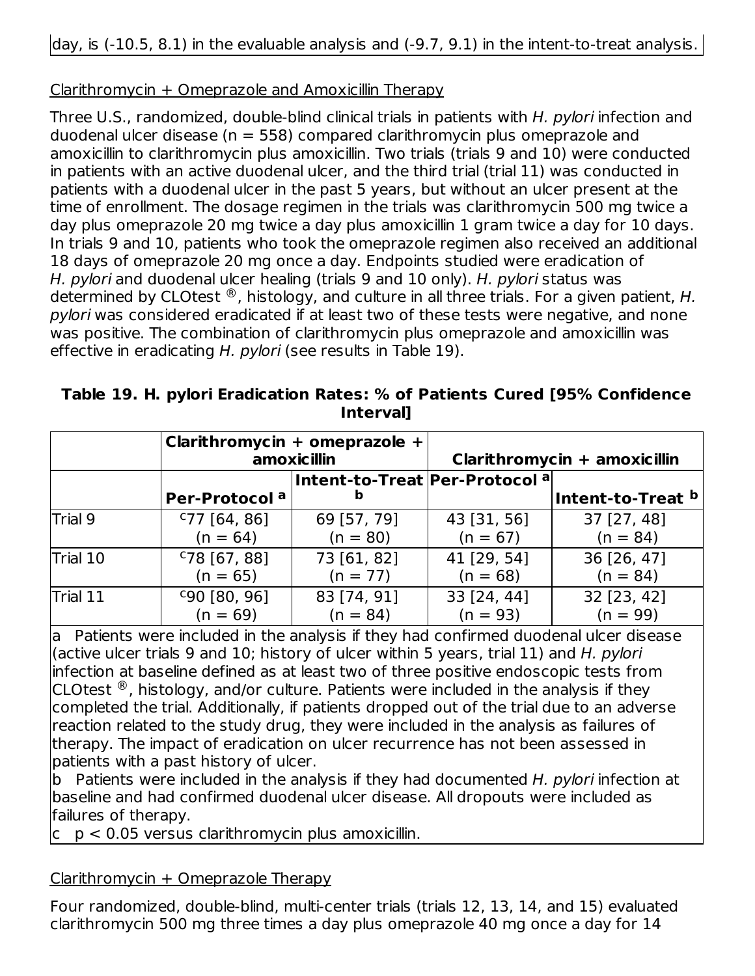# Clarithromycin + Omeprazole and Amoxicillin Therapy

Three U.S., randomized, double-blind clinical trials in patients with H. pylori infection and duodenal ulcer disease ( $n = 558$ ) compared clarithromycin plus omeprazole and amoxicillin to clarithromycin plus amoxicillin. Two trials (trials 9 and 10) were conducted in patients with an active duodenal ulcer, and the third trial (trial 11) was conducted in patients with a duodenal ulcer in the past 5 years, but without an ulcer present at the time of enrollment. The dosage regimen in the trials was clarithromycin 500 mg twice a day plus omeprazole 20 mg twice a day plus amoxicillin 1 gram twice a day for 10 days. In trials 9 and 10, patients who took the omeprazole regimen also received an additional 18 days of omeprazole 20 mg once a day. Endpoints studied were eradication of H. pylori and duodenal ulcer healing (trials 9 and 10 only). H. pylori status was determined by CLOtest  $^{\circledR}$ , histology, and culture in all three trials. For a given patient, H. pylori was considered eradicated if at least two of these tests were negative, and none was positive. The combination of clarithromycin plus omeprazole and amoxicillin was effective in eradicating H. pylori (see results in Table 19).

| Table 19. H. pylori Eradication Rates: % of Patients Cured [95% Confidence |           |  |
|----------------------------------------------------------------------------|-----------|--|
|                                                                            | Interval] |  |

|          |                           | Clarithromycin + omeprazole +<br>amoxicillin   |             | Clarithromycin + amoxicillin |
|----------|---------------------------|------------------------------------------------|-------------|------------------------------|
|          | Per-Protocol <sup>a</sup> | Intent-to-Treat Per-Protocol <sup>a</sup><br>b |             | Intent-to-Treat b            |
| Trial 9  | $C$ 77 [64, 86]           | 69 [57, 79]                                    | 43 [31, 56] | 37 [27, 48]                  |
|          | $(n = 64)$                | $(n = 80)$                                     | $(n = 67)$  | $(n = 84)$                   |
| Trial 10 | $C$ 78 [67, 88]           | 73 [61, 82]                                    | 41 [29, 54] | 36 [26, 47]                  |
|          | $(n = 65)$                | $(n = 77)$                                     | $(n = 68)$  | $(n = 84)$                   |
| Trial 11 | $C90$ [80, 96]            | 83 [74, 91]                                    | 33 [24, 44] | 32 [23, 42]                  |
|          | $(n = 69)$                | $(n = 84)$                                     | $(n = 93)$  | $(n = 99)$                   |

a Patients were included in the analysis if they had confirmed duodenal ulcer disease (active ulcer trials 9 and 10; history of ulcer within 5 years, trial 11) and H. pylori infection at baseline defined as at least two of three positive endoscopic tests from CLOtest  $\mathcal{B}$ , histology, and/or culture. Patients were included in the analysis if they completed the trial. Additionally, if patients dropped out of the trial due to an adverse reaction related to the study drug, they were included in the analysis as failures of therapy. The impact of eradication on ulcer recurrence has not been assessed in patients with a past history of ulcer.

b Patients were included in the analysis if they had documented H. pylori infection at baseline and had confirmed duodenal ulcer disease. All dropouts were included as failures of therapy.

 $\rm |c\, p < 0.05$  versus clarithromycin plus amoxicillin.

 $ClarithmeticMrycin + Omeprazole Therapy$ 

Four randomized, double-blind, multi-center trials (trials 12, 13, 14, and 15) evaluated clarithromycin 500 mg three times a day plus omeprazole 40 mg once a day for 14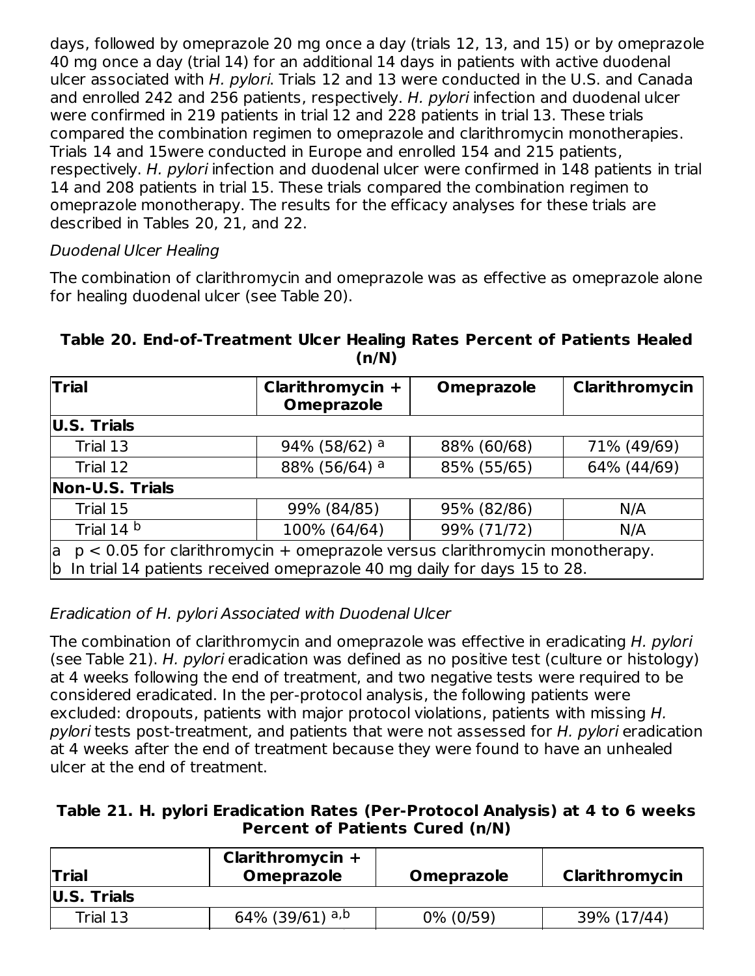days, followed by omeprazole 20 mg once a day (trials 12, 13, and 15) or by omeprazole 40 mg once a day (trial 14) for an additional 14 days in patients with active duodenal ulcer associated with H. pylori. Trials 12 and 13 were conducted in the U.S. and Canada and enrolled 242 and 256 patients, respectively. H. pylori infection and duodenal ulcer were confirmed in 219 patients in trial 12 and 228 patients in trial 13. These trials compared the combination regimen to omeprazole and clarithromycin monotherapies. Trials 14 and 15were conducted in Europe and enrolled 154 and 215 patients, respectively. H. pylori infection and duodenal ulcer were confirmed in 148 patients in trial 14 and 208 patients in trial 15. These trials compared the combination regimen to omeprazole monotherapy. The results for the efficacy analyses for these trials are described in Tables 20, 21, and 22.

### Duodenal Ulcer Healing

The combination of clarithromycin and omeprazole was as effective as omeprazole alone for healing duodenal ulcer (see Table 20).

| <b>Trial</b>    | Clarithromycin +<br><b>Omeprazole</b>                                                                                                                      | <b>Omeprazole</b>          | Clarithromycin |  |  |
|-----------------|------------------------------------------------------------------------------------------------------------------------------------------------------------|----------------------------|----------------|--|--|
| U.S. Trials     |                                                                                                                                                            |                            |                |  |  |
| Trial 13        | 94% (58/62) a                                                                                                                                              | 88% (60/68)                | 71% (49/69)    |  |  |
| Trial 12        | 88% (56/64) a                                                                                                                                              | 85% (55/65)<br>64% (44/69) |                |  |  |
| Non-U.S. Trials |                                                                                                                                                            |                            |                |  |  |
| Trial 15        | 99% (84/85)                                                                                                                                                | 95% (82/86)                | N/A            |  |  |
| Trial 14 b      | 100% (64/64)                                                                                                                                               | 99% (71/72)                | N/A            |  |  |
| la              | $p < 0.05$ for clarithromycin + omeprazole versus clarithromycin monotherapy.<br>b In trial 14 patients received omeprazole 40 mg daily for days 15 to 28. |                            |                |  |  |

#### **Table 20. End-of-Treatment Ulcer Healing Rates Percent of Patients Healed (n/N)**

Eradication of H. pylori Associated with Duodenal Ulcer

The combination of clarithromycin and omeprazole was effective in eradicating H. pylori (see Table 21). H. pylori eradication was defined as no positive test (culture or histology) at 4 weeks following the end of treatment, and two negative tests were required to be considered eradicated. In the per-protocol analysis, the following patients were excluded: dropouts, patients with major protocol violations, patients with missing H. pylori tests post-treatment, and patients that were not assessed for H. pylori eradication at 4 weeks after the end of treatment because they were found to have an unhealed ulcer at the end of treatment.

#### **Table 21. H. pylori Eradication Rates (Per-Protocol Analysis) at 4 to 6 weeks Percent of Patients Cured (n/N)**

| <b>Trial</b> | Clarithromycin $+$<br><b>Omeprazole</b> | <b>Omeprazole</b> | Clarithromycin |
|--------------|-----------------------------------------|-------------------|----------------|
| U.S. Trials  |                                         |                   |                |
| Trial 13     | 64% (39/61) a,b                         | 0% (0/59)         | 39% (17/44)    |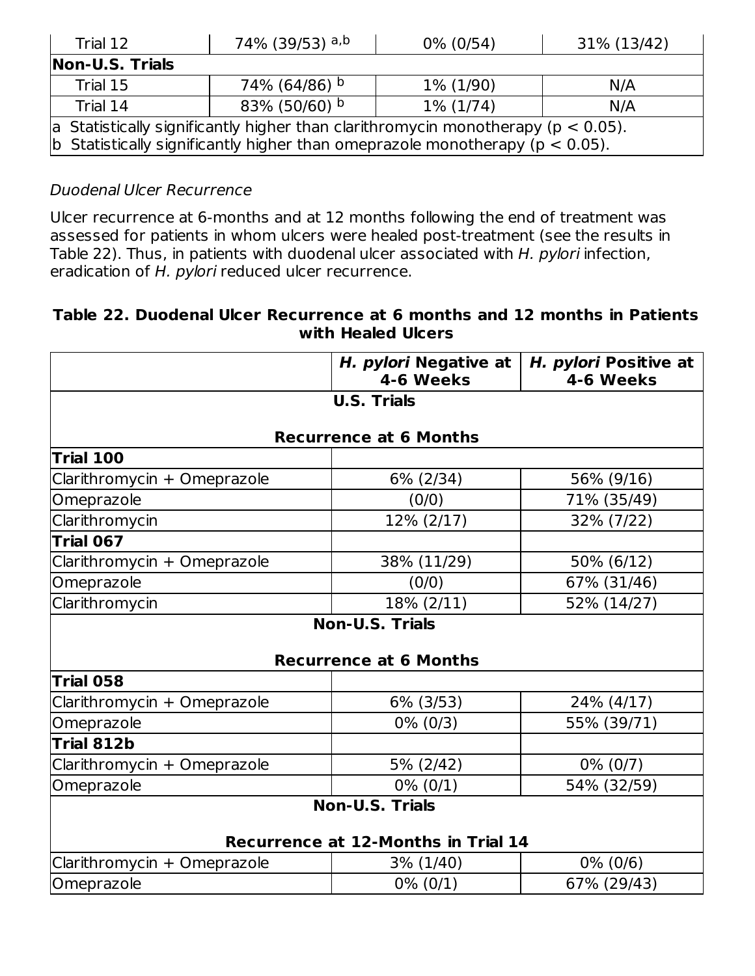| Trial 12                                                                         | 74% (39/53) <sup>a,b</sup><br>$0\%$ (0/54)<br>31% (13/42)                               |  |  |  |  |  |
|----------------------------------------------------------------------------------|-----------------------------------------------------------------------------------------|--|--|--|--|--|
| Non-U.S. Trials                                                                  |                                                                                         |  |  |  |  |  |
| Trial 15                                                                         | 74% (64/86) b<br>1% (1/90)<br>N/A                                                       |  |  |  |  |  |
| Trial 14                                                                         | 83% (50/60) b<br>$1\%$ (1/74)<br>N/A                                                    |  |  |  |  |  |
|                                                                                  | $ a$ Statistically significantly higher than clarithromycin monotherapy ( $p < 0.05$ ). |  |  |  |  |  |
| b Statistically significantly higher than omeprazole monotherapy ( $p < 0.05$ ). |                                                                                         |  |  |  |  |  |

### Duodenal Ulcer Recurrence

Ulcer recurrence at 6-months and at 12 months following the end of treatment was assessed for patients in whom ulcers were healed post-treatment (see the results in Table 22). Thus, in patients with duodenal ulcer associated with H. pylori infection, eradication of H. pylori reduced ulcer recurrence.

#### **Table 22. Duodenal Ulcer Recurrence at 6 months and 12 months in Patients with Healed Ulcers**

|                             | H. pylori Negative at<br>4-6 Weeks         | H. pylori Positive at<br>4-6 Weeks |
|-----------------------------|--------------------------------------------|------------------------------------|
|                             | <b>U.S. Trials</b>                         |                                    |
|                             | <b>Recurrence at 6 Months</b>              |                                    |
| Trial 100                   |                                            |                                    |
| Clarithromycin + Omeprazole | 6% (2/34)                                  | 56% (9/16)                         |
| Omeprazole                  | (0/0)                                      | 71% (35/49)                        |
| Clarithromycin              | 12% (2/17)                                 | 32% (7/22)                         |
| Trial 067                   |                                            |                                    |
| Clarithromycin + Omeprazole | 38% (11/29)                                | 50% (6/12)                         |
| Omeprazole                  | (0/0)                                      | 67% (31/46)                        |
| Clarithromycin              | 18% (2/11)                                 | 52% (14/27)                        |
|                             | <b>Non-U.S. Trials</b>                     |                                    |
|                             | <b>Recurrence at 6 Months</b>              |                                    |
| <b>Trial 058</b>            |                                            |                                    |
| Clarithromycin + Omeprazole | 6% (3/53)                                  | 24% (4/17)                         |
| Omeprazole                  | $0\%$ (0/3)                                | 55% (39/71)                        |
| Trial 812b                  |                                            |                                    |
| Clarithromycin + Omeprazole | 5% (2/42)                                  | $0\%$ (0/7)                        |
| Omeprazole                  | $0\%$ (0/1)                                | 54% (32/59)                        |
|                             | <b>Non-U.S. Trials</b>                     |                                    |
|                             | <b>Recurrence at 12-Months in Trial 14</b> |                                    |
| Clarithromycin + Omeprazole | 3% (1/40)                                  | $0\%$ (0/6)                        |
| Omeprazole                  | $0\% (0/1)$                                | 67% (29/43)                        |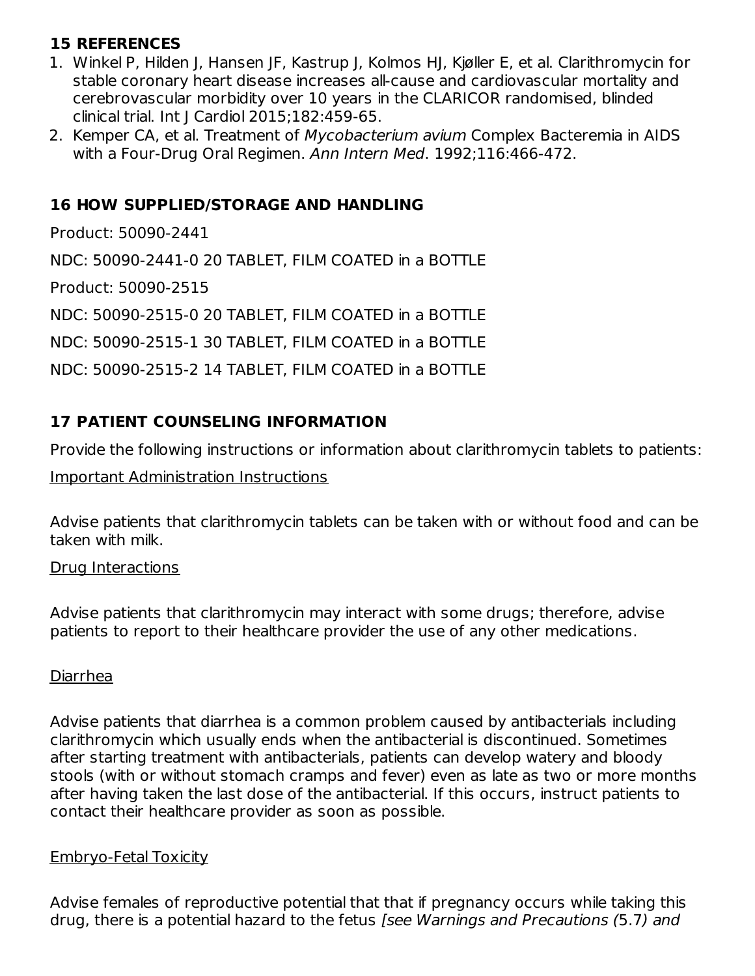# **15 REFERENCES**

- 1. Winkel P, Hilden J, Hansen JF, Kastrup J, Kolmos HJ, Kjøller E, et al. Clarithromycin for stable coronary heart disease increases all-cause and cardiovascular mortality and cerebrovascular morbidity over 10 years in the CLARICOR randomised, blinded clinical trial. Int J Cardiol 2015;182:459-65.
- 2. Kemper CA, et al. Treatment of Mycobacterium avium Complex Bacteremia in AIDS with a Four-Drug Oral Regimen. Ann Intern Med. 1992;116:466-472.

# **16 HOW SUPPLIED/STORAGE AND HANDLING**

Product: 50090-2441 NDC: 50090-2441-0 20 TABLET, FILM COATED in a BOTTLE Product: 50090-2515 NDC: 50090-2515-0 20 TABLET, FILM COATED in a BOTTLE NDC: 50090-2515-1 30 TABLET, FILM COATED in a BOTTLE NDC: 50090-2515-2 14 TABLET, FILM COATED in a BOTTLE

# **17 PATIENT COUNSELING INFORMATION**

Provide the following instructions or information about clarithromycin tablets to patients:

### Important Administration Instructions

Advise patients that clarithromycin tablets can be taken with or without food and can be taken with milk.

### Drug Interactions

Advise patients that clarithromycin may interact with some drugs; therefore, advise patients to report to their healthcare provider the use of any other medications.

# Diarrhea

Advise patients that diarrhea is a common problem caused by antibacterials including clarithromycin which usually ends when the antibacterial is discontinued. Sometimes after starting treatment with antibacterials, patients can develop watery and bloody stools (with or without stomach cramps and fever) even as late as two or more months after having taken the last dose of the antibacterial. If this occurs, instruct patients to contact their healthcare provider as soon as possible.

### Embryo-Fetal Toxicity

Advise females of reproductive potential that that if pregnancy occurs while taking this drug, there is a potential hazard to the fetus [see Warnings and Precautions (5.7) and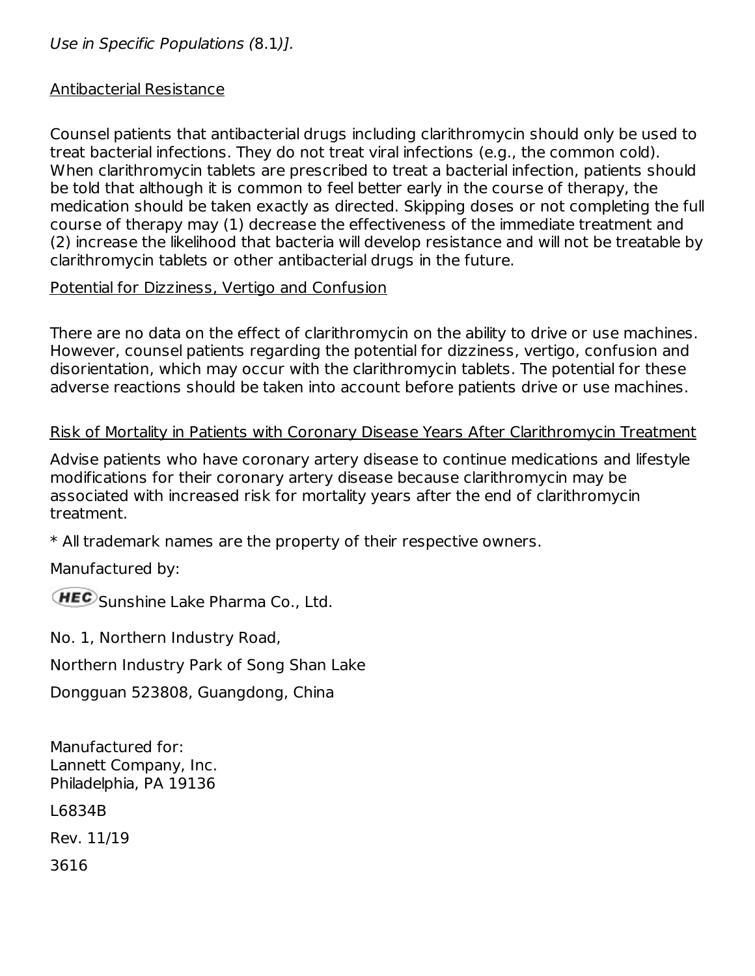### Use in Specific Populations (8.1)].

#### Antibacterial Resistance

Counsel patients that antibacterial drugs including clarithromycin should only be used to treat bacterial infections. They do not treat viral infections (e.g., the common cold). When clarithromycin tablets are prescribed to treat a bacterial infection, patients should be told that although it is common to feel better early in the course of therapy, the medication should be taken exactly as directed. Skipping doses or not completing the full course of therapy may (1) decrease the effectiveness of the immediate treatment and (2) increase the likelihood that bacteria will develop resistance and will not be treatable by clarithromycin tablets or other antibacterial drugs in the future.

#### Potential for Dizziness, Vertigo and Confusion

There are no data on the effect of clarithromycin on the ability to drive or use machines. However, counsel patients regarding the potential for dizziness, vertigo, confusion and disorientation, which may occur with the clarithromycin tablets. The potential for these adverse reactions should be taken into account before patients drive or use machines.

### Risk of Mortality in Patients with Coronary Disease Years After Clarithromycin Treatment

Advise patients who have coronary artery disease to continue medications and lifestyle modifications for their coronary artery disease because clarithromycin may be associated with increased risk for mortality years after the end of clarithromycin treatment.

\* All trademark names are the property of their respective owners.

Manufactured by:

HEC Sunshine Lake Pharma Co., Ltd.

No. 1, Northern Industry Road,

Northern Industry Park of Song Shan Lake

Dongguan 523808, Guangdong, China

Manufactured for: Lannett Company, Inc. Philadelphia, PA 19136 L6834B

Rev. 11/19

3616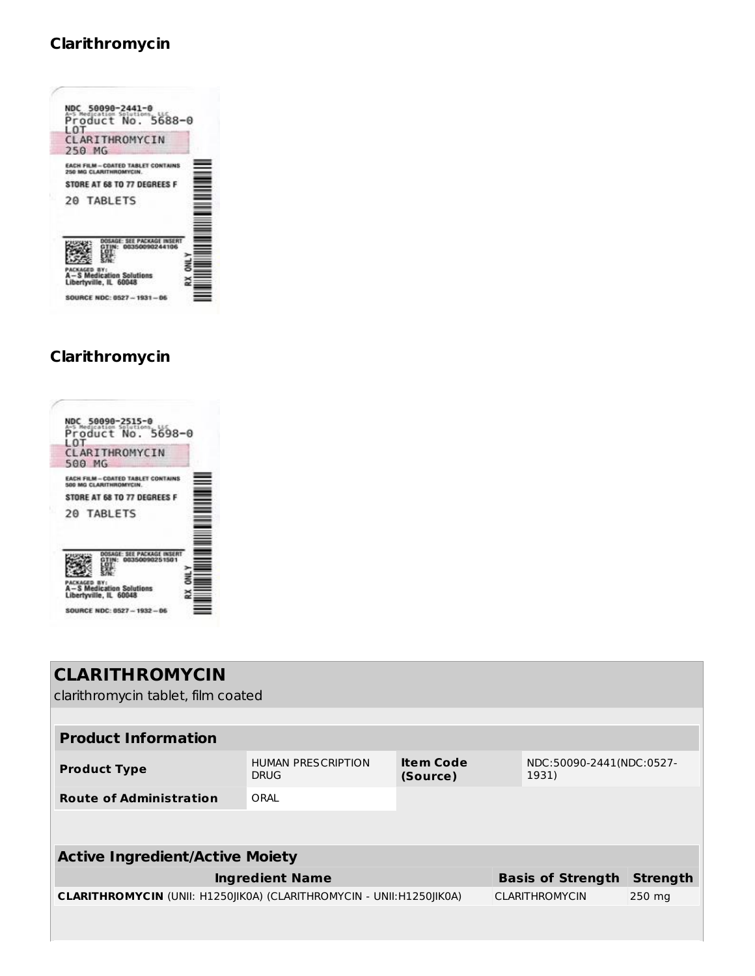# **Clarithromycin**

# **Clarithromycin**



| <b>CLARITHROMYCIN</b>                  |                                                                                                                |                              |       |                          |                 |
|----------------------------------------|----------------------------------------------------------------------------------------------------------------|------------------------------|-------|--------------------------|-----------------|
| clarithromycin tablet, film coated     |                                                                                                                |                              |       |                          |                 |
|                                        |                                                                                                                |                              |       |                          |                 |
| <b>Product Information</b>             |                                                                                                                |                              |       |                          |                 |
| <b>Product Type</b>                    | <b>HUMAN PRESCRIPTION</b><br><b>DRUG</b>                                                                       | <b>Item Code</b><br>(Source) | 1931) | NDC:50090-2441(NDC:0527- |                 |
| <b>Route of Administration</b>         | ORAL                                                                                                           |                              |       |                          |                 |
|                                        |                                                                                                                |                              |       |                          |                 |
|                                        |                                                                                                                |                              |       |                          |                 |
| <b>Active Ingredient/Active Moiety</b> |                                                                                                                |                              |       |                          |                 |
|                                        | <b>Ingredient Name</b>                                                                                         |                              |       | <b>Basis of Strength</b> | <b>Strength</b> |
|                                        | <b>CLARITHROMYCIN</b> (UNII: H1250JIK0A) (CLARITHROMYCIN - UNII:H1250JIK0A)<br><b>CLARITHROMYCIN</b><br>250 mg |                              |       |                          |                 |
|                                        |                                                                                                                |                              |       |                          |                 |
|                                        |                                                                                                                |                              |       |                          |                 |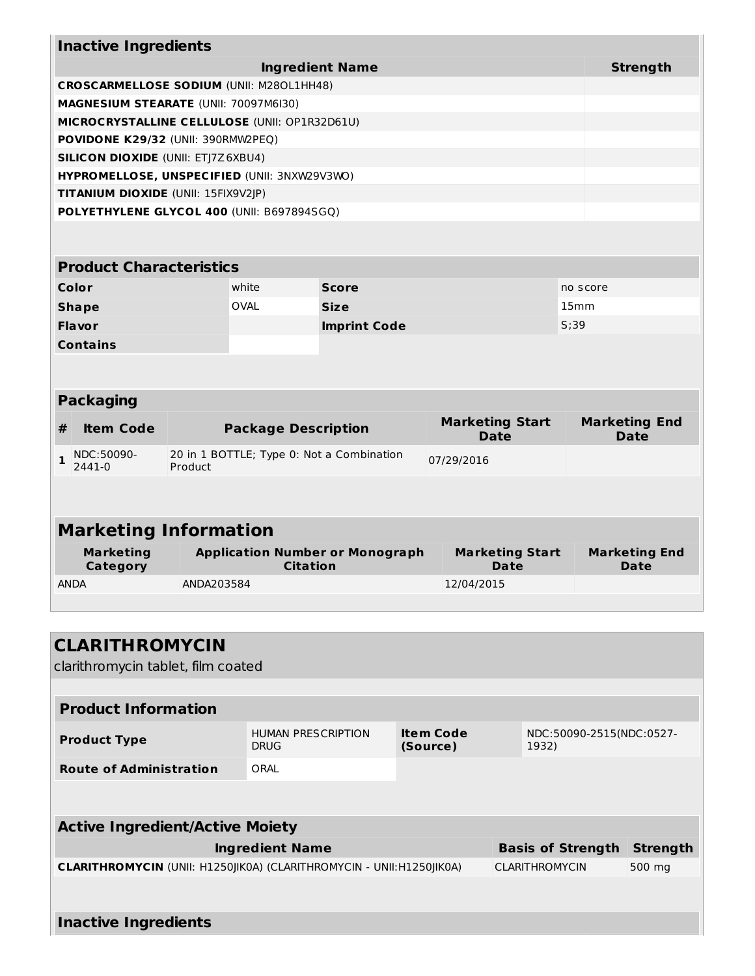| <b>Strength</b><br><b>Ingredient Name</b><br><b>CROSCARMELLOSE SODIUM (UNII: M280L1HH48)</b><br>MAGNESIUM STEARATE (UNII: 70097M6I30)<br>MICROCRYSTALLINE CELLULOSE (UNII: OP1R32D61U)<br><b>POVIDONE K29/32 (UNII: 390RMW2PEQ)</b><br><b>SILICON DIOXIDE (UNII: ETJ7Z6XBU4)</b><br>HYPROMELLOSE, UNSPECIFIED (UNII: 3NXW29V3WO)<br>TITANIUM DIOXIDE (UNII: 15FIX9V2JP)<br>POLYETHYLENE GLYCOL 400 (UNII: B697894SGQ)<br><b>Product Characteristics</b><br>Color<br>white<br><b>Score</b><br>no score<br><b>OVAL</b><br><b>Size</b><br>15 <sub>mm</sub><br><b>Shape</b><br><b>Flavor</b><br><b>Imprint Code</b><br>S:39<br><b>Contains</b><br><b>Packaging</b><br><b>Marketing Start</b><br><b>Package Description</b><br>#<br><b>Item Code</b><br><b>Date</b><br><b>Date</b><br>NDC:50090-<br>20 in 1 BOTTLE; Type 0: Not a Combination<br>1<br>07/29/2016<br>2441-0<br>Product<br><b>Marketing Information</b><br><b>Marketing</b><br><b>Application Number or Monograph</b><br><b>Marketing Start</b><br><b>Citation</b><br><b>Date</b><br>Category<br>Date<br><b>ANDA</b><br>ANDA203584<br>12/04/2015 |  |  |  |  |                      |
|-----------------------------------------------------------------------------------------------------------------------------------------------------------------------------------------------------------------------------------------------------------------------------------------------------------------------------------------------------------------------------------------------------------------------------------------------------------------------------------------------------------------------------------------------------------------------------------------------------------------------------------------------------------------------------------------------------------------------------------------------------------------------------------------------------------------------------------------------------------------------------------------------------------------------------------------------------------------------------------------------------------------------------------------------------------------------------------------------------------|--|--|--|--|----------------------|
|                                                                                                                                                                                                                                                                                                                                                                                                                                                                                                                                                                                                                                                                                                                                                                                                                                                                                                                                                                                                                                                                                                           |  |  |  |  |                      |
|                                                                                                                                                                                                                                                                                                                                                                                                                                                                                                                                                                                                                                                                                                                                                                                                                                                                                                                                                                                                                                                                                                           |  |  |  |  |                      |
|                                                                                                                                                                                                                                                                                                                                                                                                                                                                                                                                                                                                                                                                                                                                                                                                                                                                                                                                                                                                                                                                                                           |  |  |  |  |                      |
|                                                                                                                                                                                                                                                                                                                                                                                                                                                                                                                                                                                                                                                                                                                                                                                                                                                                                                                                                                                                                                                                                                           |  |  |  |  |                      |
|                                                                                                                                                                                                                                                                                                                                                                                                                                                                                                                                                                                                                                                                                                                                                                                                                                                                                                                                                                                                                                                                                                           |  |  |  |  |                      |
|                                                                                                                                                                                                                                                                                                                                                                                                                                                                                                                                                                                                                                                                                                                                                                                                                                                                                                                                                                                                                                                                                                           |  |  |  |  |                      |
|                                                                                                                                                                                                                                                                                                                                                                                                                                                                                                                                                                                                                                                                                                                                                                                                                                                                                                                                                                                                                                                                                                           |  |  |  |  |                      |
|                                                                                                                                                                                                                                                                                                                                                                                                                                                                                                                                                                                                                                                                                                                                                                                                                                                                                                                                                                                                                                                                                                           |  |  |  |  |                      |
|                                                                                                                                                                                                                                                                                                                                                                                                                                                                                                                                                                                                                                                                                                                                                                                                                                                                                                                                                                                                                                                                                                           |  |  |  |  |                      |
|                                                                                                                                                                                                                                                                                                                                                                                                                                                                                                                                                                                                                                                                                                                                                                                                                                                                                                                                                                                                                                                                                                           |  |  |  |  |                      |
|                                                                                                                                                                                                                                                                                                                                                                                                                                                                                                                                                                                                                                                                                                                                                                                                                                                                                                                                                                                                                                                                                                           |  |  |  |  |                      |
|                                                                                                                                                                                                                                                                                                                                                                                                                                                                                                                                                                                                                                                                                                                                                                                                                                                                                                                                                                                                                                                                                                           |  |  |  |  |                      |
|                                                                                                                                                                                                                                                                                                                                                                                                                                                                                                                                                                                                                                                                                                                                                                                                                                                                                                                                                                                                                                                                                                           |  |  |  |  |                      |
|                                                                                                                                                                                                                                                                                                                                                                                                                                                                                                                                                                                                                                                                                                                                                                                                                                                                                                                                                                                                                                                                                                           |  |  |  |  |                      |
|                                                                                                                                                                                                                                                                                                                                                                                                                                                                                                                                                                                                                                                                                                                                                                                                                                                                                                                                                                                                                                                                                                           |  |  |  |  |                      |
|                                                                                                                                                                                                                                                                                                                                                                                                                                                                                                                                                                                                                                                                                                                                                                                                                                                                                                                                                                                                                                                                                                           |  |  |  |  |                      |
|                                                                                                                                                                                                                                                                                                                                                                                                                                                                                                                                                                                                                                                                                                                                                                                                                                                                                                                                                                                                                                                                                                           |  |  |  |  |                      |
|                                                                                                                                                                                                                                                                                                                                                                                                                                                                                                                                                                                                                                                                                                                                                                                                                                                                                                                                                                                                                                                                                                           |  |  |  |  | <b>Marketing End</b> |
|                                                                                                                                                                                                                                                                                                                                                                                                                                                                                                                                                                                                                                                                                                                                                                                                                                                                                                                                                                                                                                                                                                           |  |  |  |  |                      |
|                                                                                                                                                                                                                                                                                                                                                                                                                                                                                                                                                                                                                                                                                                                                                                                                                                                                                                                                                                                                                                                                                                           |  |  |  |  |                      |
|                                                                                                                                                                                                                                                                                                                                                                                                                                                                                                                                                                                                                                                                                                                                                                                                                                                                                                                                                                                                                                                                                                           |  |  |  |  |                      |
|                                                                                                                                                                                                                                                                                                                                                                                                                                                                                                                                                                                                                                                                                                                                                                                                                                                                                                                                                                                                                                                                                                           |  |  |  |  | <b>Marketing End</b> |
|                                                                                                                                                                                                                                                                                                                                                                                                                                                                                                                                                                                                                                                                                                                                                                                                                                                                                                                                                                                                                                                                                                           |  |  |  |  |                      |

| <b>CLARITHROMYCIN</b>                                                        |                                          |                              |                                   |                 |
|------------------------------------------------------------------------------|------------------------------------------|------------------------------|-----------------------------------|-----------------|
| clarithromycin tablet, film coated                                           |                                          |                              |                                   |                 |
|                                                                              |                                          |                              |                                   |                 |
| <b>Product Information</b>                                                   |                                          |                              |                                   |                 |
| <b>Product Type</b>                                                          | <b>HUMAN PRESCRIPTION</b><br><b>DRUG</b> | <b>Item Code</b><br>(Source) | NDC:50090-2515(NDC:0527-<br>1932) |                 |
| <b>Route of Administration</b>                                               | ORAL                                     |                              |                                   |                 |
|                                                                              |                                          |                              |                                   |                 |
| <b>Active Ingredient/Active Moiety</b>                                       |                                          |                              |                                   |                 |
|                                                                              | <b>Ingredient Name</b>                   |                              | <b>Basis of Strength</b>          | <b>Strength</b> |
| <b>CLARITHROMYCIN</b> (UNII: H1250JIK0A) (CLARITHROMYCIN - UNII: H1250JIK0A) |                                          |                              | <b>CLARITHROMYCIN</b>             | 500 mg          |
|                                                                              |                                          |                              |                                   |                 |
| <b>Inactive Ingredients</b>                                                  |                                          |                              |                                   |                 |